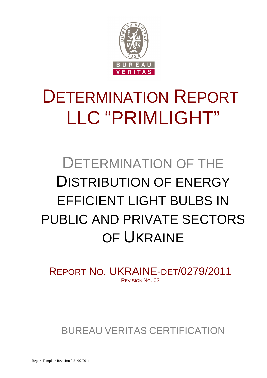

# DETERMINATION REPORT LLC "PRIMLIGHT"

# DETERMINATION OF THE DISTRIBUTION OF ENERGY EFFICIENT LIGHT BULBS IN PUBLIC AND PRIVATE SECTORS OF UKRAINE

REPORT NO. UKRAINE-DET/0279/2011 REVISION NO. 03

BUREAU VERITAS CERTIFICATION

Report Template Revision 9 21/07/2011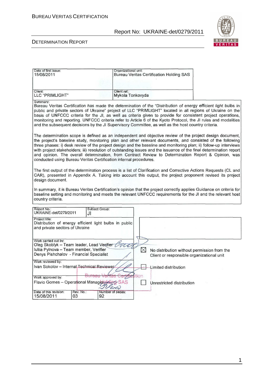

| Date of first issue:<br>15/08/2011                                                                                                                                                                                                                                                     |                                                                                                                                                                                                                                                                                                                                                                                                                                                                                                                                                                                                                                                 |                        | Organizational unit:<br><b>Bureau Veritas Certification Holding SAS</b> |                                                                                                     |                                                                                                                                                                                                                                                                                                                                                                                                                                                                  |  |  |
|----------------------------------------------------------------------------------------------------------------------------------------------------------------------------------------------------------------------------------------------------------------------------------------|-------------------------------------------------------------------------------------------------------------------------------------------------------------------------------------------------------------------------------------------------------------------------------------------------------------------------------------------------------------------------------------------------------------------------------------------------------------------------------------------------------------------------------------------------------------------------------------------------------------------------------------------------|------------------------|-------------------------------------------------------------------------|-----------------------------------------------------------------------------------------------------|------------------------------------------------------------------------------------------------------------------------------------------------------------------------------------------------------------------------------------------------------------------------------------------------------------------------------------------------------------------------------------------------------------------------------------------------------------------|--|--|
| Client:<br><b>LLC "PRIMLIGHT"</b>                                                                                                                                                                                                                                                      |                                                                                                                                                                                                                                                                                                                                                                                                                                                                                                                                                                                                                                                 | Client ref.:           | Mykola Tonkovyda                                                        |                                                                                                     |                                                                                                                                                                                                                                                                                                                                                                                                                                                                  |  |  |
| Summary:                                                                                                                                                                                                                                                                               |                                                                                                                                                                                                                                                                                                                                                                                                                                                                                                                                                                                                                                                 |                        |                                                                         | and the subsequent decisions by the JI Supervisory Committee, as well as the host country criteria. | Bureau Veritas Certification has made the determination of the "Distribution of energy efficient light bulbs in<br>public and private sectors of Ukraine" project of LLC "PRIMLIGHT" located in all regions of Ukraine on the<br>basis of UNFCCC criteria for the JI, as well as criteria given to provide for consistent project operations,<br>monitoring and reporting. UNFCCC criteria refer to Article 6 of the Kyoto Protocol, the JI rules and modalities |  |  |
|                                                                                                                                                                                                                                                                                        | The determination scope is defined as an independent and objective review of the project design document,<br>the project's baseline study, monitoring plan and other relevant documents, and consisted of the following<br>three phases: i) desk review of the project design and the baseline and monitoring plan; ii) follow-up interviews<br>with project stakeholders; iii) resolution of outstanding issues and the issuance of the final determination report<br>and opinion. The overall determination, from Contract Review to Determination Report & Opinion, was<br>conducted using Bureau Veritas Certification internal procedures. |                        |                                                                         |                                                                                                     |                                                                                                                                                                                                                                                                                                                                                                                                                                                                  |  |  |
| design document.                                                                                                                                                                                                                                                                       |                                                                                                                                                                                                                                                                                                                                                                                                                                                                                                                                                                                                                                                 |                        |                                                                         |                                                                                                     | The first output of the determination process is a list of Clarification and Corrective Actions Requests (CL and<br>CAR), presented in Appendix A. Taking into account this output, the project proponent revised its project                                                                                                                                                                                                                                    |  |  |
| country criteria.                                                                                                                                                                                                                                                                      |                                                                                                                                                                                                                                                                                                                                                                                                                                                                                                                                                                                                                                                 |                        |                                                                         |                                                                                                     | In summary, it is Bureau Veritas Certification's opinion that the project correctly applies Guidance on criteria for<br>baseline setting and monitoring and meets the relevant UNFCCC requirements for the JI and the relevant host                                                                                                                                                                                                                              |  |  |
| Report No.:<br>UKRAINE-det/0279/2011                                                                                                                                                                                                                                                   | JI                                                                                                                                                                                                                                                                                                                                                                                                                                                                                                                                                                                                                                              | Subject Group:         |                                                                         |                                                                                                     |                                                                                                                                                                                                                                                                                                                                                                                                                                                                  |  |  |
| Project title:<br>Distribution of energy efficient light bulbs in public<br>and private sectors of Ukraine                                                                                                                                                                             |                                                                                                                                                                                                                                                                                                                                                                                                                                                                                                                                                                                                                                                 |                        |                                                                         |                                                                                                     |                                                                                                                                                                                                                                                                                                                                                                                                                                                                  |  |  |
| Work carried out by:<br>Oleg Skoblyk – Team leader, Lead Verifier $\overrightarrow{C}$<br>Iuliia Pylnova - Team member, Verifier<br>$\boxtimes$<br>No distribution without permission from the<br>Denys Pishchalov - Financial Specialist<br>Client or responsible organizational unit |                                                                                                                                                                                                                                                                                                                                                                                                                                                                                                                                                                                                                                                 |                        |                                                                         |                                                                                                     |                                                                                                                                                                                                                                                                                                                                                                                                                                                                  |  |  |
| Work reviewed by:                                                                                                                                                                                                                                                                      |                                                                                                                                                                                                                                                                                                                                                                                                                                                                                                                                                                                                                                                 |                        |                                                                         |                                                                                                     |                                                                                                                                                                                                                                                                                                                                                                                                                                                                  |  |  |
| Ivan Sokolov - Internal Technical Reviewer                                                                                                                                                                                                                                             |                                                                                                                                                                                                                                                                                                                                                                                                                                                                                                                                                                                                                                                 |                        |                                                                         | Limited distribution                                                                                |                                                                                                                                                                                                                                                                                                                                                                                                                                                                  |  |  |
| Work approved by:                                                                                                                                                                                                                                                                      |                                                                                                                                                                                                                                                                                                                                                                                                                                                                                                                                                                                                                                                 |                        | <b>Hiftet</b> ition                                                     |                                                                                                     |                                                                                                                                                                                                                                                                                                                                                                                                                                                                  |  |  |
| Flavio Gomes - Operational Managet                                                                                                                                                                                                                                                     |                                                                                                                                                                                                                                                                                                                                                                                                                                                                                                                                                                                                                                                 | SAS                    |                                                                         | Unrestricted distribution                                                                           |                                                                                                                                                                                                                                                                                                                                                                                                                                                                  |  |  |
| Date of this revision:<br>15/08/2011                                                                                                                                                                                                                                                   | Rev. No.:<br>03                                                                                                                                                                                                                                                                                                                                                                                                                                                                                                                                                                                                                                 | Number of pages:<br>92 |                                                                         |                                                                                                     |                                                                                                                                                                                                                                                                                                                                                                                                                                                                  |  |  |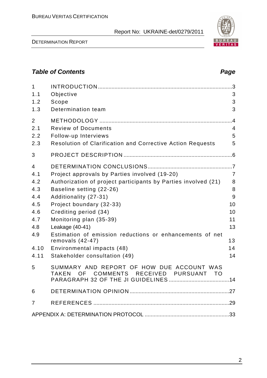DETERMINATION REPORT

2

# **Table of Contents Page 2014**

| $\mathbf{1}$<br>1.1<br>1.2<br>1.3                                                | Objective<br>Scope<br>Determination team                                                                                                                                                                                                                                                                                                                                                                                 | $\cdot$ 3<br>3<br>3<br>3                                                |
|----------------------------------------------------------------------------------|--------------------------------------------------------------------------------------------------------------------------------------------------------------------------------------------------------------------------------------------------------------------------------------------------------------------------------------------------------------------------------------------------------------------------|-------------------------------------------------------------------------|
| $\overline{2}$<br>2.1<br>2.2<br>2.3                                              | <b>Review of Documents</b><br>Follow-up Interviews<br>Resolution of Clarification and Corrective Action Requests                                                                                                                                                                                                                                                                                                         | .4<br>$\overline{4}$<br>5<br>5                                          |
| 3                                                                                |                                                                                                                                                                                                                                                                                                                                                                                                                          |                                                                         |
| 4<br>4.1<br>4.2<br>4.3<br>4.4<br>4.5<br>4.6<br>4.7<br>4.8<br>4.9<br>4.10<br>4.11 | Project approvals by Parties involved (19-20)<br>Authorization of project participants by Parties involved (21)<br>Baseline setting (22-26)<br>Additionality (27-31)<br>Project boundary (32-33)<br>Crediting period (34)<br>Monitoring plan (35-39)<br>Leakage (40-41)<br>Estimation of emission reductions or enhancements of net<br>removals $(42-47)$<br>Environmental impacts (48)<br>Stakeholder consultation (49) | $\overline{7}$<br>8<br>8<br>9<br>10<br>10<br>11<br>13<br>13<br>14<br>14 |
| 5                                                                                | SUMMARY AND REPORT OF HOW DUE ACCOUNT WAS<br>COMMENTS RECEIVED PURSUANT TO<br>OF a<br><b>TAKEN</b>                                                                                                                                                                                                                                                                                                                       |                                                                         |
| 6                                                                                |                                                                                                                                                                                                                                                                                                                                                                                                                          |                                                                         |
| $\overline{7}$                                                                   |                                                                                                                                                                                                                                                                                                                                                                                                                          |                                                                         |
|                                                                                  |                                                                                                                                                                                                                                                                                                                                                                                                                          |                                                                         |

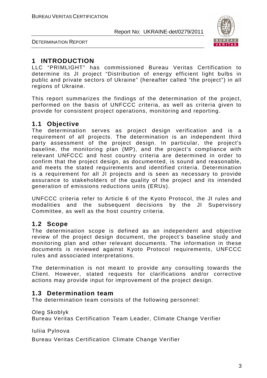

DETERMINATION REPORT

# **1 INTRODUCTION**

LLC "PRIMLIGHT" has commissioned Bureau Veritas Certification to determine its JI project "Distribution of energy efficient light bulbs in public and private sectors of Ukraine" (hereafter called "the project") in all regions of Ukraine.

This report summarizes the findings of the determination of the project, performed on the basis of UNFCCC criteria, as well as criteria given to provide for consistent project operations, monitoring and reporting.

# **1.1 Objective**

The determination serves as project design verification and is a requirement of all projects. The determination is an independent third party assessment of the project design. In particular, the project's baseline, the monitoring plan (MP), and the project's compliance with relevant UNFCCC and host country criteria are determined in order to confirm that the project design, as documented, is sound and reasonable, and meets the stated requirements and identified criteria. Determination is a requirement for all JI projects and is seen as necessary to provide assurance to stakeholders of the quality of the project and its intended generation of emissions reductions units (ERUs).

UNFCCC criteria refer to Article 6 of the Kyoto Protocol, the JI rules and modalities and the subsequent decisions by the JI Supervisory Committee, as well as the host country criteria.

# **1.2 Scope**

The determination scope is defined as an independent and objective review of the project design document, the project's baseline study and monitoring plan and other relevant documents. The information in these documents is reviewed against Kyoto Protocol requirements, UNFCCC rules and associated interpretations.

The determination is not meant to provide any consulting towards the Client. However, stated requests for clarifications and/or corrective actions may provide input for improvement of the project design.

# **1.3 Determination team**

The determination team consists of the following personnel:

Oleg Skoblyk

Bureau Veritas Certification Team Leader, Climate Change Verifier

Iuliia Pylnova

Bureau Veritas Certification Climate Change Verifier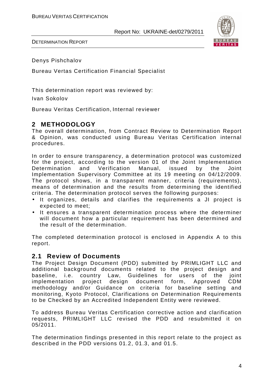

DETERMINATION REPORT

Denys Pishchalov

Bureau Vertas Certification Financial Specialist

This determination report was reviewed by:

Ivan Sokolov

Bureau Veritas Certification, Internal reviewer

# **2 METHODOLOGY**

The overall determination, from Contract Review to Determination Report & Opinion, was conducted using Bureau Veritas Certification internal procedures.

In order to ensure transparency, a determination protocol was customized for the project, according to the version 01 of the Joint Implementation Determination and Verification Manual, issued by the Joint Implementation Supervisory Committee at its 19 meeting on 04/12/2009. The protocol shows, in a transparent manner, criteria (requirements), means of determination and the results from determining the identified criteria. The determination protocol serves the following purposes:

- It organizes, details and clarifies the requirements a JI project is expected to meet;
- It ensures a transparent determination process where the determiner will document how a particular requirement has been determined and the result of the determination.

The completed determination protocol is enclosed in Appendix A to this report.

### **2.1 Review of Documents**

The Project Design Document (PDD) submitted by PRIMLIGHT LLC and additional background documents related to the project design and baseline, i.e. country Law, Guidelines for users of the joint implementation project design document form, Approved CDM methodology and/or Guidance on criteria for baseline setting and monitoring, Kyoto Protocol, Clarifications on Determination Requirements to be Checked by an Accredited Independent Entity were reviewed.

To address Bureau Veritas Certification corrective action and clarification requests, PRIMLIGHT LLC revised the PDD and resubmitted it on 05/2011.

The determination findings presented in this report relate to the project as described in the PDD versions 01.2, 01.3, and 01.5.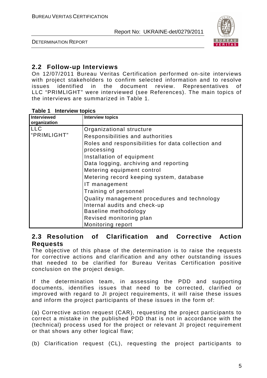

DETERMINATION REPORT

# **2.2 Follow-up Interviews**

On 12/07/2011 Bureau Veritas Certification performed on-site interviews with project stakeholders to confirm selected information and to resolve issues identified in the document review. Representatives of LLC "PRIMLIGHT" were interviewed (see References). The main topics of the interviews are summarized in Table 1.

|  | Table 1 |  | <b>Interview topics</b> |  |
|--|---------|--|-------------------------|--|
|--|---------|--|-------------------------|--|

| <b>Interviewed</b> | <b>Interview topics</b>                            |
|--------------------|----------------------------------------------------|
| organization       |                                                    |
| <b>LLC</b>         | Organizational structure                           |
| "PRIMLIGHT"        | Responsibilities and authorities                   |
|                    | Roles and responsibilities for data collection and |
|                    | processing                                         |
|                    | Installation of equipment                          |
|                    | Data logging, archiving and reporting              |
|                    | Metering equipment control                         |
|                    | Metering record keeping system, database           |
|                    | IT management                                      |
|                    | Training of personnel                              |
|                    | Quality management procedures and technology       |
|                    | Internal audits and check-up                       |
|                    | Baseline methodology                               |
|                    | Revised monitoring plan                            |
|                    | Monitoring report                                  |

### **2.3 Resolution of Clarification and Corrective Action Requests**

The objective of this phase of the determination is to raise the requests for corrective actions and clarification and any other outstanding issues that needed to be clarified for Bureau Veritas Certification positive conclusion on the project design.

If the determination team, in assessing the PDD and supporting documents, identifies issues that need to be corrected, clarified or improved with regard to JI project requirements, it will raise these issues and inform the project participants of these issues in the form of:

(a) Corrective action request (CAR), requesting the project participants to correct a mistake in the published PDD that is not in accordance with the (technical) process used for the project or relevant JI project requirement or that shows any other logical flaw;

(b) Clarification request (CL), requesting the project participants to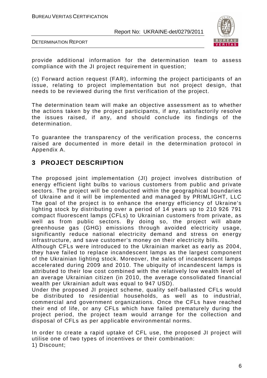



provide additional information for the determination team to assess compliance with the JI project requirement in question;

(c) Forward action request (FAR), informing the project participants of an issue, relating to project implementation but not project design, that needs to be reviewed during the first verification of the project.

The determination team will make an objective assessment as to whether the actions taken by the project participants, if any, satisfactorily resolve the issues raised, if any, and should conclude its findings of the determination.

To guarantee the transparency of the verification process, the concerns raised are documented in more detail in the determination protocol in Appendix A.

# **3 PROJECT DESCRIPTION**

The proposed joint implementation (JI) project involves distribution of energy efficient light bulbs to various customers from public and private sectors. The project will be conducted within the geographical boundaries of Ukraine and it will be implemented and managed by PRIMLIGHT, LLC The goal of the project is to enhance the energy efficiency of Ukraine's lighting stock by distributing over a period of 14 years up to 210 926 791 compact fluorescent lamps (CFLs) to Ukrainian customers from private, as well as from public sectors. By doing so, the project will abate greenhouse gas (GHG) emissions through avoided electricity usage, significantly reduce national electricity demand and stress on energy infrastructure, and save customer's money on their electricity bills.

Although CFLs were introduced to the Ukrainian market as early as 2004, they have failed to replace incandescent lamps as the largest component of the Ukrainian lighting stock. Moreover, the sales of incandescent lamps accelerated during 2009 and 2010. The ubiquity of incandescent lamps is attributed to their low cost combined with the relatively low wealth level of an average Ukrainian citizen (in 2010, the average consolidated financial wealth per Ukrainian adult was equal to 947 USD).

Under the proposed JI project scheme, quality self-ballasted CFLs would be distributed to residential households, as well as to industrial, commercial and government organizations. Once the CFLs have reached their end of life, or any CFLs which have failed prematurely during the project period, the project team would arrange for the collection and disposal of CFLs as per applicable environmental norms.

In order to create a rapid uptake of CFL use, the proposed JI project will utilise one of two types of incentives or their combination: 1) Discount;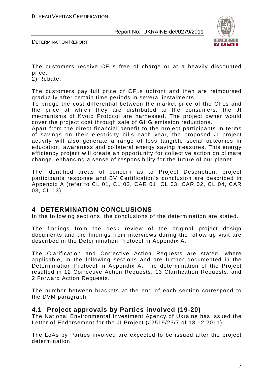

DETERMINATION REPORT

The customers receive CFLs free of charge or at a heavily discounted price.

2) Rebate;

The customers pay full price of CFLs upfront and then are reimbursed gradually after certain time periods in several instalments.

To bridge the cost differential between the market price of the CFLs and the price at which they are distributed to the consumers, the JI mechanisms of Kyoto Protocol are harnessed. The project owner would cover the project cost through sale of GHG emission reductions.

Apart from the direct financial benefit to the project participants in terms of savings on their electricity bills each year, the proposed JI project activity will also generate a range of less tangible social outcomes in education, awareness and collateral energy saving measures. This energy efficiency project will create an opportunity for collective action on climate change, enhancing a sense of responsibility for the future of our planet.

The identified areas of concern as to Project Description, project participants response and BV Certification's conclusion are described in Appendix A (refer to CL 01, CL 02, CAR 01, CL 03, CAR 02, CL 04, CAR 03, CL 13).

### **4 DETERMINATION CONCLUSIONS**

In the following sections, the conclusions of the determination are stated.

The findings from the desk review of the original project design documents and the findings from interviews during the follow up visit are described in the Determination Protocol in Appendix A.

The Clarification and Corrective Action Requests are stated, where applicable, in the following sections and are further documented in the Determination Protocol in Appendix A. The determination of the Project resulted in 12 Corrective Action Requests, 13 Clarification Requests, and 2 Forward Action Requests.

The number between brackets at the end of each section correspond to the DVM paragraph

#### **4.1 Project approvals by Parties involved (19-20)**

The National Environmental Investment Agency of Ukraine has issued the Letter of Endorsement for the JI Project (#2519/23/7 of 13.12.2011).

The LoAs by Parties involved are expected to be issued after the project determination.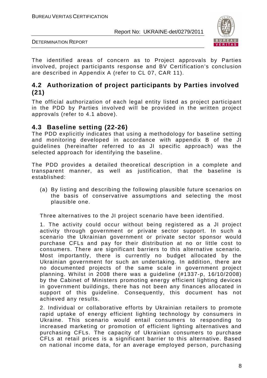

DETERMINATION REPORT

The identified areas of concern as to Project approvals by Parties involved, project participants response and BV Certification's conclusion are described in Appendix A (refer to CL 07, CAR 11).

# **4.2 Authorization of project participants by Parties involved (21)**

The official authorization of each legal entity listed as project participant in the PDD by Parties involved will be provided in the written project approvals (refer to 4.1 above).

# **4.3 Baseline setting (22-26)**

The PDD explicitly indicates that using a methodology for baseline setting and monitoring developed in accordance with appendix B of the JI guidelines (hereinafter referred to as JI specific approach) was the selected approach for identifying the baseline.

The PDD provides a detailed theoretical description in a complete and transparent manner, as well as justification, that the baseline is established:

(a) By listing and describing the following plausible future scenarios on the basis of conservative assumptions and selecting the most plausible one.

Three alternatives to the JI project scenario have been identified.

1. The activity could occur without being registered as a JI project activity through government or private sector support. In such a scenario the Ukrainian government or private sector sponsor would purchase CFLs and pay for their distribution at no or little cost to consumers. There are significant barriers to this alternative scenario. Most importantly, there is currently no budget allocated by the Ukrainian government for such an undertaking. In addition, there are no documented projects of the same scale in government project planning. Whilst in 2008 there was a guideline (#1337-p, 16/10/2008) by the Cabinet of Ministers promoting energy efficient lighting devices in government buildings, there has not been any finances allocated in support of this guideline. Consequently, this document has not achieved any results.

2. Individual or collaborative efforts by Ukrainian retailers to promote rapid uptake of energy efficient lighting technology by consumers in Ukraine. This scenario would entail consumers to responding to increased marketing or promotion of efficient lighting alternatives and purchasing CFLs. The capacity of Ukrainian consumers to purchase CFLs at retail prices is a significant barrier to this alternative. Based on national income data, for an average employed person, purchasing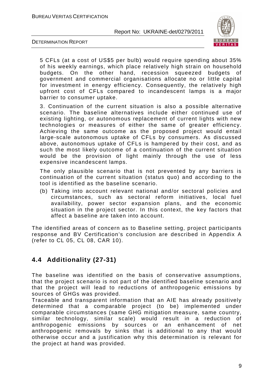

DETERMINATION REPORT

5 CFLs (at a cost of US\$5 per bulb) would require spending about 35% of his weekly earnings, which place relatively high strain on household budgets. On the other hand, recession squeezed budgets of government and commercial organisations allocate no or little capital for investment in energy efficiency. Consequently, the relatively high upfront cost of CFLs compared to incandescent lamps is a major barrier to consumer uptake.

3. Continuation of the current situation is also a possible alternative scenario. The baseline alternatives include either continued use of existing lighting, or autonomous replacement of current lights with new technologies or measures of either the same of greater efficiency. Achieving the same outcome as the proposed project would entail large-scale autonomous uptake of CFLs by consumers. As discussed above, autonomous uptake of CFLs is hampered by their cost, and as such the most likely outcome of a continuation of the current situation would be the provision of light mainly through the use of less expensive incandescent lamps.

The only plausible scenario that is not prevented by any barriers is continuation of the current situation (status quo) and according to the tool is identified as the baseline scenario.

(b) Taking into account relevant national and/or sectoral policies and circumstances, such as sectoral reform initiatives, local fuel availability, power sector expansion plans, and the economic situation in the project sector. In this context, the key factors that affect a baseline are taken into account.

The identified areas of concern as to Baseline setting, project participants response and BV Certification's conclusion are described in Appendix A (refer to CL 05, CL 08, CAR 10).

# **4.4 Additionality (27-31)**

The baseline was identified on the basis of conservative assumptions, that the project scenario is not part of the identified baseline scenario and that the project will lead to reductions of anthropogenic emissions by sources of GHGs was provided.

Traceable and transparent information that an AIE has already positively determined that a comparable project (to be) implemented under comparable circumstances (same GHG mitigation measure, same country, similar technology, similar scale) would result in a reduction of anthropogenic emissions by sources or an enhancement of net anthropogenic removals by sinks that is additional to any that would otherwise occur and a justification why this determination is relevant for the project at hand was provided.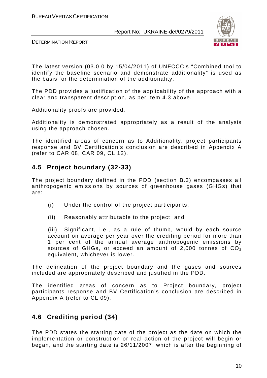



The latest version (03.0.0 by 15/04/2011) of UNFCCC's "Combined tool to identify the baseline scenario and demonstrate additionality" is used as the basis for the determination of the additionality.

The PDD provides a justification of the applicability of the approach with a clear and transparent description, as per item 4.3 above.

Additionality proofs are provided.

Additionality is demonstrated appropriately as a result of the analysis using the approach chosen.

The identified areas of concern as to Additionality, project participants response and BV Certification's conclusion are described in Appendix A (refer to CAR 08, CAR 09, CL 12).

# **4.5 Project boundary (32-33)**

The project boundary defined in the PDD (section B.3) encompasses all anthropogenic emissions by sources of greenhouse gases (GHGs) that are:

- (i) Under the control of the project participants;
- (ii) Reasonably attributable to the project; and

(iii) Significant, i.e., as a rule of thumb, would by each source account on average per year over the crediting period for more than 1 per cent of the annual average anthropogenic emissions by sources of GHGs, or exceed an amount of 2,000 tonnes of  $CO<sub>2</sub>$ equivalent, whichever is lower.

The delineation of the project boundary and the gases and sources included are appropriately described and justified in the PDD.

The identified areas of concern as to Project boundary, project participants response and BV Certification's conclusion are described in Appendix A (refer to CL 09).

# **4.6 Crediting period (34)**

The PDD states the starting date of the project as the date on which the implementation or construction or real action of the project will begin or began, and the starting date is 26/11/2007, which is after the beginning of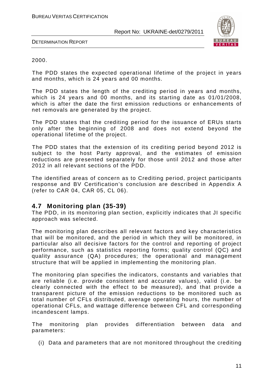

DETERMINATION REPORT

#### 2000.

The PDD states the expected operational lifetime of the project in years and months, which is 24 years and 00 months.

The PDD states the length of the crediting period in years and months, which is 24 years and 00 months, and its starting date as 01/01/2008, which is after the date the first emission reductions or enhancements of net removals are generated by the project.

The PDD states that the crediting period for the issuance of ERUs starts only after the beginning of 2008 and does not extend beyond the operational lifetime of the project.

The PDD states that the extension of its crediting period beyond 2012 is subject to the host Party approval, and the estimates of emission reductions are presented separately for those until 2012 and those after 2012 in all relevant sections of the PDD.

The identified areas of concern as to Crediting period, project participants response and BV Certification's conclusion are described in Appendix A (refer to CAR 04, CAR 05, CL 06).

### **4.7 Monitoring plan (35-39)**

The PDD, in its monitoring plan section, explicitly indicates that JI specific approach was selected.

The monitoring plan describes all relevant factors and key characteristics that will be monitored, and the period in which they will be monitored, in particular also all decisive factors for the control and reporting of project performance, such as statistics reporting forms; quality control (QC) and quality assurance (QA) procedures; the operational and management structure that will be applied in implementing the monitoring plan.

The monitoring plan specifies the indicators, constants and variables that are reliable (i.e. provide consistent and accurate values), valid (i.e. be clearly connected with the effect to be measured), and that provide a transparent picture of the emission reductions to be monitored such as total number of CFLs distributed, average operating hours, the number of operational CFLs, and wattage difference between CFL and corresponding incandescent lamps.

The monitoring plan provides differentiation between data and parameters:

(i) Data and parameters that are not monitored throughout the crediting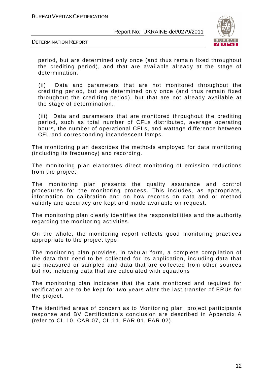

DETERMINATION REPORT

period, but are determined only once (and thus remain fixed throughout the crediting period), and that are available already at the stage of determination.

(ii) Data and parameters that are not monitored throughout the crediting period, but are determined only once (and thus remain fixed throughout the crediting period), but that are not already available at the stage of determination.

(iii) Data and parameters that are monitored throughout the crediting period, such as total number of CFLs distributed, average operating hours, the number of operational CFLs, and wattage difference between CFL and corresponding incandescent lamps.

The monitoring plan describes the methods employed for data monitoring (including its frequency) and recording.

The monitoring plan elaborates direct monitoring of emission reductions from the project.

The monitoring plan presents the quality assurance and control procedures for the monitoring process. This includes, as appropriate, information on calibration and on how records on data and or method validity and accuracy are kept and made available on request.

The monitoring plan clearly identifies the responsibilities and the authority regarding the monitoring activities.

On the whole, the monitoring report reflects good monitoring practices appropriate to the project type.

The monitoring plan provides, in tabular form, a complete compilation of the data that need to be collected for its application, including data that are measured or sampled and data that are collected from other sources but not including data that are calculated with equations

The monitoring plan indicates that the data monitored and required for verification are to be kept for two years after the last transfer of ERUs for the project.

The identified areas of concern as to Monitoring plan, project participants response and BV Certification's conclusion are described in Appendix A (refer to CL 10, CAR 07, CL 11, FAR 01, FAR 02).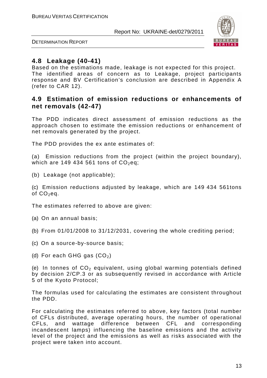

DETERMINATION REPORT

# **4.8 Leakage (40-41)**

Based on the estimations made, leakage is not expected for this project. The identified areas of concern as to Leakage, project participants response and BV Certification's conclusion are described in Appendix A (refer to CAR 12).

# **4.9 Estimation of emission reductions or enhancements of net removals (42-47)**

The PDD indicates direct assessment of emission reductions as the approach chosen to estimate the emission reductions or enhancement of net removals generated by the project.

The PDD provides the ex ante estimates of:

(a) Emission reductions from the project (within the project boundary), which are 149 434 561 tons of  $CO<sub>2</sub>$ eq;

(b) Leakage (not applicable);

(c) Emission reductions adjusted by leakage, which are 149 434 561tons of  $CO<sub>2</sub>$ eq.

The estimates referred to above are given:

(a) On an annual basis;

(b) From 01/01/2008 to 31/12/2031, covering the whole crediting period;

- (c) On a source-by-source basis;
- (d) For each GHG gas  $(CO<sub>2</sub>)$

(e) In tonnes of  $CO<sub>2</sub>$  equivalent, using global warming potentials defined by decision 2/CP.3 or as subsequently revised in accordance with Article 5 of the Kyoto Protocol;

The formulas used for calculating the estimates are consistent throughout the PDD.

For calculating the estimates referred to above, key factors (total number of CFLs distributed, average operating hours, the number of operational CFLs, and wattage difference between CFL and corresponding incandescent lamps) influencing the baseline emissions and the activity level of the project and the emissions as well as risks associated with the project were taken into account.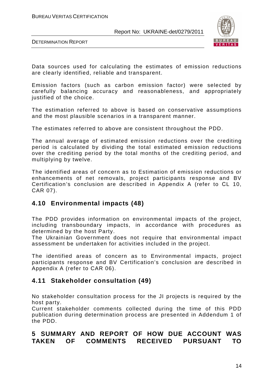



Data sources used for calculating the estimates of emission reductions are clearly identified, reliable and transparent.

Emission factors (such as carbon emission factor) were selected by carefully balancing accuracy and reasonableness, and appropriately justified of the choice.

The estimation referred to above is based on conservative assumptions and the most plausible scenarios in a transparent manner.

The estimates referred to above are consistent throughout the PDD.

The annual average of estimated emission reductions over the crediting period is calculated by dividing the total estimated emission reductions over the crediting period by the total months of the crediting period, and multiplying by twelve.

The identified areas of concern as to Estimation of emission reductions or enhancements of net removals, project participants response and BV Certification's conclusion are described in Appendix A (refer to СL 10, CAR 07).

# **4.10 Environmental impacts (48)**

The PDD provides information on environmental impacts of the project, including transboundary impacts, in accordance with procedures as determined by the host Party.

The Ukrainian Government does not require that environmental impact assessment be undertaken for activities included in the project.

The identified areas of concern as to Environmental impacts, project participants response and BV Certification's conclusion are described in Appendix A (refer to CAR 06).

# **4.11 Stakeholder consultation (49)**

No stakeholder consultation process for the JI projects is required by the host party.

Current stakeholder comments collected during the time of this PDD publication during determination process are presented in Addendum 1 of the PDD.

# **5 SUMMARY AND REPORT OF HOW DUE ACCOUNT WAS TAKEN OF COMMENTS RECEIVED PURSUANT TO**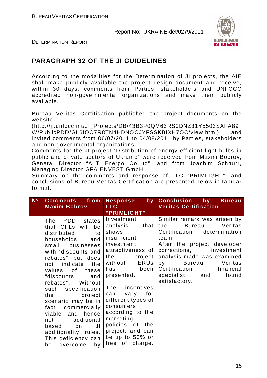

DETERMINATION REPORT

# **PARAGRAPH 32 OF THE JI GUIDELINES**

According to the modalities for the Determination of JI projects, the AIE shall make publicly available the project design document and receive, within 30 days, comments from Parties, stakeholders and UNFCCC accredited non-governmental organizations and make them publicly available.

Bureau Veritas Certification published the project documents on the website

(http://ji.unfccc.int/JI\_Projects/DB/43B3P0QM63RS0DNZ31Y5503SAFA89 W/PublicPDD/GL6IQO7R8TN4HDNQCJYFSSKBIXH7OC/view.html) and invited comments from 06/07/2011 to 04/08/2011 by Parties, stakeholders and non-governmental organizations.

Comments for the JI project "Distribution of energy efficient light bulbs in public and private sectors of Ukraine" were received from Maxim Bobrov, General Director "ALT Energo Co.Ltd", and from Joachim Schnurr, Managing Director GFA ENVEST GmbH.

Summary on the comments and response of LLC "PRIMLIGHT", and conclusions of Bureau Veritas Certification are presented below in tabular format.

| $N2$ . | <b>Comments</b><br>from<br><b>Maxim Bobrov</b>                                                                                                                                                                                                                                                                                                                                                                                                                                     | by<br>Response<br>LLC.                                                                                                                                                                                                                                                                                                                                          | <b>Conclusion</b> by<br><b>Bureau</b><br><b>Veritas Certification</b>                                                                                                                                                                                                                                          |
|--------|------------------------------------------------------------------------------------------------------------------------------------------------------------------------------------------------------------------------------------------------------------------------------------------------------------------------------------------------------------------------------------------------------------------------------------------------------------------------------------|-----------------------------------------------------------------------------------------------------------------------------------------------------------------------------------------------------------------------------------------------------------------------------------------------------------------------------------------------------------------|----------------------------------------------------------------------------------------------------------------------------------------------------------------------------------------------------------------------------------------------------------------------------------------------------------------|
|        |                                                                                                                                                                                                                                                                                                                                                                                                                                                                                    | "PRIMLIGHT"                                                                                                                                                                                                                                                                                                                                                     |                                                                                                                                                                                                                                                                                                                |
| 1      | PDD states<br>The<br>that CFLs will<br>be<br>distributed<br>to<br>households<br>and<br>businesses<br>small<br>with "discounts and<br>rebates" but does<br>the<br>indicate<br>not<br>of<br>these<br>values<br>"discounts<br>and<br>Without<br>rebates".<br>such specification<br>project<br>the<br>scenario may be in<br>commercially<br>fact<br>viable and hence<br>additional<br>not<br>JI<br>based<br>on.<br>additionality rules.<br>This deficiency can<br>overcome<br>by<br>be | Investment<br>that<br>analysis<br>shows<br>insufficient<br>investment<br>attractiveness of<br>project<br>the<br><b>ERUS</b><br>without<br>been<br>has<br>presented.<br>The incentives<br>vary for<br>can<br>different types of<br>consumers<br>according to the<br>marketing<br>policies of the<br>project, and can<br>be up to 50% or<br>of<br>charge.<br>free | Similar remark was arisen by<br>Veritas<br>the<br><b>Bureau</b><br>Certification determination<br>team.<br>After the project developer<br>corrections,<br>investment<br>analysis made was examined<br>by<br><b>Bureau</b><br>Veritas<br>Certification<br>financial<br>specialist and<br>found<br>satisfactory. |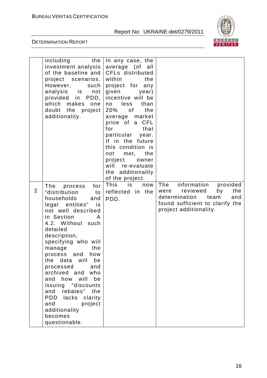

|                | including<br>the<br>investment analysis<br>of the baseline and<br>project scenarios.<br>However,<br>such<br>analysis is<br>not<br>provided in PDD,<br>which<br>makes<br>one<br>doubt<br>the project<br>additionality.                                                                                                                                                                                                                                                             | In any case, the<br>average (of<br>all<br>CFLs distributed<br>within<br>the<br>project for any<br>given<br>year)<br>incentive will be<br>less<br>than<br>no<br>20%<br>the<br>of<br>market<br>average<br>price of a CFL<br>for<br>that<br>particular year.<br>If in the future<br>this condition is<br>met,<br>the<br>not<br>project<br>owner<br>will re-evaluate<br>the additionality<br>of the project. |                                                                                                                                                              |
|----------------|-----------------------------------------------------------------------------------------------------------------------------------------------------------------------------------------------------------------------------------------------------------------------------------------------------------------------------------------------------------------------------------------------------------------------------------------------------------------------------------|----------------------------------------------------------------------------------------------------------------------------------------------------------------------------------------------------------------------------------------------------------------------------------------------------------------------------------------------------------------------------------------------------------|--------------------------------------------------------------------------------------------------------------------------------------------------------------|
| $\overline{2}$ | for<br>The<br>process<br>"distribution<br>to<br>households<br>and<br>legal entities" is<br>not well described<br>in Section<br>A<br>4.2. Without such<br>detailed<br>description,<br>specifying who will<br>the<br>manage<br>and<br>process<br>how<br>data<br>will<br>the<br>be<br>processed<br>and<br>archived and who<br>how will<br>be<br>and<br>issuing "discounts<br>rebates" the<br>and<br>PDD lacks clarity<br>and<br>project<br>additionality<br>becomes<br>questionable. | This<br>is<br>now<br>reflected in the<br>PDD.                                                                                                                                                                                                                                                                                                                                                            | information<br>The<br>provided<br>the<br>were<br>reviewed<br>by<br>determination<br>team<br>and<br>found sufficient to clarify the<br>project additionality. |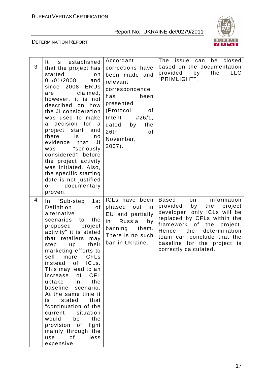

| 3 | It is established<br>that the project has<br>started<br>on<br>01/01/2008<br>and<br>since 2008 ERUs<br>claimed,<br>are<br>however, it is not<br>described on how<br>the JI consideration<br>was used to make<br>a decision for a<br>project start and<br>there<br>is<br>no<br>evidence that<br>JI<br>was "seriously<br>considered" before<br>the project activity<br>was initiated. Also,<br>the specific starting<br>date is not justified<br>documentary<br>or<br>proven.                                                                                   | Accordant<br>corrections have<br>been made and<br>relevant<br>correspondence<br>has<br>been<br>presented<br>(Protocol<br>0f<br>Intent<br>#26/1,<br>dated by<br>the<br>26th<br>of<br>November,<br>$2007$ ). | The issue can be<br>closed<br>based on the documentation<br>provided<br>by<br>the<br><b>LLC</b><br>"PRIMLIGHT".                                                                                                                                                              |
|---|--------------------------------------------------------------------------------------------------------------------------------------------------------------------------------------------------------------------------------------------------------------------------------------------------------------------------------------------------------------------------------------------------------------------------------------------------------------------------------------------------------------------------------------------------------------|------------------------------------------------------------------------------------------------------------------------------------------------------------------------------------------------------------|------------------------------------------------------------------------------------------------------------------------------------------------------------------------------------------------------------------------------------------------------------------------------|
| 4 | $1a$ :<br>In "Sub-step<br>Definition<br>of<br>alternative<br>scenarios to<br>the<br>proposed project<br>activity" it is stated<br>that retailers<br>may<br>step<br>their<br>up<br>marketing efforts to<br>sell more CFLs<br>of<br>ICL <sub>s.</sub><br>instead<br>This may lead to an<br>CFL<br>increase of<br>the<br>uptake<br>in.<br>baseline scenario.<br>At the same time it<br>stated<br>that<br>is<br>"continuation of the<br>current situation<br>the<br>would<br>be<br>provision of<br>light<br>mainly through the<br>0f<br>less<br>use<br>expensive | ICLs have been<br>phased<br>in<br>out<br>EU and partially<br>Russia<br>in i<br>by<br>banning<br>them.<br>There is no such<br>ban in Ukraine.                                                               | information<br>Based<br>on<br>provided by<br>the<br>project<br>developer, only ICLs will be<br>replaced by CFLs within the<br>framework of the project.<br>Hence, the<br>determination<br>team can conclude that the<br>baseline for the project is<br>correctly calculated. |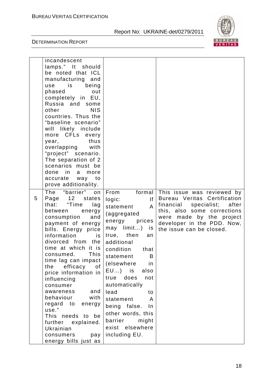

|   | incandescent          |                       |                                |
|---|-----------------------|-----------------------|--------------------------------|
|   | lamps." It should     |                       |                                |
|   | be noted that ICL     |                       |                                |
|   | manufacturing and     |                       |                                |
|   | is is<br>being<br>use |                       |                                |
|   | phased<br>out         |                       |                                |
|   | completely in EU,     |                       |                                |
|   | Russia and some       |                       |                                |
|   | <b>NIS</b><br>other   |                       |                                |
|   | countries. Thus the   |                       |                                |
|   | "baseline scenario"   |                       |                                |
|   | will likely include   |                       |                                |
|   | more CFLs every       |                       |                                |
|   | thus<br>year,         |                       |                                |
|   | overlapping with      |                       |                                |
|   | "project" scenario.   |                       |                                |
|   | The separation of 2   |                       |                                |
|   | scenarios must be     |                       |                                |
|   | done in a<br>more     |                       |                                |
|   | accurate way to       |                       |                                |
|   | prove additionality.  |                       |                                |
|   | The "barrier"<br>on   | formal<br>From        | This issue was reviewed by     |
| 5 | Page 12 states        | f <br>logic:          | Bureau Veritas Certification   |
|   | that: "Time<br>lag    | $\mathsf{A}$          | financial specialist;<br>after |
|   | between energy        | statement             | this, also some corrections    |
|   | consumption<br>and    | (aggregated           | were made by the project       |
|   | payment of energy     | energy<br>prices      | developer in the PDD. Now,     |
|   | bills. Energy price   | may limit) is         | the issue can be closed.       |
|   | information<br>is.    | true, then<br>an      |                                |
|   | divorced from the     | additional            |                                |
|   | time at which it is   | condition<br>that     |                                |
|   | This<br>consumed.     |                       |                                |
|   | time lag can impact   | statement<br>Β        |                                |
|   | efficacy<br>the<br>of | (elsewhere<br>in      |                                |
|   | price information in  | EU) is<br>also        |                                |
|   | influencing           | does<br>not<br>true   |                                |
|   | consumer              | automatically         |                                |
|   | and<br>awareness      | lead<br>to            |                                |
|   | behaviour<br>with     | statement<br>A        |                                |
|   | regard to<br>energy   |                       |                                |
|   | use."                 | being false.<br>$\ln$ |                                |
|   | This needs to be      | other words, this     |                                |
|   | further explained.    | barrier<br>might      |                                |
|   | Ukrainian             | exist elsewhere       |                                |
|   | consumers<br>pay      | including EU.         |                                |
|   |                       |                       |                                |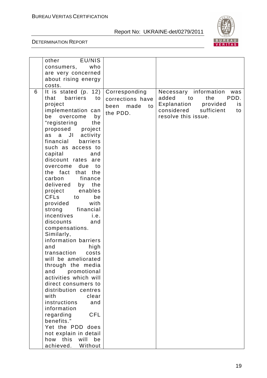



|   | EU/NIS<br>other           |                    |                                |
|---|---------------------------|--------------------|--------------------------------|
|   | who<br>consumers,         |                    |                                |
|   | are very concerned        |                    |                                |
|   | about rising energy       |                    |                                |
|   | costs.                    |                    |                                |
| 6 | It is stated $(p. 12)$    | Corresponding      | Necessary information<br>was   |
|   | that<br>barriers<br>to    | corrections have   | PDD.<br>added<br>to<br>the     |
|   | project                   | made<br>been<br>to | Explanation<br>provided<br>is  |
|   | implementation can        |                    | considered<br>sufficient<br>to |
|   | be<br>overcome<br>by      | the PDD.           | resolve this issue.            |
|   | "registering<br>the       |                    |                                |
|   | proposed<br>project       |                    |                                |
|   | JI<br>activity<br>a<br>as |                    |                                |
|   | financial<br>barriers     |                    |                                |
|   | such as access to         |                    |                                |
|   | capital<br>and            |                    |                                |
|   | discount rates are        |                    |                                |
|   | overcome<br>due<br>to     |                    |                                |
|   | the fact<br>that<br>the   |                    |                                |
|   | carbon<br>finance         |                    |                                |
|   | delivered<br>by the       |                    |                                |
|   | project<br>enables        |                    |                                |
|   | <b>CFLs</b><br>to<br>be   |                    |                                |
|   | provided<br>with          |                    |                                |
|   | strong<br>financial       |                    |                                |
|   | incentives<br>i.e.        |                    |                                |
|   | discounts<br>and          |                    |                                |
|   | compensations.            |                    |                                |
|   | Similarly,                |                    |                                |
|   | information barriers      |                    |                                |
|   | high<br>and               |                    |                                |
|   | transaction<br>costs      |                    |                                |
|   | will be ameliorated       |                    |                                |
|   | through the media         |                    |                                |
|   | and<br>promotional        |                    |                                |
|   | activities which will     |                    |                                |
|   | direct consumers to       |                    |                                |
|   | distribution centres      |                    |                                |
|   | with<br>clear             |                    |                                |
|   | instructions<br>and       |                    |                                |
|   | information               |                    |                                |
|   | <b>CFL</b><br>regarding   |                    |                                |
|   | benefits."                |                    |                                |
|   | Yet the PDD does          |                    |                                |
|   | not explain in detail     |                    |                                |
|   | how this<br>will<br>be    |                    |                                |
|   | achieved.<br>Without      |                    |                                |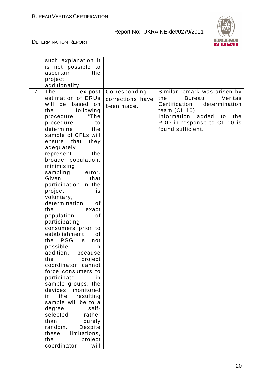

|                | such explanation it<br>is not possible to<br>ascertain<br>the<br>project<br>additionality.                                                                                                                                                                                                                                                                                                                                                                                                                                                                                                                                                                                                                                                                                                                                                                                                                     |                                                 |                                                                                                                                                                                                          |
|----------------|----------------------------------------------------------------------------------------------------------------------------------------------------------------------------------------------------------------------------------------------------------------------------------------------------------------------------------------------------------------------------------------------------------------------------------------------------------------------------------------------------------------------------------------------------------------------------------------------------------------------------------------------------------------------------------------------------------------------------------------------------------------------------------------------------------------------------------------------------------------------------------------------------------------|-------------------------------------------------|----------------------------------------------------------------------------------------------------------------------------------------------------------------------------------------------------------|
| $\overline{7}$ | The<br>ex-post<br>estimation of ERUs<br>will<br>be based on<br>the<br>following<br>procedure:<br>"The<br>procedure<br>to<br>determine<br>the<br>sample of CFLs will<br>ensure that<br>they<br>adequately<br>the<br>represent<br>broader population,<br>minimising<br>sampling<br>error.<br>Given<br>that<br>participation in the<br>project<br>is<br>voluntary,<br>determination<br>οf<br>the<br>exact<br>population<br>of<br>participating<br>consumers prior to<br>establishment<br>of<br><b>PSG</b><br>the<br>is<br>not<br>possible.<br>$\ln$<br>addition,<br>because<br>the<br>project<br>coordinator<br>cannot<br>force consumers to<br>participate<br>in<br>sample groups, the<br>devices monitored<br>the<br>resulting<br>in<br>sample will be to a<br>degree,<br>self-<br>selected<br>rather<br>than<br>purely<br>random.<br>Despite<br>limitations,<br>these<br>the<br>project<br>coordinator<br>will | Corresponding<br>corrections have<br>been made. | Similar remark was arisen by<br>Veritas<br><b>Bureau</b><br>the<br>Certification determination<br>team (CL 10).<br>Information<br>added<br>the<br>to<br>PDD in response to CL 10 is<br>found sufficient. |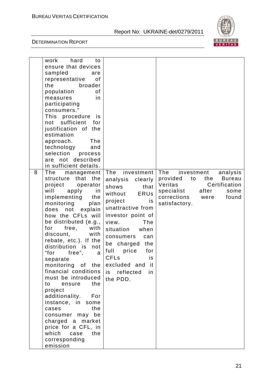

|   | hard<br>work<br>to                  |                        |                                                                  |
|---|-------------------------------------|------------------------|------------------------------------------------------------------|
|   | ensure that devices                 |                        |                                                                  |
|   | sampled<br>are                      |                        |                                                                  |
|   | representative<br>οf                |                        |                                                                  |
|   | the<br>broader                      |                        |                                                                  |
|   | population<br>0f                    |                        |                                                                  |
|   | measures<br>in                      |                        |                                                                  |
|   | participating                       |                        |                                                                  |
|   | consumers."                         |                        |                                                                  |
|   | This procedure<br><i>is</i>         |                        |                                                                  |
|   | sufficient<br>not<br>for            |                        |                                                                  |
|   | justification of the                |                        |                                                                  |
|   | estimation                          |                        |                                                                  |
|   | approach.<br>The                    |                        |                                                                  |
|   | technology<br>and                   |                        |                                                                  |
|   | selection<br>process                |                        |                                                                  |
|   | are not described                   |                        |                                                                  |
|   | in sufficient details.              |                        |                                                                  |
| 8 | The                                 | The<br>investment      | The                                                              |
|   | management<br>that the<br>structure |                        | analysis<br>investment<br>provided<br>to<br><b>Bureau</b><br>the |
|   |                                     | clearly<br>analysis    |                                                                  |
|   | project<br>operator                 | shows<br>that          | Veritas<br>Certification                                         |
|   | will<br>in<br>apply                 | <b>ERUs</b><br>without | specialist<br>after<br>some                                      |
|   | implementing<br>the                 | project<br>is          | corrections<br>found<br>were                                     |
|   | monitoring<br>plan                  | unattractive from      | satisfactory.                                                    |
|   | not<br>explain<br>does              |                        |                                                                  |
|   | how the CFLs will                   | investor point of      |                                                                  |
|   | be distributed (e.g.,               | view.<br><b>The</b>    |                                                                  |
|   | with<br>for<br>free,                | situation<br>when      |                                                                  |
|   | discount,<br>with                   | consumers<br>can       |                                                                  |
|   | rebate, etc.). If the               | be charged<br>the      |                                                                  |
|   | distribution is<br>not              |                        |                                                                  |
|   | "for<br>free",<br>a                 | full<br>price<br>for   |                                                                  |
|   | separate                            | CFLs<br>is             |                                                                  |
|   | monitoring of the                   | excluded and<br>- it   |                                                                  |
|   | financial conditions                | is reflected<br>in     |                                                                  |
|   | must be introduced                  | the PDD.               |                                                                  |
|   | the<br>to<br>ensure                 |                        |                                                                  |
|   | project                             |                        |                                                                  |
|   | additionality.<br>For               |                        |                                                                  |
|   | instance, in<br>some                |                        |                                                                  |
|   | the<br>cases                        |                        |                                                                  |
|   | be<br>consumer may                  |                        |                                                                  |
|   |                                     |                        |                                                                  |
|   | charged a market                    |                        |                                                                  |
|   | price for a CFL, in                 |                        |                                                                  |
|   | which<br>the<br>case                |                        |                                                                  |
|   | corresponding                       |                        |                                                                  |
|   | emission                            |                        |                                                                  |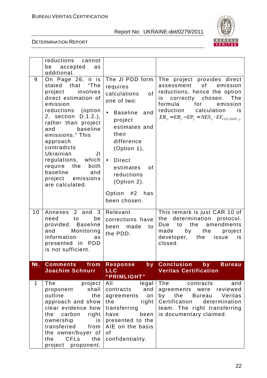

|              | reductions cannot<br>be accepted<br>as                                                                                                                                                                                                                                                                                                                                     |                                                                                                                                                                                                                                                                             |                                                                                                                                                                                                                                           |
|--------------|----------------------------------------------------------------------------------------------------------------------------------------------------------------------------------------------------------------------------------------------------------------------------------------------------------------------------------------------------------------------------|-----------------------------------------------------------------------------------------------------------------------------------------------------------------------------------------------------------------------------------------------------------------------------|-------------------------------------------------------------------------------------------------------------------------------------------------------------------------------------------------------------------------------------------|
|              | additional.                                                                                                                                                                                                                                                                                                                                                                |                                                                                                                                                                                                                                                                             |                                                                                                                                                                                                                                           |
| 9            | On Page 26, it is<br>"The<br>stated that<br>involves<br>project<br>direct estimation of<br>emission<br>reductions (option<br>2, section<br>$D.1.2.$ ),<br>rather than project<br>baseline<br>and<br>emissions." This<br>approach<br>contradicts<br>Ukrainian<br>JI<br>regulations, which<br>require the<br>both<br>baseline<br>and<br>project emissions<br>are calculated. | The JI PDD form<br>requires<br>calculations<br>of<br>one of two:<br><b>Baseline</b><br>and<br>project<br>estimates and<br>their<br>difference<br>(Option 1),<br><b>Direct</b><br>$\bullet$<br>estimates<br>0f<br>reductions<br>(Option 2).<br>Option #2 has<br>been chosen. | The project provides direct<br>assessment of emission<br>reductions, hence the option<br>correctly chosen. The<br>is<br>formula<br>for emission<br>reduction<br>calculation<br>is<br>$ER_y = EB_y - EP_y = NES_y \cdot EF_{CO2, ELEC, y}$ |
| 10           | Annexes 2 and<br>$\overline{\mathbf{3}}$<br>need<br>to<br>be<br>provided. Baseline<br>Monitoring<br>and<br>information<br>as<br>presented in PDD<br>is not sufficient.                                                                                                                                                                                                     | Relevant<br>corrections have<br>been<br>made<br>to<br>the PDD.                                                                                                                                                                                                              | This remark is just CAR 10 of<br>determination protocol.<br>the<br>to the<br>amendments<br>Due<br>by<br>the<br>made<br>project<br>developer, the issue<br>is<br>closed.                                                                   |
| No.          | <b>Comments</b><br>from                                                                                                                                                                                                                                                                                                                                                    | <b>Response</b><br>$by^-$                                                                                                                                                                                                                                                   | <b>Conclusion</b><br>by<br><b>Bureau</b>                                                                                                                                                                                                  |
|              | <b>Joachim Schnurr</b>                                                                                                                                                                                                                                                                                                                                                     | <b>LLC</b>                                                                                                                                                                                                                                                                  | <b>Veritas Certification</b>                                                                                                                                                                                                              |
|              |                                                                                                                                                                                                                                                                                                                                                                            | "PRIMLIGHT"                                                                                                                                                                                                                                                                 |                                                                                                                                                                                                                                           |
| $\mathbf{1}$ | The<br>project<br>shall<br>proponent<br>outline<br>the<br>approach and show<br>clear evidence how<br>the<br>carbon<br>right<br>ownership<br>is<br>transferred<br>from<br>the owner/buyer of<br><b>CFL<sub>s</sub></b><br>the<br>the<br>project proponent.                                                                                                                  | All<br>legal<br>contracts<br>and<br>agreements<br>on<br>the<br>right<br>transferring<br>been<br>have<br>presented to the<br>AIE on the basis<br>of<br>confidentiality.                                                                                                      | The<br>contracts<br>and<br>reviewed<br>agreements were<br>by<br>the<br>Bureau Veritas<br>Certification<br>determination<br>team. The right transferring<br>is documentary claimed.                                                        |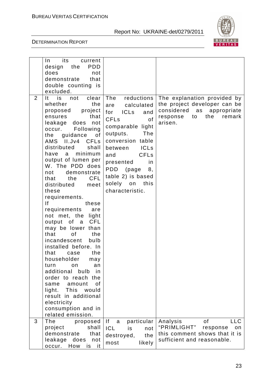

|                | its<br>current<br>In.<br><b>PDD</b><br>design the<br>does<br>not<br>demonstrate<br>that<br>double counting is<br>excluded.                                                                                                                                                                                                                                                                                                                                                                                                                                                                                                                                                                                                                                                                                            |                                                                                                                                                                                                                                                                                                                              |                                                                                                                                              |
|----------------|-----------------------------------------------------------------------------------------------------------------------------------------------------------------------------------------------------------------------------------------------------------------------------------------------------------------------------------------------------------------------------------------------------------------------------------------------------------------------------------------------------------------------------------------------------------------------------------------------------------------------------------------------------------------------------------------------------------------------------------------------------------------------------------------------------------------------|------------------------------------------------------------------------------------------------------------------------------------------------------------------------------------------------------------------------------------------------------------------------------------------------------------------------------|----------------------------------------------------------------------------------------------------------------------------------------------|
| $\overline{2}$ | It is not<br>clear<br>whether<br>the<br>proposed project<br>ensures<br>that<br>leakage does not<br>Following<br>occur.<br>the guidance<br>of<br><b>CFL<sub>s</sub></b><br>AMS II.Jv4<br>distributed<br>shall<br>minimum<br>have<br>a<br>output of lumen per<br>W. The PDD does<br>demonstrate<br>not<br><b>CFL</b><br>that<br>the<br>distributed<br>meet<br>these<br>requirements.<br> f <br>these<br>requirements<br>are<br>not met, the light<br>output of a CFL<br>may be lower than<br>that<br>0f<br>the<br>incandescent<br>bulb<br>installed before. In<br>that<br>the<br>case<br>householder<br>may<br>turn<br>on.<br>an<br>additional<br>bulb<br>in<br>order to reach the<br>0f<br>amount<br>same<br>This<br>light.<br>would<br>result in additional<br>electricity<br>consumption and in<br>related emission. | The<br>reductions<br>calculated<br>are<br>for ICLs<br>and<br><b>CFL<sub>s</sub></b><br>of<br>comparable light<br>The<br>outputs.<br>conversion table<br><b>ICLs</b><br>between<br><b>CFL<sub>s</sub></b><br>and<br>presented<br>in<br><b>PDD</b><br>(page<br>8,<br>table 2) is based<br>solely on<br>this<br>characteristic. | The explanation provided by<br>the project developer can be<br>considered<br>as<br>appropriate<br>the<br>response<br>to<br>remark<br>arisen. |
| 3              | The<br>proposed<br>shall<br>project<br>demonstrate<br>that<br>leakage does<br>not<br>How<br>occur.<br>is<br>it.                                                                                                                                                                                                                                                                                                                                                                                                                                                                                                                                                                                                                                                                                                       | If<br>particular<br>a<br><b>ICL</b><br>is<br>not<br>the<br>destroyed,<br>likely<br>most                                                                                                                                                                                                                                      | <b>of</b><br>Analysis<br><b>LLC</b><br>"PRIMLIGHT"<br>response<br>on<br>this comment shows that it is<br>sufficient and reasonable.          |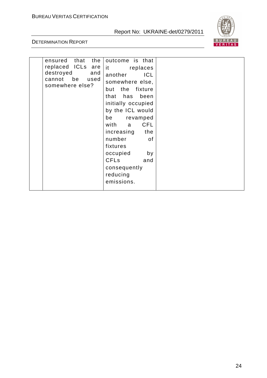

| the<br>ensured that<br>replaced ICLs are<br>destroyed<br>and<br>cannot be<br>used<br>somewhere else? | outcome is that<br>it replaces<br>another<br><b>ICL</b><br>somewhere else,<br>but the fixture<br>that has been<br>initially occupied<br>by the ICL would<br>be revamped<br>with a<br><b>CFL</b><br>increasing<br>the<br>number<br>0f<br>fixtures<br>occupied<br>by<br><b>CFLs</b><br>and<br>consequently<br>reducing<br>emissions. |  |
|------------------------------------------------------------------------------------------------------|------------------------------------------------------------------------------------------------------------------------------------------------------------------------------------------------------------------------------------------------------------------------------------------------------------------------------------|--|
|------------------------------------------------------------------------------------------------------|------------------------------------------------------------------------------------------------------------------------------------------------------------------------------------------------------------------------------------------------------------------------------------------------------------------------------------|--|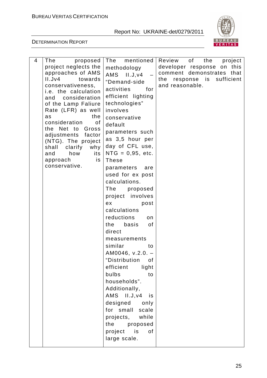

| 4 | proposed<br>The<br>project neglects the<br>approaches of AMS<br>II.Jv4<br>towards<br>conservativeness,<br><i>i.e.</i> the calculation<br>consideration<br>and<br>of the Lamp Faliure<br>Rate (LFR) as well<br>the<br>as<br>consideration<br>0f<br>the Net to Gross<br>adjustments<br>factor<br>(NTG). The project<br>shall<br>clarify<br>why<br>its<br>and<br>how<br>approach<br>is<br>conservative. | mentioned<br>The<br>methodology<br>$AMS$ $II.J.v4$<br>"Demand-side<br>activities<br>for<br>efficient lighting<br>technologies"<br>involves<br>conservative<br>default<br>parameters such<br>as 3,5 hour per<br>day of CFL use,<br>$NTG = 0,95, etc.$<br><b>These</b><br>parameters<br>are<br>used for ex post<br>calculations.<br>The<br>proposed<br>project involves<br>ex<br>post<br>calculations<br>reductions<br>on<br>the<br>basis<br>0f<br>direct<br>measurements<br>similar<br>to<br>$AM0046, v.2.0. -$<br>"Distribution<br>οf<br>efficient<br>light<br>bulbs<br>to<br>households".<br>Additionally,<br>$AMS$ $II.J.v4$<br>is<br>designed only<br>for small<br>scale<br>projects, while<br>the<br>proposed<br>project is<br>of<br>large scale. | $\circ$ f $\overline{\phantom{0}}$<br>Review<br>the<br>project<br>this<br>developer response on<br>comment demonstrates<br>that<br>response is sufficient<br>the<br>and reasonable. |
|---|------------------------------------------------------------------------------------------------------------------------------------------------------------------------------------------------------------------------------------------------------------------------------------------------------------------------------------------------------------------------------------------------------|-------------------------------------------------------------------------------------------------------------------------------------------------------------------------------------------------------------------------------------------------------------------------------------------------------------------------------------------------------------------------------------------------------------------------------------------------------------------------------------------------------------------------------------------------------------------------------------------------------------------------------------------------------------------------------------------------------------------------------------------------------|-------------------------------------------------------------------------------------------------------------------------------------------------------------------------------------|
|---|------------------------------------------------------------------------------------------------------------------------------------------------------------------------------------------------------------------------------------------------------------------------------------------------------------------------------------------------------------------------------------------------------|-------------------------------------------------------------------------------------------------------------------------------------------------------------------------------------------------------------------------------------------------------------------------------------------------------------------------------------------------------------------------------------------------------------------------------------------------------------------------------------------------------------------------------------------------------------------------------------------------------------------------------------------------------------------------------------------------------------------------------------------------------|-------------------------------------------------------------------------------------------------------------------------------------------------------------------------------------|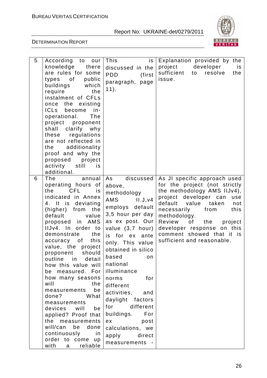

| 5<br>According<br>to<br>our<br>knowledge<br>there<br>are rules for some<br>of<br>public<br>types<br>buildings<br>which<br>require<br>the<br>instalment of CFLs<br>once the<br>existing<br><b>ICLs</b><br>become<br>in-<br>operational.<br>The<br>project<br>proponent<br>shall clarify why<br>regulations<br>these<br>are not reflected in<br>additionality<br>the<br>proof and why the<br>proposed<br>project<br>activity<br>still<br>is<br>additional.                                                                                                                                                                       | This<br>is<br>discussed in the<br><b>PDD</b><br>(first<br>paragraph, page<br>$11$ .                                                                                                                                                                                                                                                                                                                                                          | Explanation provided by the<br>developer<br>project<br>is<br>sufficient<br>resolve<br>to<br>the<br>issue.                                                                                                                                                                                                                               |
|--------------------------------------------------------------------------------------------------------------------------------------------------------------------------------------------------------------------------------------------------------------------------------------------------------------------------------------------------------------------------------------------------------------------------------------------------------------------------------------------------------------------------------------------------------------------------------------------------------------------------------|----------------------------------------------------------------------------------------------------------------------------------------------------------------------------------------------------------------------------------------------------------------------------------------------------------------------------------------------------------------------------------------------------------------------------------------------|-----------------------------------------------------------------------------------------------------------------------------------------------------------------------------------------------------------------------------------------------------------------------------------------------------------------------------------------|
| The<br>6<br>annual<br>operating hours of<br>the<br>CFL<br>is<br>indicated in Annex<br>4. It is deviating<br>(higher) from<br>the<br>default<br>value<br>AMS<br>proposed<br>in<br>IIJv4. In<br>order to<br>demonstrate<br>the<br>this<br>of<br>accuracy<br>value, the project<br>should<br>proponent<br>detail<br>outline<br>in<br>how this value will<br>be measured. For<br>how many seasons<br>will<br>the<br>measurements<br>be<br>What<br>done?<br>measurements<br>devices will<br>be<br>applied? Proof that<br>the<br>measurements<br>will/can be<br>done<br>continuously<br>in<br>order to come up<br>with a<br>reliable | As<br>discussed<br>above,<br>methodology<br><b>AMS</b><br>II.J.v4<br>employs default<br>3,5 hour per day<br>as ex post. Our<br>value (3,7 hour)<br>is for ex<br>ante<br>only. This value<br>obtained in silico<br>based<br>on<br>national<br>illuminance<br>for<br>norms<br>different<br>activities,<br>and<br>daylight factors<br>for different<br>buildings.<br>For<br>post<br>ex<br>calculations, we<br>direct<br>apply<br>measurements - | As JI specific approach used<br>for the project (not strictly<br>the methodology AMS IIJv4),<br>project developer can<br>use<br>default<br>value taken<br>not<br>necessarily<br>from<br>this<br>methodology.<br>Review<br>of<br>the<br>project<br>developer response on this<br>comment showed that it is<br>sufficient and reasonable. |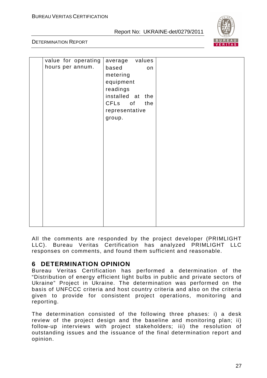

DETERMINATION REPORT

| value for operating | average values   |  |
|---------------------|------------------|--|
| hours per annum.    | based<br>on      |  |
|                     |                  |  |
|                     | metering         |  |
|                     | equipment        |  |
|                     | readings         |  |
|                     | installed at the |  |
|                     | CFLs of<br>the   |  |
|                     | representative   |  |
|                     | group.           |  |
|                     |                  |  |
|                     |                  |  |
|                     |                  |  |
|                     |                  |  |
|                     |                  |  |
|                     |                  |  |
|                     |                  |  |
|                     |                  |  |
|                     |                  |  |
|                     |                  |  |
|                     |                  |  |
|                     |                  |  |
|                     |                  |  |
|                     |                  |  |
|                     |                  |  |
|                     |                  |  |

All the comments are responded by the project developer (PRIMLIGHT LLC). Bureau Veritas Certification has analyzed PRIMLIGHT LLC responses on comments, and found them sufficient and reasonable.

# **6 DETERMINATION OPINION**

Bureau Veritas Certification has performed a determination of the "Distribution of energy efficient light bulbs in public and private sectors of Ukraine" Project in Ukraine. The determination was performed on the basis of UNFCCC criteria and host country criteria and also on the criteria given to provide for consistent project operations, monitoring and reporting.

The determination consisted of the following three phases: i) a desk review of the project design and the baseline and monitoring plan; ii) follow-up interviews with project stakeholders; iii) the resolution of outstanding issues and the issuance of the final determination report and opinion.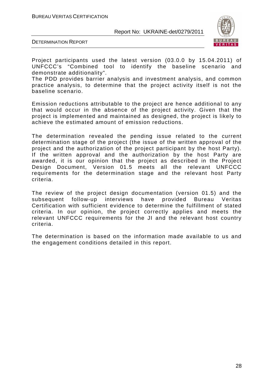

DETERMINATION REPORT

Project participants used the latest version (03.0.0 by 15.04.2011) of UNFCCC's "Combined tool to identify the baseline scenario and demonstrate additionality".

The PDD provides barrier analysis and investment analysis, and common practice analysis, to determine that the project activity itself is not the baseline scenario.

Emission reductions attributable to the project are hence additional to any that would occur in the absence of the project activity. Given that the project is implemented and maintained as designed, the project is likely to achieve the estimated amount of emission reductions.

The determination revealed the pending issue related to the current determination stage of the project (the issue of the written approval of the project and the authorization of the project participant by the host Party). If the written approval and the authorization by the host Party are awarded, it is our opinion that the project as described in the Project Design Document, Version 01.5 meets all the relevant UNFCCC requirements for the determination stage and the relevant host Party criteria.

The review of the project design documentation (version 01.5) and the subsequent follow-up interviews have provided Bureau Veritas Certification with sufficient evidence to determine the fulfillment of stated criteria. In our opinion, the project correctly applies and meets the relevant UNFCCC requirements for the JI and the relevant host country criteria.

The determination is based on the information made available to us and the engagement conditions detailed in this report.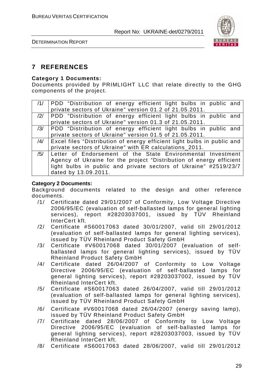

DETERMINATION REPORT

# **7 REFERENCES**

#### **Category 1 Documents:**

Documents provided by PRIMLIGHT LLC that relate directly to the GHG components of the project.

|     | /1/ PDD "Distribution of energy efficient light bulbs in public and     |
|-----|-------------------------------------------------------------------------|
|     | private sectors of Ukraine" version 01.2 of 21.05.2011.                 |
|     | /2/ PDD "Distribution of energy efficient light bulbs in public and     |
|     | private sectors of Ukraine" version 01.3 of 21.05.2011.                 |
| /3/ | PDD "Distribution of energy efficient light bulbs in public and         |
|     | private sectors of Ukraine" version 01.5 of 21.05.2011.                 |
| /4/ | Excel files "Distribution of energy efficient light bulbs in public and |
|     | private sectors of Ukraine" with ER calculations_2011.                  |
| /5/ | Letter of Endorsement of the State Environmental Investment             |
|     | Agency of Ukraine for the project "Distribution of energy efficient     |
|     | light bulbs in public and private sectors of Ukraine" #2519/23/7        |
|     | dated by 13.09.2011.                                                    |

#### **Category 2 Documents:**

Background documents related to the design and other reference documents.

- /1/ Certificate dated 29/01/2007 of Conformity, Low Voltage Directive 2006/95/EC (evaluation of self-ballasted lamps for general lighting services), report #28203037001, issued by TÜV Rheinland InterCert kft.
- /2/ Certificate #S60017063 dated 30/01/2007, valid till 29/01/2012 (evaluation of self-ballasted lamps for general lighting services), issued by TÜV Rheinland Product Safety GmbH
- /3/ Certificate #V60017068 dated 30/01/2007 (evaluation of selfballasted lamps for general lighting services), issued by TÜV Rheinland Product Safety GmbH
- /4/ Certificate dated 26/04/2007 of Conformity to Low Voltage Directive 2006/95/EC (evaluation of self-ballasted lamps for general lighting services), report #28203037002, issued by TÜV Rheinland InterCert kft.
- /5/ Certificate #S60017063 dated 26/04/2007, valid till 29/01/2012 (evaluation of self-ballasted lamps for general lighting services), issued by TÜV Rheinland Product Safety GmbH
- /6/ Certificate #V60017068 dated 26/04/2007 (energy saving lamp), issued by TÜV Rheinland Product Safety GmbH
- /7/ Certificate dated 28/06/2007 of Conformity to Low Voltage Directive 2006/95/EC (evaluation of self-ballasted lamps for general lighting services), report #28203037003, issued by TÜV Rheinland InterCert kft.
- /8/ Certificate #S60017063 dated 28/06/2007, valid till 29/01/2012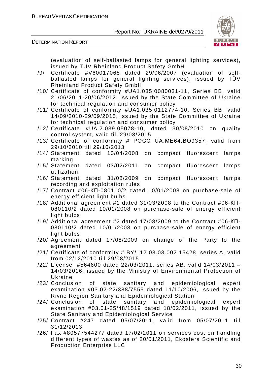



(evaluation of self-ballasted lamps for general lighting services), issued by TÜV Rheinland Product Safety GmbH

- /9/ Certificate #V60017068 dated 29/06/2007 (evaluation of selfballasted lamps for general lighting services), issued by TÜV Rheinland Product Safety GmbH
- /10/ Certificate of conformity #UA1.035.0080031-11, Series BB, valid 21/06/2011-20/06/2012, issued by the State Committee of Ukraine for technical regulation and consumer policy
- /11/ Certificate of conformity #UA1.035.0112774-10, Series BB, valid 14/09/2010-29/09/2015, issued by the State Committee of Ukraine for technical regulation and consumer policy
- /12/ Certificate #UA.2.039.05078-10, dated 30/08/2010 on quality control system, valid till 29/08/2015
- /13/ Certificate of conformity # РОСС UA.МЕ64.ВО9357, valid from 29/10/2010 till 29/10/2013
- /14/ Statement dated 10/04/2008 on compact fluorescent lamps marking
- /15/ Statement dated 03/02/2011 on compact fluorescent lamps utilization
- /16/ Statement dated 31/08/2009 on compact fluorescent lamps recording and exploitation rules
- /17/ Contract #06-КП-080110/2 dated 10/01/2008 on purchase-sale of energy efficient light bulbs
- /18/ Additional agreement #1 dated 31/03/2008 to the Contract #06-КП-080110/2 dated 10/01/2008 on purchase-sale of energy efficient light bulbs
- /19/ Additional agreement #2 dated 17/08/2009 to the Contract #06-КП-080110/2 dated 10/01/2008 on purchase-sale of energy efficient light bulbs
- /20/ Agreement dated 17/08/2009 on change of the Party to the agreement
- /21/ Certificate of conformity # BY/112 03.03.002 15428, series A, valid from 02/12/2010 till 29/08/2015
- /22/ License #564600 dated 22/03/2011, series AB, valid 14/03/2011 14/03/2016, issued by the Ministry of Environmental Protection of Ukraine
- /23/ Conclusion of state sanitary and epidemiological expert examination #03.02-22/388/7555 dated 11/10/2006, issued by the Rivne Region Sanitary and Epidemiological Station
- /24/ Conclusion of state sanitary and epidemiological expert examination #03.01-25/48/1519 dated 18/02/2011, issued by the State Sanitary and Epidemiological Service
- /25/ Contract #247 dated 05/07/2011, valid from 05/07/2011 till 31/12/2013
- /26/ Fax #80577544277 dated 17/02/2011 on services cost on handling different types of wastes as of 20/01/2011, Ekosfera Scientific and Production Enterprise LLC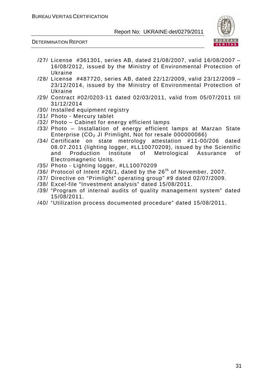

- /27/ License #361301, series AB, dated 21/08/2007, valid 16/08/2007 16/08/2012, issued by the Ministry of Environmental Protection of Ukraine
- /28/ License #487720, series AB, dated 22/12/2009, valid 23/12/2009 23/12/2014, issued by the Ministry of Environmental Protection of Ukraine
- /29/ Contract #02/0203-11 dated 02/03/2011, valid from 05/07/2011 till 31/12/2014
- /30/ Installed equipment registry
- /31/ Photo Mercury tablet
- /32/ Photo Cabinet for energy efficient lamps
- /33/ Photo Installation of energy efficient lamps at Marzan State Enterprise  $(CO<sub>2</sub>$  JI Primlight, Not for resale 000000066)
- /34/ Certificate on state metrology attestation #11-00/206 dated 08.07.2011 (lighting logger, #LL10070209), issued by the Scientific and Production Institute of Metrological Assurance of Electromagnetic Units.
- /35/ Photo Lighting logger, #LL10070209
- /36/ Protocol of Intent  $#26/1$ , dated by the  $26<sup>th</sup>$  of November, 2007.
- /37/ Directive on "Primlight" operating group" #9 dated 02/07/2009.
- /38/ Excel-file "Investment analysis" dated 15/08/2011.
- /39/ "Program of internal audits of quality management system" dated 15/08/2011.
- /40/ "Utilization process documented procedure" dated 15/08/2011.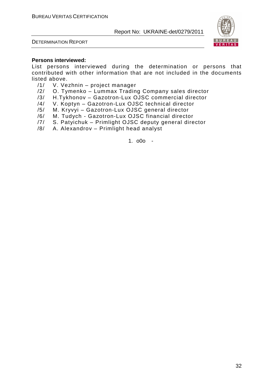



#### **Persons interviewed:**

List persons interviewed during the determination or persons that contributed with other information that are not included in the documents listed above.

- /1/ V. Vezhnin project manager
- /2/ O. Tymenko Lummax Trading Company sales director
- /3/ H.Tykhonov Gazotron-Lux OJSC commercial director
- /4/ V. Koptyn Gazotron-Lux OJSC technical director
- /5/ M. Kryvyi Gazotron-Lux OJSC general director
- /6/ M. Tudych Gazotron-Lux OJSC financial director
- /7/ S. Patyichuk Primlight OJSC deputy general director
- /8/ A. Alexandrov Primlight head analyst

1. o0o -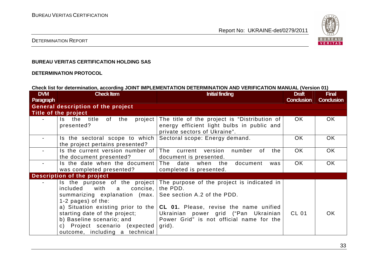

#### DETERMINATION REPORT

#### **BUREAU VERITAS CERTIFICATION HOLDING SAS**

#### **DETERMINATION PROTOCOL**

#### **Check list for determination, according JOINT IMPLEMENTATION DETERMINATION AND VERIFICATION MANUAL (Version 01)**

| <b>DVM</b>       | <b>Check Item</b>                   | <b>Initial finding</b>                                                   | <b>Draft</b>      | <b>Final</b>      |
|------------------|-------------------------------------|--------------------------------------------------------------------------|-------------------|-------------------|
| <b>Paragraph</b> |                                     |                                                                          | <b>Conclusion</b> | <b>Conclusion</b> |
|                  | General description of the project  |                                                                          |                   |                   |
|                  | Title of the project                |                                                                          |                   |                   |
|                  | the<br>project<br>Is the title of   | The title of the project is "Distribution of                             | OK                | OK.               |
|                  | presented?                          | energy efficient light bulbs in public and                               |                   |                   |
|                  |                                     | private sectors of Ukraine".                                             |                   |                   |
|                  | Is the sectoral scope to which      | Sectoral scope: Energy demand.                                           | OK                | OK.               |
|                  | the project pertains presented?     |                                                                          |                   |                   |
|                  | Is the current version number of    | The current version<br>number<br>of<br>the                               | OK.               | OK.               |
|                  | the document presented?             | document is presented.                                                   |                   |                   |
|                  | Is the date when the document       | document<br>The date when the<br>was                                     | OK.               | <b>OK</b>         |
|                  | was completed presented?            | completed is presented.                                                  |                   |                   |
|                  | Description of the project          |                                                                          |                   |                   |
|                  |                                     | Is the purpose of the project The purpose of the project is indicated in |                   |                   |
|                  | with<br>concise,  <br>included<br>a | the PDD.                                                                 |                   |                   |
|                  | summarizing explanation (max.)      | See section A.2 of the PDD.                                              |                   |                   |
|                  | $1-2$ pages) of the:                |                                                                          |                   |                   |
|                  | a) Situation existing prior to the  | CL 01. Please, revise the name unified                                   |                   |                   |
|                  | starting date of the project;       | Ukrainian power grid ("Pan Ukrainian                                     | CL 01             | OK.               |
|                  | b) Baseline scenario; and           | Power Grid" is not official name for the                                 |                   |                   |
|                  | c) Project scenario (expected)      | grid).                                                                   |                   |                   |
|                  | outcome, including a technical      |                                                                          |                   |                   |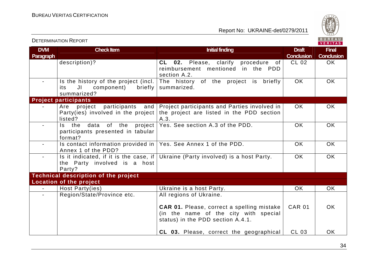

|                         | <b>DETERMINATION REPORT</b>                                                                       |                                                                                                                                 |                                   | BUREAU<br><b>VERITAS</b>          |
|-------------------------|---------------------------------------------------------------------------------------------------|---------------------------------------------------------------------------------------------------------------------------------|-----------------------------------|-----------------------------------|
| <b>DVM</b><br>Paragraph | <b>Check Item</b>                                                                                 | <b>Initial finding</b>                                                                                                          | <b>Draft</b><br><b>Conclusion</b> | <b>Final</b><br><b>Conclusion</b> |
|                         | description)?                                                                                     | CL 02. Please, clarify procedure<br>of<br>reimbursement mentioned in the PDD<br>section A.2.                                    | <b>CL 02</b>                      | <b>OK</b>                         |
|                         | Is the history of the project (incl.<br>JI<br>component)<br>briefly<br>its<br>summarized?         | The history of the project is briefly<br>summarized.                                                                            | <b>OK</b>                         | <b>OK</b>                         |
|                         | <b>Project participants</b>                                                                       |                                                                                                                                 |                                   |                                   |
|                         | participants<br>project<br>Are<br>and<br>Party(ies) involved in the project<br>listed?            | Project participants and Parties involved in<br>the project are listed in the PDD section<br>A.3.                               | OK.                               | OK                                |
| $\blacksquare$          | data of the project<br>Is the<br>participants presented in tabular<br>format?                     | Yes. See section A.3 of the PDD.                                                                                                | <b>OK</b>                         | <b>OK</b>                         |
| $\blacksquare$          | Is contact information provided in $\sqrt{Y}$ Yes. See Annex 1 of the PDD.<br>Annex 1 of the PDD? |                                                                                                                                 | <b>OK</b>                         | <b>OK</b>                         |
| $\blacksquare$          | Is it indicated, if it is the case, if $ $<br>the Party involved is a host<br>Party?              | Ukraine (Party involved) is a host Party.                                                                                       | <b>OK</b>                         | <b>OK</b>                         |
|                         | <b>Technical description of the project</b>                                                       |                                                                                                                                 |                                   |                                   |
|                         | Location of the project                                                                           |                                                                                                                                 |                                   |                                   |
|                         | Host Party(ies)                                                                                   | Ukraine is a host Party.                                                                                                        | OK.                               | <b>OK</b>                         |
|                         | Region/State/Province etc.                                                                        | All regions of Ukraine.                                                                                                         |                                   |                                   |
|                         |                                                                                                   | <b>CAR 01.</b> Please, correct a spelling mistake<br>(in the name of the city with special<br>status) in the PDD section A.4.1. | <b>CAR 01</b>                     | <b>OK</b>                         |
|                         |                                                                                                   | CL 03. Please, correct the geographical                                                                                         | CL 03                             | <b>OK</b>                         |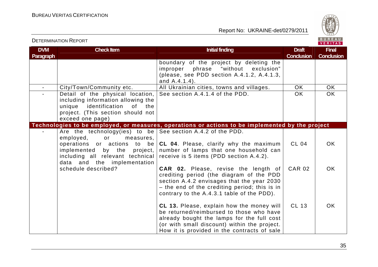DETERMINATION REPORT

Report No: UKRAINE-det/0279/2011



#### **DVM Paragraph Check Item Draft Check Item Initial finding Check Item Initial finding Draft Act Initial finding Draft Act Initial finding Draft ConclusionFinal Conclusion** boundary of the project by deleting the improper phrase "without exclusion" (please, see PDD section A.4.1.2, A.4.1.3, and A.4.1.4). -  $\, \mid$  City/Town/Community etc.  $\, \mid$  All Ukrainian cities, towns and villages.  $\, \mid$   $\,$  OK  $\, \mid$   $\,$  OK  $\,$  $OK$ Detail of the physical location, including information allowing the unique identification of the project. (This section should not exceed one page) **Technologies to be employed, or measures, operations or actions to be implemented by the project** See section A.4.1.4 of the PDD. OK - | Are the technology(ies) to be | See section A.4.2 of the PDD. measures. employed, or operations or actions to be **CL 04**. Please, clarify why the maximum implemented by the project, including all relevant technical receive is 5 items (PDD section A.4.2). data and the implementation schedule described? number of lamps that one household can **CAR 02.** Please, revise the length of crediting period (the diagram of the PDD section A.4.2 envisages that the year 2030 – the end of the crediting period; this is in contrary to the A.4.3.1 table of the PDD). **CL 13.** Please, explain how the money will be returned/reimbursed to those who have already bought the lamps for the full cost (or with small discount) within the project. How it is provided in the contracts of sale  $CI$  04 CAR<sub>02</sub> CL 13 OK OK OK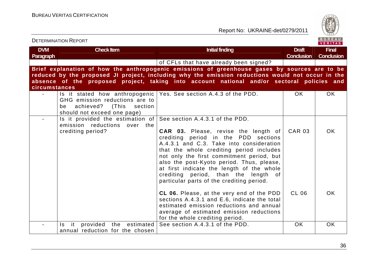Report No: UKRAINE-det/0279/2011



### **DVM Paragraph Check Item Draft Check Item Initial finding Check Item Initial finding Draft Act Initial finding Draft Act Initial finding Draft ConclusionFinal Conclusion** of CFLs that have already been signed? **Brief explanation of how the anthropogenic emissions of greenhouse gases by sources are to be reduced by the proposed JI project, including why the emission reductions would not occur in the absence of the proposed project, taking into account national and/or sectoral policies and circumstances** - Is it stated how anthropogenic Yes. See section A.4.3 of the PDD. OK OK GHG emission reductions are to be achieved? (This section should not exceed one page)  $-$  Is it provided the estimation of See section A.4.3.1 of the PDD. emission reductions over the crediting period? **CAR 03.** Please, revise the length of crediting period in the PDD sections A.4.3.1 and C.3. Take into consideration that the whole crediting period includes not only the first commitment period, but also the post-Kyoto period. Thus, please, at first indicate the length of the whole crediting period, than the length of particular parts of the crediting period. **CL 06.** Please, at the very end of the PDD sections A.4.3.1 and E.6, indicate the total estimated emission reductions and annual average of estimated emission reductions for the whole crediting period. - Is it provided the estimated See-section A.4.3.1 of the PDD. The OK COK OK CAR 03 CL 06 OK OK annual reduction for the chosen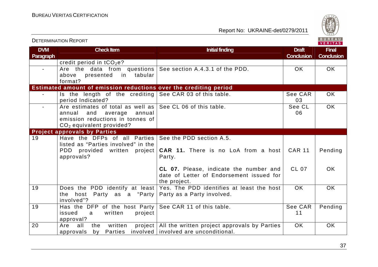

| <b>DETERMINATION REPORT</b> |                                                                                                                                           | BUREAU<br><b>VERITAS</b>                                                                           |                                   |                                   |
|-----------------------------|-------------------------------------------------------------------------------------------------------------------------------------------|----------------------------------------------------------------------------------------------------|-----------------------------------|-----------------------------------|
| <b>DVM</b><br>Paragraph     | <b>Check Item</b>                                                                                                                         | <b>Initial finding</b>                                                                             | <b>Draft</b><br><b>Conclusion</b> | <b>Final</b><br><b>Conclusion</b> |
|                             | credit period in $tCO2e$ ?                                                                                                                |                                                                                                    |                                   |                                   |
| $\sim$                      | Are the data from questions<br>presented<br>tabular<br>above<br>in.<br>format?                                                            | See section A.4.3.1 of the PDD.                                                                    | <b>OK</b>                         | OK                                |
|                             | Estimated amount of emission reductions over the crediting period                                                                         |                                                                                                    |                                   |                                   |
|                             | Is the length of the crediting $\left  \text{See CAR 03 of this table.} \right $<br>period Indicated?                                     |                                                                                                    | See CAR<br>03                     | OK.                               |
| $\sim$                      | Are estimates of total as well as<br>annual<br>and<br>average<br>annual<br>emission reductions in tonnes of<br>$CO2$ equivalent provided? | See CL 06 of this table.                                                                           | See CL<br>06                      | OK.                               |
|                             | <b>Project approvals by Parties</b>                                                                                                       |                                                                                                    |                                   |                                   |
| 19                          | Have the DFPs of all Parties<br>listed as "Parties involved" in the<br>PDD provided written project<br>approvals?                         | See the PDD section A.5.<br><b>CAR 11.</b> There is no LoA from a host<br>Party.                   | <b>CAR 11</b>                     | Pending                           |
|                             |                                                                                                                                           | CL 07. Please, indicate the number and<br>date of Letter of Endorsement issued for<br>the project. | <b>CL 07</b>                      | OK.                               |
| 19                          | Does the PDD identify at least<br>the host Party as a "Party"<br>involved"?                                                               | Yes. The PDD identifies at least the host<br>Party as a Party involved.                            | <b>OK</b>                         | OK.                               |
| 19                          | Has the DFP of the host Party<br>issued<br>written<br>project<br>a<br>approval?                                                           | See CAR 11 of this table.                                                                          | See CAR<br>11                     | Pending                           |
| 20                          | written<br>Are<br>all<br>the<br>project<br>approvals<br>by                                                                                | All the written project approvals by Parties<br>Parties involved involved are unconditional.       | <b>OK</b>                         | OK                                |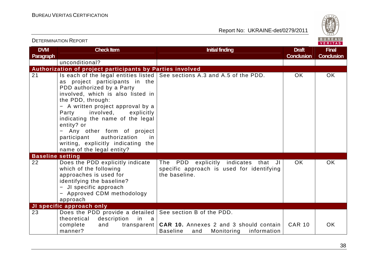

# DETERMINATION REPORT

| <b>DVM</b><br>Paragraph | <b>Check Item</b>                                                                                                                                                                                                                                                                                                                                                                        | <b>Initial finding</b>                                                                                                            | <b>Draft</b><br><b>Conclusion</b> | <b>Final</b><br><b>Conclusion</b> |
|-------------------------|------------------------------------------------------------------------------------------------------------------------------------------------------------------------------------------------------------------------------------------------------------------------------------------------------------------------------------------------------------------------------------------|-----------------------------------------------------------------------------------------------------------------------------------|-----------------------------------|-----------------------------------|
|                         | unconditional?                                                                                                                                                                                                                                                                                                                                                                           |                                                                                                                                   |                                   |                                   |
|                         | Authorization of project participants by Parties involved                                                                                                                                                                                                                                                                                                                                |                                                                                                                                   |                                   |                                   |
| 21                      | as project participants in the<br>PDD authorized by a Party<br>involved, which is also listed in<br>the PDD, through:<br>- A written project approval by a<br>involved,<br>Party<br>explicitly<br>indicating the name of the legal<br>entity? or<br>- Any other form of project<br>participant<br>authorization<br>in<br>writing, explicitly indicating the<br>name of the legal entity? | Is each of the legal entities listed   See sections A.3 and A.5 of the PDD.                                                       | OK.                               | OK.                               |
| <b>Baseline setting</b> |                                                                                                                                                                                                                                                                                                                                                                                          |                                                                                                                                   |                                   |                                   |
| 22                      | Does the PDD explicitly indicate<br>which of the following<br>approaches is used for<br>identifying the baseline?<br>- JI specific approach<br>- Approved CDM methodology<br>approach                                                                                                                                                                                                    | The PDD<br>explicitly indicates<br>that JI<br>specific approach is used for identifying<br>the baseline.                          | OK.                               | OK.                               |
|                         | JI specific approach only                                                                                                                                                                                                                                                                                                                                                                |                                                                                                                                   |                                   |                                   |
| 23                      | Does the PDD provide a detailed  <br>theoretical<br>description<br>in<br>a a<br>complete<br>and<br>transparent  <br>manner?                                                                                                                                                                                                                                                              | See section B of the PDD.<br><b>CAR 10.</b> Annexes 2 and 3 should contain<br><b>Baseline</b><br>Monitoring<br>information<br>and | <b>CAR 10</b>                     | OK.                               |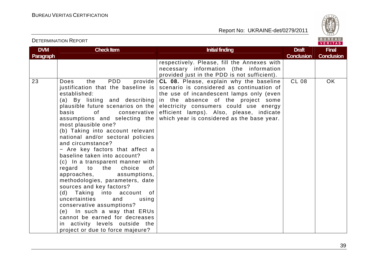

| <b>DVM</b><br>Paragraph | <b>Check Item</b>                                                                                                                                                                                                                                                                                                                                                                                                                                                                                                                                                                                                                                                                                                                                                                                                                                                                                                                                                                                                                                          | <b>Initial finding</b>                                                                                                                                                                                                                                                                                     | <b>Draft</b><br><b>Conclusion</b> | <b>Final</b><br><b>Conclusion</b> |
|-------------------------|------------------------------------------------------------------------------------------------------------------------------------------------------------------------------------------------------------------------------------------------------------------------------------------------------------------------------------------------------------------------------------------------------------------------------------------------------------------------------------------------------------------------------------------------------------------------------------------------------------------------------------------------------------------------------------------------------------------------------------------------------------------------------------------------------------------------------------------------------------------------------------------------------------------------------------------------------------------------------------------------------------------------------------------------------------|------------------------------------------------------------------------------------------------------------------------------------------------------------------------------------------------------------------------------------------------------------------------------------------------------------|-----------------------------------|-----------------------------------|
|                         |                                                                                                                                                                                                                                                                                                                                                                                                                                                                                                                                                                                                                                                                                                                                                                                                                                                                                                                                                                                                                                                            | respectively. Please, fill the Annexes with<br>necessary information (the information<br>provided just in the PDD is not sufficient).                                                                                                                                                                      |                                   |                                   |
| 23                      | <b>PDD</b><br>Does<br>the<br>provide<br>justification that the baseline is<br>established:<br>(a) By listing and describing<br>plausible future scenarios on the<br>basis<br>of the contract of the contract of the contract of the contract of the contract of the contract of the contract of the contract of the contract of the contract of the contract of the contract of the contract of the contrac<br>conservative<br>assumptions and selecting the<br>most plausible one?<br>(b) Taking into account relevant<br>national and/or sectoral policies<br>and circumstance?<br>- Are key factors that affect a<br>baseline taken into account?<br>(c) In a transparent manner with<br>choice<br>regard to the<br>0f<br>approaches,<br>assumptions,<br>methodologies, parameters, date<br>sources and key factors?<br>(d) Taking into account of<br>uncertainties<br>and<br>using<br>conservative assumptions?<br>(e) In such a way that ERUs<br>cannot be earned for decreases<br>in activity levels outside the<br>project or due to force majeure? | CL 08. Please, explain why the baseline<br>scenario is considered as continuation of<br>the use of incandescent lamps only (even<br>in the absence of the project some<br>electricity consumers could use energy<br>efficient lamps). Also, please, indicate<br>which year is considered as the base year. | <b>CL 08</b>                      | OK                                |

DETERMINATION REPORT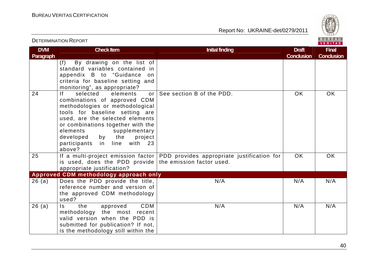Report No: UKRAINE-det/0279/2011



#### VERITAS **DVM Check Item Draft Check Item Initial finding Check Item Initial finding Draft Act Initial finding Draft Act Initial finding Draft Final Paragraph Conclusion Conclusion** (f) By drawing on the list of standard variables contained in appendix B to "Guidance on criteria for baseline setting and monitoring", as appropriate? 24 If selected elements or See section B of the PDD. COK OK OK combinations of approved CDM methodologies or methodological tools for baseline setting are used, are the selected elements or combinations together with the elements supplementary developed by the project participants in line with 23 above? 25 If a multi-project emission factor PDD provides appropriate justification for OK OK is used, does the PDD provide the emission factor used. appropriate justification? **Approved CDM methodology approach only** 26 (a) Does the PDD provide the title, N/A N/A N/A N/A reference number and version of the approved CDM methodology used? 26 (a) Is the approved CDM the N/A N/A N/A N/A methodology the most recent valid version when the PDD is submitted for publication? If not, is the methodology still within the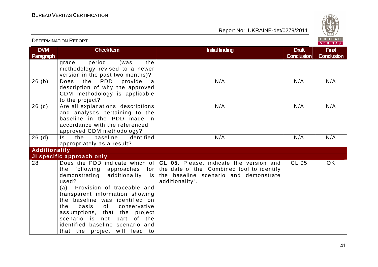

| <b>DVM</b><br><b>Paragraph</b> | <b>Check Item</b>                                                                                                                                                                                                                                                                                                         | <b>Initial finding</b>                                                                                                                                                                                              | <b>Draft</b><br><b>Conclusion</b> | <b>Final</b><br><b>Conclusion</b> |
|--------------------------------|---------------------------------------------------------------------------------------------------------------------------------------------------------------------------------------------------------------------------------------------------------------------------------------------------------------------------|---------------------------------------------------------------------------------------------------------------------------------------------------------------------------------------------------------------------|-----------------------------------|-----------------------------------|
|                                | period<br>the<br>(was<br>grace<br>methodology revised to a newer<br>version in the past two months)?                                                                                                                                                                                                                      |                                                                                                                                                                                                                     |                                   |                                   |
| 26(b)                          | <b>PDD</b><br>Does<br>the<br>provide<br>a<br>description of why the approved<br>CDM methodology is applicable<br>to the project?                                                                                                                                                                                          | N/A                                                                                                                                                                                                                 | N/A                               | N/A                               |
| 26(c)                          | Are all explanations, descriptions<br>and analyses pertaining to the<br>baseline in the PDD made in<br>accordance with the referenced<br>approved CDM methodology?                                                                                                                                                        | N/A                                                                                                                                                                                                                 | N/A                               | N/A                               |
| 26(d)                          | identified<br>baseline<br>Is the<br>appropriately as a result?                                                                                                                                                                                                                                                            | N/A                                                                                                                                                                                                                 | N/A                               | N/A                               |
| <b>Additionality</b>           |                                                                                                                                                                                                                                                                                                                           |                                                                                                                                                                                                                     |                                   |                                   |
|                                | JI specific approach only                                                                                                                                                                                                                                                                                                 |                                                                                                                                                                                                                     |                                   |                                   |
| 28                             | the following<br>demonstrating<br>used?<br>(a) Provision of traceable and<br>transparent information showing<br>the baseline was identified on<br>of<br>the<br>basis<br>conservative<br>assumptions, that the project<br>scenario is not part of the<br>identified baseline scenario and<br>that the project will lead to | Does the PDD indicate which of $ CL$ 05. Please, indicate the version and<br>approaches for the date of the "Combined tool to identify<br>additionality is the baseline scenario and demonstrate<br>additionality". | <b>CL 05</b>                      | <b>OK</b>                         |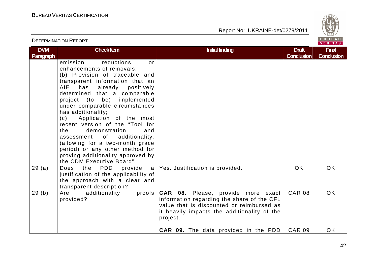

| <b>DETERMINATION REPORT</b> |                                                                                                                                                                                                                                                                                                                                                                                                                                                                                                                                                                                   |                                                                                                                                                                                                 |                                   | BUREAU<br><b>VERITAS</b>          |
|-----------------------------|-----------------------------------------------------------------------------------------------------------------------------------------------------------------------------------------------------------------------------------------------------------------------------------------------------------------------------------------------------------------------------------------------------------------------------------------------------------------------------------------------------------------------------------------------------------------------------------|-------------------------------------------------------------------------------------------------------------------------------------------------------------------------------------------------|-----------------------------------|-----------------------------------|
| <b>DVM</b><br>Paragraph     | <b>Check Item</b>                                                                                                                                                                                                                                                                                                                                                                                                                                                                                                                                                                 | <b>Initial finding</b>                                                                                                                                                                          | <b>Draft</b><br><b>Conclusion</b> | <b>Final</b><br><b>Conclusion</b> |
|                             | reductions<br>emission<br>or<br>enhancements of removals;<br>(b) Provision of traceable and<br>transparent information that an<br>has<br>already<br>AIE<br>positively<br>determined that a comparable<br>be) implemented<br>project (to<br>under comparable circumstances<br>has additionality;<br>Application of the most<br>(c)<br>recent version of the "Tool for<br>demonstration<br>the<br>and<br>of<br>additionality.<br>assessment<br>(allowing for a two-month grace<br>period) or any other method for<br>proving additionality approved by<br>the CDM Executive Board". |                                                                                                                                                                                                 |                                   |                                   |
| 29(a)                       | <b>PDD</b><br>Does<br>the<br>provide<br>a<br>justification of the applicability of<br>the approach with a clear and<br>transparent description?                                                                                                                                                                                                                                                                                                                                                                                                                                   | Yes. Justification is provided.                                                                                                                                                                 | <b>OK</b>                         | <b>OK</b>                         |
| 29(b)                       | additionality<br>proofs<br>Are<br>provided?                                                                                                                                                                                                                                                                                                                                                                                                                                                                                                                                       | <b>CAR 08.</b> Please, provide more exact<br>information regarding the share of the CFL<br>value that is discounted or reimbursed as<br>it heavily impacts the additionality of the<br>project. | <b>CAR 08</b>                     | <b>OK</b>                         |
|                             |                                                                                                                                                                                                                                                                                                                                                                                                                                                                                                                                                                                   | <b>CAR 09.</b> The data provided in the PDD                                                                                                                                                     | <b>CAR 09</b>                     | <b>OK</b>                         |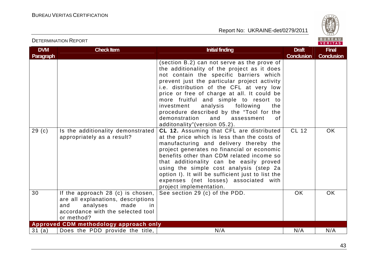

# DETERMINATION REPORT

| <b>DVM</b>        | <b>Check Item</b>                                                                                                                                           | <b>Initial finding</b>                                                                                                                                                                                                                                                                                                                                                                                                                                                                          | <b>Draft</b>      | <b>Final</b>      |
|-------------------|-------------------------------------------------------------------------------------------------------------------------------------------------------------|-------------------------------------------------------------------------------------------------------------------------------------------------------------------------------------------------------------------------------------------------------------------------------------------------------------------------------------------------------------------------------------------------------------------------------------------------------------------------------------------------|-------------------|-------------------|
| Paragraph         |                                                                                                                                                             |                                                                                                                                                                                                                                                                                                                                                                                                                                                                                                 | <b>Conclusion</b> | <b>Conclusion</b> |
|                   |                                                                                                                                                             | (section B.2) can not serve as the prove of<br>the additionality of the project as it does<br>not contain the specific barriers which<br>prevent just the particular project activity<br>i.e. distribution of the CFL at very low<br>price or free of charge at all. It could be<br>more fruitful and simple to resort to<br>investment<br>analysis<br>following<br>the<br>procedure described by the "Tool for the<br>demonstration<br>and<br>0f<br>assessment<br>additonality"(version 05.2). |                   |                   |
| 29 <sub>(c)</sub> | Is the additionality demonstrated<br>appropriately as a result?                                                                                             | CL 12. Assuming that CFL are distributed<br>at the price which is less than the costs of<br>manufacturing and delivery thereby the<br>project generates no financial or economic<br>benefits other than CDM related income so<br>that additionality can be easily proved<br>using the simple cost analysis (step 2a<br>option I). It will be sufficient just to list the<br>expenses (net losses) associated with<br>project implementation.                                                    | <b>CL 12</b>      | <b>OK</b>         |
| 30                | If the approach 28 (c) is chosen,<br>are all explanations, descriptions<br>analyses<br>made<br>and<br>in<br>accordance with the selected tool<br>or method? | See section 29 (c) of the PDD.                                                                                                                                                                                                                                                                                                                                                                                                                                                                  | <b>OK</b>         | <b>OK</b>         |
|                   | Approved CDM methodology approach only                                                                                                                      |                                                                                                                                                                                                                                                                                                                                                                                                                                                                                                 |                   |                   |
| 31 (a)            | Does the PDD provide the title,                                                                                                                             | N/A                                                                                                                                                                                                                                                                                                                                                                                                                                                                                             | N/A               | N/A               |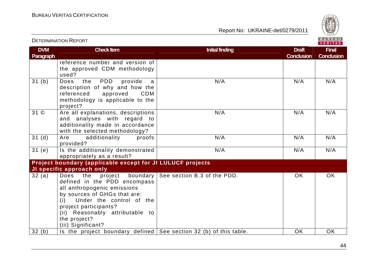

| <b>DVM</b><br><b>Paragraph</b> | <b>Check Item</b>                                                                                                                                                                                                                                             | <b>Initial finding</b>      | <b>Draft</b><br><b>Conclusion</b> | <b>Final</b><br><b>Conclusion</b> |
|--------------------------------|---------------------------------------------------------------------------------------------------------------------------------------------------------------------------------------------------------------------------------------------------------------|-----------------------------|-----------------------------------|-----------------------------------|
|                                | reference number and version of<br>the approved CDM methodology<br>used?                                                                                                                                                                                      |                             |                                   |                                   |
| 31(b)                          | PDD<br>the<br>Does<br>provide<br>a<br>description of why and how the<br>referenced<br>approved<br><b>CDM</b><br>methodology is applicable to the<br>project?                                                                                                  | N/A                         | N/A                               | N/A                               |
| 31 ©                           | Are all explanations, descriptions<br>and analyses with regard to<br>additionality made in accordance<br>with the selected methodology?                                                                                                                       | N/A                         | N/A                               | N/A                               |
| 31(d)                          | additionality<br>Are<br>proofs<br>provided?                                                                                                                                                                                                                   | N/A                         | N/A                               | N/A                               |
| 31(e)                          | Is the additionality demonstrated<br>appropriately as a result?                                                                                                                                                                                               | N/A                         | N/A                               | N/A                               |
|                                | Project boundary (applicable except for JI LULUCF projects                                                                                                                                                                                                    |                             |                                   |                                   |
|                                | JI specific approach only                                                                                                                                                                                                                                     |                             |                                   |                                   |
| 32(a)                          | Does the project boundary<br>defined in the PDD encompass<br>all anthropogenic emissions<br>by sources of GHGs that are:<br>Under the control of the<br>(i)<br>project participants?<br>(ii) Reasonably attributable to<br>the project?<br>(iii) Significant? | See section B.3 of the PDD. | <b>OK</b>                         | <b>OK</b>                         |
| 32(b)                          | Is the project boundary defined $\vert$ See section 32 (b) of this table.                                                                                                                                                                                     |                             | <b>OK</b>                         | <b>OK</b>                         |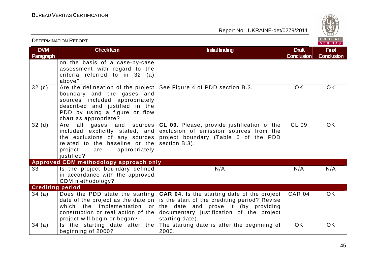

| <b>DVM</b><br><b>Paragraph</b> | <b>Check Item</b>                                                                                                                                                                                | <b>Initial finding</b>                                                                                                                                                                                   | <b>Draft</b><br><b>Conclusion</b> | <b>Final</b><br><b>Conclusion</b> |
|--------------------------------|--------------------------------------------------------------------------------------------------------------------------------------------------------------------------------------------------|----------------------------------------------------------------------------------------------------------------------------------------------------------------------------------------------------------|-----------------------------------|-----------------------------------|
|                                | on the basis of a case-by-case<br>assessment with regard to the<br>criteria referred to in 32 (a)<br>above?                                                                                      |                                                                                                                                                                                                          |                                   |                                   |
| 32(c)                          | Are the delineation of the project  <br>boundary and the gases and<br>sources included appropriately<br>described and justified in the<br>PDD by using a figure or flow<br>chart as appropriate? | See Figure 4 of PDD section B.3.                                                                                                                                                                         | <b>OK</b>                         | <b>OK</b>                         |
| 32(d)                          | all<br>gases and<br>Are<br>sources  <br>included explicitly stated, and<br>the exclusions of any sources<br>related to the baseline or the<br>project<br>appropriately<br>are<br>justified?      | CL 09. Please, provide justification of the<br>exclusion of emission sources from the<br>project boundary (Table 6 of the PDD<br>section B.3).                                                           | <b>CL 09</b>                      | OK                                |
|                                | Approved CDM methodology approach only                                                                                                                                                           |                                                                                                                                                                                                          |                                   |                                   |
| 33                             | Is the project boundary defined<br>in accordance with the approved<br>CDM methodology?                                                                                                           | N/A                                                                                                                                                                                                      | N/A                               | N/A                               |
| <b>Crediting period</b>        |                                                                                                                                                                                                  |                                                                                                                                                                                                          |                                   |                                   |
| 34(a)                          | Does the PDD state the starting<br>date of the project as the date on $ $<br>which the implementation or<br>construction or real action of the<br>project will begin or began?                   | <b>CAR 04.</b> Is the starting date of the project<br>is the start of the crediting period? Revise<br>the date and prove it (by providing<br>documentary justification of the project<br>starting date). | <b>CAR 04</b>                     | <b>OK</b>                         |
| 34(a)                          | Is the starting date after the<br>beginning of 2000?                                                                                                                                             | The starting date is after the beginning of<br>2000.                                                                                                                                                     | <b>OK</b>                         | <b>OK</b>                         |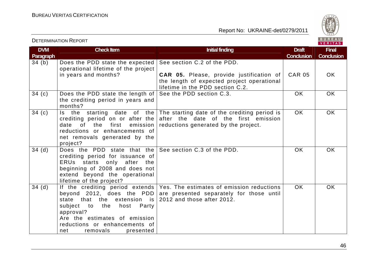

| <b>DVM</b><br>Paragraph | <b>Check Item</b>                                                                                                                                                                                                         | <b>Initial finding</b>                                                                                                                                | <b>Draft</b><br><b>Conclusion</b> | <b>Final</b><br><b>Conclusion</b> |
|-------------------------|---------------------------------------------------------------------------------------------------------------------------------------------------------------------------------------------------------------------------|-------------------------------------------------------------------------------------------------------------------------------------------------------|-----------------------------------|-----------------------------------|
| 34(b)                   | Does the PDD state the expected<br>operational lifetime of the project<br>in years and months?                                                                                                                            | See section C.2 of the PDD.<br><b>CAR 05.</b> Please, provide justification of<br>the length of expected project operational                          | <b>CAR 05</b>                     | <b>OK</b>                         |
|                         |                                                                                                                                                                                                                           | lifetime in the PDD section C.2.                                                                                                                      |                                   |                                   |
| 34(c)                   | Does the PDD state the length of<br>the crediting period in years and<br>months?                                                                                                                                          | See the PDD section C.3.                                                                                                                              | <b>OK</b>                         | OK                                |
| 34(c)                   | the starting date of the<br>$\mathsf{ls}$<br>crediting period on or after the<br>of the<br>date<br>first<br>emission<br>reductions or enhancements of<br>net removals generated by the<br>project?                        | The starting date of the crediting period is<br>after the date of the first emission<br>reductions generated by the project.                          | OK.                               | <b>OK</b>                         |
| 34(d)                   | Does the PDD state that the<br>crediting period for issuance of<br>ERUs starts only after the<br>beginning of 2008 and does not<br>extend beyond the operational<br>lifetime of the project?                              | See section C.3 of the PDD.                                                                                                                           | OK.                               | OK.                               |
| 34(d)                   | beyond 2012, does the PDD<br>state that<br>the<br>extension is<br>the<br>host<br>subject<br>to to<br>Party<br>approval?<br>Are the estimates of emission<br>reductions or enhancements of<br>removals<br>net<br>presented | If the crediting period extends   Yes. The estimates of emission reductions<br>are presented separately for those until<br>2012 and those after 2012. | OK.                               | <b>OK</b>                         |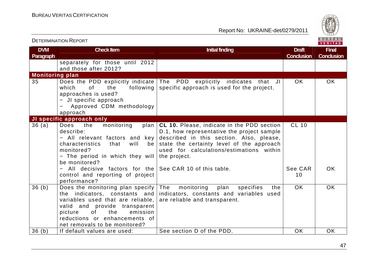

|                         | <b>DETERMINATION REPORT</b>                                                                                                                                                                                                                   |                                                                                                                                                                                                                                                      | BUREAU<br><b>VERITAS</b>          |                                   |
|-------------------------|-----------------------------------------------------------------------------------------------------------------------------------------------------------------------------------------------------------------------------------------------|------------------------------------------------------------------------------------------------------------------------------------------------------------------------------------------------------------------------------------------------------|-----------------------------------|-----------------------------------|
| <b>DVM</b><br>Paragraph | <b>Check Item</b>                                                                                                                                                                                                                             | <b>Initial finding</b>                                                                                                                                                                                                                               | <b>Draft</b><br><b>Conclusion</b> | <b>Final</b><br><b>Conclusion</b> |
|                         | separately for those until 2012<br>and those after 2012?                                                                                                                                                                                      |                                                                                                                                                                                                                                                      |                                   |                                   |
| <b>Monitoring plan</b>  |                                                                                                                                                                                                                                               |                                                                                                                                                                                                                                                      |                                   |                                   |
| 35                      | Does the PDD explicitly indicate<br>which<br><b>of</b><br>following<br>the<br>approaches is used?<br>- JI specific approach<br>Approved CDM methodology<br>approach                                                                           | The PDD explicitly indicates that JI<br>specific approach is used for the project.                                                                                                                                                                   | <b>OK</b>                         | <b>OK</b>                         |
|                         | JI specific approach only                                                                                                                                                                                                                     |                                                                                                                                                                                                                                                      |                                   |                                   |
| 36(a)                   | Does<br>the<br>monitoring<br>plan<br>describe:<br>All relevant factors and key<br>characteristics<br>that<br>will<br>be<br>monitored?<br>- The period in which they will<br>be monitored?                                                     | <b>CL 10.</b> Please, indicate in the PDD section<br>D.1, how representative the project sample<br>described in this section. Also, please,<br>state the certainty level of the approach<br>used for calculations/estimations within<br>the project. | <b>CL 10</b>                      |                                   |
|                         | All decisive factors for the<br>control and reporting of project<br>performance?                                                                                                                                                              | See CAR 10 of this table.                                                                                                                                                                                                                            | See CAR<br>10                     | OK.                               |
| 36(b)                   | Does the monitoring plan specify<br>the indicators, constants and<br>variables used that are reliable,<br>valid and provide transparent<br>0f<br>the<br>picture<br>emission<br>reductions or enhancements of<br>net removals to be monitored? | plan<br>The<br>monitoring<br>specifies<br>the<br>indicators, constants and variables used<br>are reliable and transparent.                                                                                                                           | <b>OK</b>                         | <b>OK</b>                         |
| 36(h)                   | If default values are used:                                                                                                                                                                                                                   | See section D of the PDD.                                                                                                                                                                                                                            | <b>OK</b>                         | <b>OK</b>                         |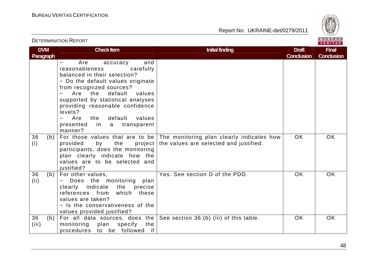Report No: UKRAINE-det/0279/2011



#### VERITAS **DVM Check Item Draft Check Item Initial finding Check Item Initial finding Draft Act Initial finding Draft Act Initial finding Draft Final Paragraph Conclusion Conclusion** − Are accuracy and reasonableness carefully balanced in their selection? − Do the default values originate from recognized sources? − Are the default values supported by statistical analyses providing reasonable confidence levels?  $-$  Are the − Are the default values presented in a transparent manner? 36 (b) For those values that are to be The monitoring plan clearly indicates how OK OK provided by the the values are selected and justified. (i) participants, does the monitoring plan clearly indicate how the values are to be selected and iustified? Yes. See section D of the PDD. CK OK OK 36 (b) For other values, (ii) − Does the monitoring plan clearly indicate the precise references from which these values are taken? − Is the conservativeness of the values provided justified? For all data sources, does the See section 36 (b) (iii) of this table.  $\hphantom{\mathcal{L}}$  OK  $\hphantom{\mathcal{L}}$  OK  $\hphantom{\mathcal{L}}$ 36 (b) (iii) monitoring plan specify the procedures to be followed if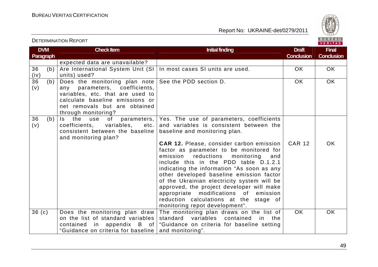

| <b>DVM</b>       |     | <b>Check Item</b>                   | <b>Initial finding</b>                          | <b>Draft</b>      | <b>Final</b>      |
|------------------|-----|-------------------------------------|-------------------------------------------------|-------------------|-------------------|
| <b>Paragraph</b> |     |                                     |                                                 | <b>Conclusion</b> | <b>Conclusion</b> |
|                  |     | expected data are unavailable?      |                                                 |                   |                   |
| 36               | (b) | Are International System Unit (SI)  | In most cases SI units are used.                | OK.               | OK                |
| (iv)             |     | units) used?                        |                                                 |                   |                   |
| 36               | (b) | Does the monitoring plan note       | See the PDD section D.                          | <b>OK</b>         | OK                |
| (v)              |     | any parameters, coefficients,       |                                                 |                   |                   |
|                  |     | variables, etc. that are used to    |                                                 |                   |                   |
|                  |     | calculate baseline emissions or     |                                                 |                   |                   |
|                  |     | net removals but are obtained       |                                                 |                   |                   |
|                  |     | through monitoring?                 |                                                 |                   |                   |
| 36               | (b) | of<br>parameters,<br>Is the use     | Yes. The use of parameters, coefficients        |                   |                   |
| (v)              |     | coefficients,<br>variables,<br>etc. | and variables is consistent between the         |                   |                   |
|                  |     | consistent between the baseline     | baseline and monitoring plan.                   |                   |                   |
|                  |     | and monitoring plan?                |                                                 |                   |                   |
|                  |     |                                     | <b>CAR 12. Please, consider carbon emission</b> | <b>CAR 12</b>     | <b>OK</b>         |
|                  |     |                                     | factor as parameter to be monitored for         |                   |                   |
|                  |     |                                     | reductions<br>emission<br>monitoring<br>and     |                   |                   |
|                  |     |                                     | include this in the PDD table D.1.2.1           |                   |                   |
|                  |     |                                     | indicating the information "As soon as any      |                   |                   |
|                  |     |                                     | other developed baseline emission factor        |                   |                   |
|                  |     |                                     | of the Ukrainian electricity system will be     |                   |                   |
|                  |     |                                     | approved, the project developer will make       |                   |                   |
|                  |     |                                     | appropriate modifications of emission           |                   |                   |
|                  |     |                                     | reduction calculations at the stage of          |                   |                   |
|                  |     |                                     | monitoring repot development".                  |                   |                   |
| 36(c)            |     | Does the monitoring plan draw       | The monitoring plan draws on the list of        | OK.               | <b>OK</b>         |
|                  |     | on the list of standard variables   | standard variables contained<br>in the          |                   |                   |
|                  |     | contained in appendix B of          | "Guidance on criteria for baseline setting      |                   |                   |
|                  |     | "Guidance on criteria for baseline  | and monitoring".                                |                   |                   |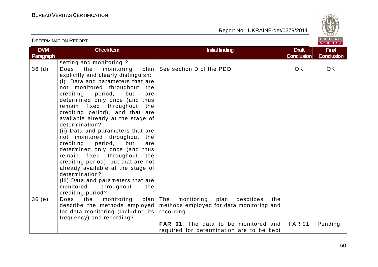

| <b>DVM</b><br><b>Paragraph</b> | <b>Check Item</b>                                                                                                                                                                                                                                                                                                                                                                                                                                                                                                                                                                                                                                                                                                                      | <b>Initial finding</b>                                                                                                                                                                              | <b>Draft</b><br><b>Conclusion</b> | <b>Final</b><br><b>Conclusion</b> |
|--------------------------------|----------------------------------------------------------------------------------------------------------------------------------------------------------------------------------------------------------------------------------------------------------------------------------------------------------------------------------------------------------------------------------------------------------------------------------------------------------------------------------------------------------------------------------------------------------------------------------------------------------------------------------------------------------------------------------------------------------------------------------------|-----------------------------------------------------------------------------------------------------------------------------------------------------------------------------------------------------|-----------------------------------|-----------------------------------|
|                                | setting and monitoring"?                                                                                                                                                                                                                                                                                                                                                                                                                                                                                                                                                                                                                                                                                                               |                                                                                                                                                                                                     |                                   |                                   |
| 36(d)                          | monitoring<br>Does<br>the<br>plan<br>explicitly and clearly distinguish:<br>(i) Data and parameters that are<br>not monitored throughout<br>the<br>crediting<br>period,<br>but<br>are<br>determined only once (and<br>thus<br>remain fixed throughout<br>the<br>crediting period), and that are<br>available already at the stage of<br>determination?<br>(ii) Data and parameters that are<br>not monitored throughout<br>the<br>crediting<br>period,<br>but<br>are<br>determined only once (and thus<br>remain fixed<br>throughout<br>the<br>crediting period), but that are not<br>already available at the stage of<br>determination?<br>(iii) Data and parameters that are<br>monitored<br>throughout<br>the<br>crediting period? | See section D of the PDD.                                                                                                                                                                           | <b>OK</b>                         | OK                                |
| 36(e)                          | the<br>Does<br>monitoring<br>plan<br>describe the methods employed<br>for data monitoring (including its<br>frequency) and recording?                                                                                                                                                                                                                                                                                                                                                                                                                                                                                                                                                                                                  | The<br>monitoring<br>plan<br>describes<br>the<br>methods employed for data monitoring and<br>recording.<br><b>FAR 01.</b> The data to be monitored and<br>required for determination are to be kept | <b>FAR 01</b>                     | Pending                           |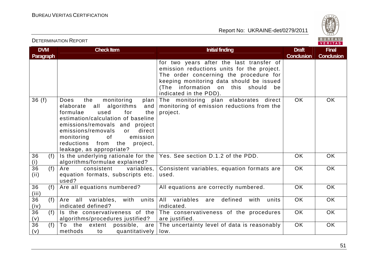

| <b>DVM</b><br><b>Paragraph</b> | <b>Check Item</b>                                                                                                                                                                                                                                                                                                            | <b>Initial finding</b>                                                                                                                                                                                                                          | <b>Draft</b><br><b>Conclusion</b> | <b>Final</b><br><b>Conclusion</b> |
|--------------------------------|------------------------------------------------------------------------------------------------------------------------------------------------------------------------------------------------------------------------------------------------------------------------------------------------------------------------------|-------------------------------------------------------------------------------------------------------------------------------------------------------------------------------------------------------------------------------------------------|-----------------------------------|-----------------------------------|
|                                |                                                                                                                                                                                                                                                                                                                              | for two years after the last transfer of<br>emission reductions units for the project.<br>The order concerning the procedure for<br>keeping monitoring data should be issued<br>(The information on this should<br>be<br>indicated in the PDD). |                                   |                                   |
| 36(f)                          | monitoring<br>the<br>plan<br>Does<br>all<br>elaborate<br>algorithms<br>and<br>formulae<br>used<br>for<br>the<br>estimation/calculation of baseline<br>emissions/removals and project<br>emissions/removals<br>direct<br>or<br>emission<br>monitoring<br>of<br>reductions from<br>the<br>project,<br>leakage, as appropriate? | The monitoring plan elaborates direct<br>monitoring of emission reductions from the<br>project.                                                                                                                                                 | <b>OK</b>                         | <b>OK</b>                         |
| 36<br>(f)<br>(i)               | Is the underlying rationale for the<br>algorithms/formulae explained?                                                                                                                                                                                                                                                        | Yes. See section D.1.2 of the PDD.                                                                                                                                                                                                              | <b>OK</b>                         | <b>OK</b>                         |
| $\overline{36}$<br>(f)<br>(ii) | consistent<br>Are<br>variables,<br>equation formats, subscripts etc.<br>used?                                                                                                                                                                                                                                                | Consistent variables, equation formats are<br>used.                                                                                                                                                                                             | <b>OK</b>                         | OK                                |
| 36<br>(f)<br>(iii)             | Are all equations numbered?                                                                                                                                                                                                                                                                                                  | All equations are correctly numbered.                                                                                                                                                                                                           | <b>OK</b>                         | OK                                |
| 36<br>(f)<br>(iv)              | Are all variables,<br>with<br>units<br>indicated defined?                                                                                                                                                                                                                                                                    | All variables<br>defined<br>units<br>with<br>are<br>indicated.                                                                                                                                                                                  | <b>OK</b>                         | OK                                |
| 36<br>(f)<br>(v)               | Is the conservativeness of the<br>algorithms/procedures justified?                                                                                                                                                                                                                                                           | The conservativeness of the procedures<br>are justified.                                                                                                                                                                                        | <b>OK</b>                         | OK                                |
| 36<br>(f)<br>(v)               | To<br>the<br>extent<br>possible, are<br>methods<br>quantitatively<br>to                                                                                                                                                                                                                                                      | The uncertainty level of data is reasonably<br>low.                                                                                                                                                                                             | OK                                | <b>OK</b>                         |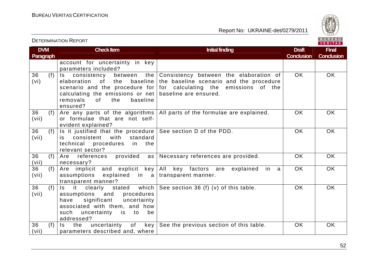Report No: UKRAINE-det/0279/2011



**DVM Paragraph Check Item Draft Check Item Initial finding Check Item Draft ConclusionFinal Conclusion** account for uncertainty in key parameters included? 36 (f) Is consistency between the Consistency between the elaboration of (vi) elaboration of the baseline the baseline scenario and the procedure scenario and the procedure for  $\vert$  for calculating the emissions of the calculating the emissions or net  $|$  baseline are ensured. removals of the baseline ensured? Are any parts of the algorithms All parts of the formulae are explained.  $\qquad \qquad \vert \quad \text{OK} \quad \vert \quad \text{OK}$ OK OK 36 (f) (vii) or formulae that are not selfevident explained? Is it justified that the procedure See section D of the PDD.  $\begin{array}{|c|c|c|c|c|}\hline \end{array}$  OK  $\begin{array}{|c|c|c|c|c|}\hline \end{array}$ 36 (f) (vii) is consistent with standard technical procedures in the relevant sector? 36  $($ f)  $\mid$  Are references provided as  $\mid$  Necessary references are provided.  $\mid$  OK  $\mid$  OK (vii) necessary? Are implicit and explicit key  $\vert$  All key factors are explained in a 36 (f) (vii) assumptions explained in a $|\!|$ transparent $\!$ manner. transparent manner? Is it clearly stated which See-section 36 (f) (v) of this-table.  $\begin{array}{|c|c|c|c|c|}\hline \text{OK} & \text{OK} & \text{OK} \\\hline \end{array}$ OK OK 36 (f) (vii) procedures assumptions and have significant uncertainty associated with them, and how be such uncertainty is to addressed? Is the uncertainty of key See-the-previous-section-of-this-table.  $\begin{array}{|c|c|c|c|c|}\hline \text{OK} & \text{OK} & \text{OK} \\\hline \end{array}$ 36 (f) (vii) parameters described and, where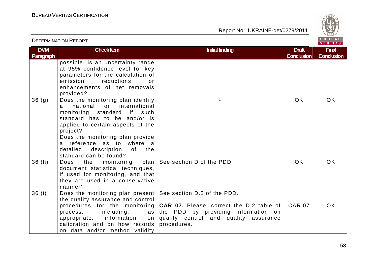Report No: UKRAINE-det/0279/2011



#### VERITAS **DVM Check Item Draft Check Item Initial finding Check Item Initial finding Draft Act Initial finding Draft Act Initial finding Draft Final Paragraph Conclusion Conclusion** possible, is an uncertainty range at 95% confidence level for key parameters for the calculation of emission reductions or enhancements of net removals provided?  $36 (g)$  Does the monitoring plan identify - I OK I OK a national or international monitoring standard if such standard has to be and/or is applied to certain aspects of the project? Does the monitoring plan provide a reference as to where a detailed description of the standard can be found? plan See section D of the PDD. COK OK OK 36 (h) Does the monitoring plan document statistical techniques, if used for monitoring, and that they are used in a conservative manner? 36 (i)  $\Box$  Does the monitoring plan present See section D.2 of the PDD. the quality assurance and control  $CAR 07$  OK procedures for the monitoring **CAR 07.** Please, correct the D.2 table of process, including, the PDD by providing information on appropriate, information quality control and quality assurance calibration and on how records procedures. on data and/or method validity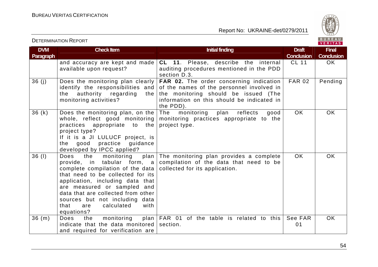

VERITAS

#### **DVM Paragraph Check Item Draft Check Item Initial finding Check Item Initial finding Draft Conclusion** CL 11 OK **Final Conclusion** and accuracy are kept and made **CL 11**. Please, describe the internal available upon request? auditing procedures mentioned in the PDD section D.3. 36 (j) Does the monitoring plan clearly **FAR 02.** The order concerning indication identify the responsibilities and of the names of the personnel involved in the monitoring should be issued (The the authority regarding monitoring activities? information on this should be indicated in the PDD). 36 (k)  $\vert$  Does the monitoring plan, on the The monitoring plan reflects good FAR 02 Pending whole, reflect good monitoring monitoring practices appropriate to the practices appropriate to the project-type. project type? If it is a JI LULUCF project, is the good practice guidance developed by IPCC applied? OK OK 36 (I) Does the monitoring provide, in tabular form, a compilation of the data that need to be complete compilation of the data  $\mid$  collected for its application. that need to be collected for its application, including data that are measured or sampled and data that are collected from other sources but not including data that are calculated with equations? plan The monitoring plan provides a complete OK OK  $36$  (m)  $\vert$  Does the monitoring indicate that the data monitored section. and required for verification are plan FAR 01 of the table is related to this See FAR 01 OK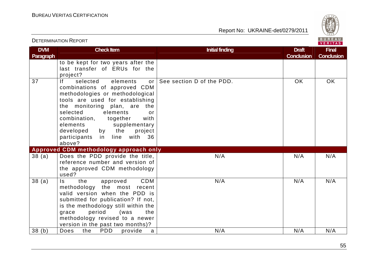

| <b>DVM</b><br>Paragraph | <b>Check Item</b>                                                                                                                                                                                                                                                                                                                                           | <b>Initial finding</b>    | <b>Draft</b><br><b>Conclusion</b> | <b>Final</b><br><b>Conclusion</b> |
|-------------------------|-------------------------------------------------------------------------------------------------------------------------------------------------------------------------------------------------------------------------------------------------------------------------------------------------------------------------------------------------------------|---------------------------|-----------------------------------|-----------------------------------|
|                         | to be kept for two years after the<br>last transfer of ERUs for the<br>project?                                                                                                                                                                                                                                                                             |                           |                                   |                                   |
| 37                      | lf.<br>selected<br>elements<br>or<br>combinations of approved CDM<br>methodologies or methodological<br>tools are used for establishing<br>the monitoring plan, are<br>the<br>selected<br>elements<br>or<br>combination,<br>together<br>with<br>elements<br>supplementary<br>developed<br>by the<br>project<br>participants<br>line with 36<br>in<br>above? | See section D of the PDD. | <b>OK</b>                         | <b>OK</b>                         |
|                         | Approved CDM methodology approach only                                                                                                                                                                                                                                                                                                                      |                           |                                   |                                   |
| 38(a)                   | Does the PDD provide the title,<br>reference number and version of<br>the approved CDM methodology<br>used?                                                                                                                                                                                                                                                 | N/A                       | N/A                               | N/A                               |
| 38(a)                   | the<br>CDM<br>$\mathsf{ls}$<br>approved<br>the most recent<br>methodology<br>valid version when the PDD is<br>submitted for publication? If not,<br>is the methodology still within the<br>period<br>(was<br>the<br>grace<br>methodology revised to a newer<br>version in the past two months)?                                                             | N/A                       | N/A                               | N/A                               |
| 38(b)                   | <b>PDD</b><br>Does<br>the<br>provide<br>a                                                                                                                                                                                                                                                                                                                   | N/A                       | N/A                               | N/A                               |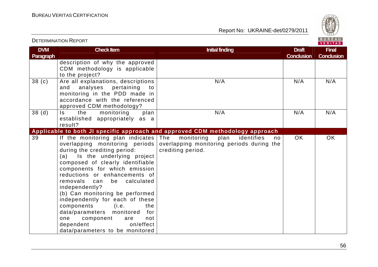Report No: UKRAINE-det/0279/2011



#### VERITAS **DVM Check Item Draft Check Item Initial finding Check Item Initial finding Check Item Initial finding Draft Draft Final Paragraph Conclusion Conclusion** description of why the approved CDM methodology is applicable to the project? 38 (c)  $\begin{array}{|l|} \hline \end{array}$  Are all explanations, descriptions N/A N/A N/A N/A and analyses pertaining to monitoring in the PDD made in accordance with the referenced approved CDM methodology?  $38$  (d)  $\overline{\phantom{a}}$  Is the monitoring plan N/A N/A N/A N/A established appropriately as a result? **Applicable to both JI specific approach and approved CDM methodology approach** OK OK 39 If the monitoring plan indicates The monitoring plan identifies no overlapping monitoring periods  $\mid$  overlapping monitoring periods during the during the crediting period: crediting period. (a) Is the underlying project composed of clearly identifiable components for which emission reductions or enhancements of removals can be calculated independently? (b) Can monitoring be performed independently for each of these components (i.e. the data/parameters monitored for one component are not dependent on/effect data/parameters to be monitored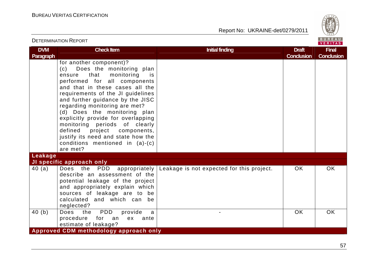

|                                |                                                                                                                                                                                                                                                                                                                                                                                                                                                                                                                   |                                           |                                   | VERIIAS.                          |
|--------------------------------|-------------------------------------------------------------------------------------------------------------------------------------------------------------------------------------------------------------------------------------------------------------------------------------------------------------------------------------------------------------------------------------------------------------------------------------------------------------------------------------------------------------------|-------------------------------------------|-----------------------------------|-----------------------------------|
| <b>DVM</b><br><b>Paragraph</b> | <b>Check Item</b>                                                                                                                                                                                                                                                                                                                                                                                                                                                                                                 | <b>Initial finding</b>                    | <b>Draft</b><br><b>Conclusion</b> | <b>Final</b><br><b>Conclusion</b> |
|                                | for another component)?<br>Does the monitoring plan<br>(c)<br>monitoring<br>that<br>ensure<br>is.<br>performed for all components<br>and that in these cases all the<br>requirements of the JI guidelines<br>and further guidance by the JISC<br>regarding monitoring are met?<br>(d) Does the monitoring plan<br>explicitly provide for overlapping<br>monitoring periods of clearly<br>defined<br>project<br>components,<br>justify its need and state how the<br>conditions mentioned in $(a)-(c)$<br>are met? |                                           |                                   |                                   |
| Leakage                        |                                                                                                                                                                                                                                                                                                                                                                                                                                                                                                                   |                                           |                                   |                                   |
|                                | JI specific approach only                                                                                                                                                                                                                                                                                                                                                                                                                                                                                         |                                           |                                   |                                   |
| 40(a)                          | Does the PDD<br>appropriately  <br>describe an assessment of the<br>potential leakage of the project<br>and appropriately explain which<br>sources of leakage are to be<br>calculated and which can<br>be<br>neglected?                                                                                                                                                                                                                                                                                           | Leakage is not expected for this project. | <b>OK</b>                         | OK.                               |
| 40(b)                          | PDD<br>Does<br>the<br>provide<br>a<br>procedure for an<br>ex ante<br>estimate of leakage?                                                                                                                                                                                                                                                                                                                                                                                                                         |                                           | <b>OK</b>                         | <b>OK</b>                         |
|                                | Approved CDM methodology approach only                                                                                                                                                                                                                                                                                                                                                                                                                                                                            |                                           |                                   |                                   |

# DETERMINATION REPORT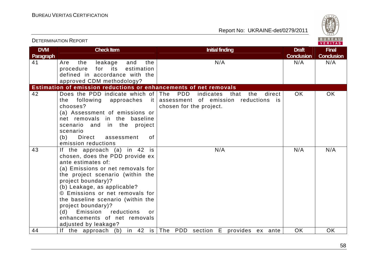

|                         |                                                                                                                                                                                                                                                                                                                                                                                                               |                                                                                                              |                                   | <b>VERITAS</b>                    |
|-------------------------|---------------------------------------------------------------------------------------------------------------------------------------------------------------------------------------------------------------------------------------------------------------------------------------------------------------------------------------------------------------------------------------------------------------|--------------------------------------------------------------------------------------------------------------|-----------------------------------|-----------------------------------|
| <b>DVM</b><br>Paragraph | <b>Check Item</b>                                                                                                                                                                                                                                                                                                                                                                                             | <b>Initial finding</b>                                                                                       | <b>Draft</b><br><b>Conclusion</b> | <b>Final</b><br><b>Conclusion</b> |
| 41                      | the<br>the<br>leakage<br>and<br>Are<br>for<br>its<br>estimation<br>procedure<br>defined in accordance with the<br>approved CDM methodology?                                                                                                                                                                                                                                                                   | N/A                                                                                                          | N/A                               | N/A                               |
|                         | Estimation of emission reductions or enhancements of net removals                                                                                                                                                                                                                                                                                                                                             |                                                                                                              |                                   |                                   |
| 42                      | Does the PDD indicate which of The<br>the following approaches<br>$\vert$ it $\vert$<br>chooses?<br>(a) Assessment of emissions or<br>net removals in the baseline<br>scenario and in the project<br>scenario<br>(b)<br>Direct<br>0f<br>assessment<br>emission reductions                                                                                                                                     | PDD<br>the<br>indicates<br>direct<br>that<br>assessment of emission reductions is<br>chosen for the project. | OK.                               | OK.                               |
| 43                      | If the approach (a) in 42 is<br>chosen, does the PDD provide ex<br>ante estimates of:<br>(a) Emissions or net removals for<br>the project scenario (within the<br>project boundary)?<br>(b) Leakage, as applicable?<br>© Emissions or net removals for<br>the baseline scenario (within the<br>project boundary)?<br>Emission reductions<br>(d)<br>or<br>enhancements of net removals<br>adjusted by leakage? | N/A                                                                                                          | N/A                               | N/A                               |
| 44                      |                                                                                                                                                                                                                                                                                                                                                                                                               | If the approach (b) in 42 is $ $ The PDD section E provides ex ante                                          | <b>OK</b>                         | <b>OK</b>                         |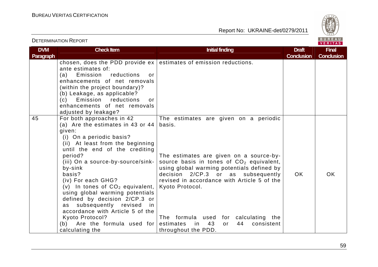

|                                |                                                                                                                                                                                                                                                                                                                                                                                                                                                                                                                              |                                                                                                                                                                                                                                                                                                                                                                                                                  |                                   | . <i>.</i>                        |
|--------------------------------|------------------------------------------------------------------------------------------------------------------------------------------------------------------------------------------------------------------------------------------------------------------------------------------------------------------------------------------------------------------------------------------------------------------------------------------------------------------------------------------------------------------------------|------------------------------------------------------------------------------------------------------------------------------------------------------------------------------------------------------------------------------------------------------------------------------------------------------------------------------------------------------------------------------------------------------------------|-----------------------------------|-----------------------------------|
| <b>DVM</b><br><b>Paragraph</b> | <b>Check Item</b>                                                                                                                                                                                                                                                                                                                                                                                                                                                                                                            | <b>Initial finding</b>                                                                                                                                                                                                                                                                                                                                                                                           | <b>Draft</b><br><b>Conclusion</b> | <b>Final</b><br><b>Conclusion</b> |
|                                | ante estimates of:<br>Emission<br>reductions<br>(a)<br>or<br>enhancements of net removals<br>(within the project boundary)?<br>(b) Leakage, as applicable?<br>Emission<br>reductions<br>(c)<br>or<br>enhancements of net removals<br>adjusted by leakage?                                                                                                                                                                                                                                                                    | chosen, does the PDD provide $ex$ estimates of emission reductions.                                                                                                                                                                                                                                                                                                                                              |                                   |                                   |
| 45                             | For both approaches in 42<br>(a) Are the estimates in 43 or 44<br>given:<br>(i) On a periodic basis?<br>(ii) At least from the beginning<br>until the end of the crediting<br>period?<br>(iii) On a source-by-source/sink-<br>by-sink<br>basis?<br>(iv) For each GHG?<br>(v) In tones of $CO2$ equivalent,<br>using global warming potentials<br>defined by decision 2/CP.3 or<br>as subsequently revised<br>in<br>accordance with Article 5 of the<br>Kyoto Protocol?<br>Are the formula used for<br>(b)<br>calculating the | The estimates are given on a periodic<br>basis.<br>The estimates are given on a source-by-<br>source basis in tones of $CO2$ equivalent,<br>using global warming potentials defined by<br>decision 2/CP.3 or as subsequently<br>revised in accordance with Article 5 of the<br>Kyoto Protocol.<br>The formula used for calculating the<br>estimates<br>43<br>44<br>consistent<br>in<br>or<br>throughout the PDD. | <b>OK</b>                         | <b>OK</b>                         |

DETERMINATION REPORT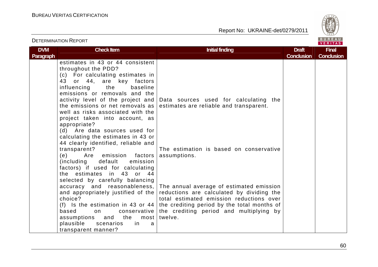

| <b>DETERMINATION REPORT</b>    |                                                                                                                                                                                                                                                                                                                                                                                                                                                                                           |                                                                                                                                                                                                                                        |                                   | BUREAU<br><b>VERITAS</b>          |
|--------------------------------|-------------------------------------------------------------------------------------------------------------------------------------------------------------------------------------------------------------------------------------------------------------------------------------------------------------------------------------------------------------------------------------------------------------------------------------------------------------------------------------------|----------------------------------------------------------------------------------------------------------------------------------------------------------------------------------------------------------------------------------------|-----------------------------------|-----------------------------------|
| <b>DVM</b><br><b>Paragraph</b> | <b>Check Item</b>                                                                                                                                                                                                                                                                                                                                                                                                                                                                         | <b>Initial finding</b>                                                                                                                                                                                                                 | <b>Draft</b><br><b>Conclusion</b> | <b>Final</b><br><b>Conclusion</b> |
|                                | estimates in 43 or 44 consistent<br>throughout the PDD?<br>(c) For calculating estimates in<br>43 or 44, are key factors<br>baseline<br>influencing<br>the<br>emissions or removals and the<br>activity level of the project and<br>the emissions or net removals as<br>well as risks associated with the<br>project taken into account, as<br>appropriate?<br>(d) Are data sources used for<br>calculating the estimates in 43 or<br>44 clearly identified, reliable and<br>transparent? | Data sources used for calculating the<br>estimates are reliable and transparent.<br>The estimation is based on conservative                                                                                                            |                                   |                                   |
|                                | Are emission factors<br>(e)<br>(including default<br>emission<br>factors) if used for calculating<br>the estimates in 43 or 44<br>selected by carefully balancing                                                                                                                                                                                                                                                                                                                         | assumptions.                                                                                                                                                                                                                           |                                   |                                   |
|                                | accuracy and reasonableness,<br>and appropriately justified of the<br>choice?<br>(f) Is the estimation in 43 or 44<br>based<br>conservative  <br>on<br>and the<br>assumptions<br>most<br>plausible<br>scenarios<br>in<br>a<br>transparent manner?                                                                                                                                                                                                                                         | The annual average of estimated emission<br>reductions are calculated by dividing the<br>total estimated emission reductions over<br>the crediting period by the total months of<br>the crediting period and multiplying by<br>twelve. |                                   |                                   |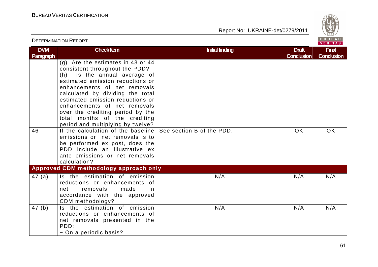

## DETERMINATION REPORTVERITAS **DVM Check Item Draft Check Item Initial finding Check Item Initial finding Draft Act Initial finding Draft Act Initial finding Draft Final Paragraph Conclusion Conclusion** (g) Are the estimates in 43 or 44 consistent throughout the PDD? (h) Is the annual average of estimated emission reductions or enhancements of net removals calculated by dividing the total estimated emission reductions or enhancements of net removals over the crediting period by the total months of the crediting period and multiplying by twelve? 46 If the calculation of the baseline See section B of the PDD. The North Contract Contract Contract Contract Contract Contract Contract Contract Contract Contract Contract Contract Contract Contract Contract Contract Cont emissions or net removals is to be performed ex post, does the PDD include an illustrative ex ante emissions or net removals calculation? **Approved CDM methodology approach only** 47 $(a)$  Is the estimation of emission N/A N/A N/A N/A reductions or enhancements of net removals made in accordance with the approved CDM methodology? 47 (b) Is the estimation of emission N/A N/A N/A N/A reductions or enhancements of net removals presented in the PDD: − On a periodic basis?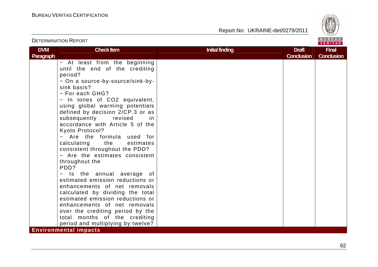Report No: UKRAINE-det/0279/2011



## VERITAS **DVM Check Item Draft Check Item Initial finding Check Item Initial finding Draft Act Initial finding Draft Act Initial finding Draft Final Paragraph Conclusion Conclusion** − At least from the beginning until the end of the crediting period? − On a source-by-source/sink-bysink basis? − For each GHG? − In tones of CO2 equivalent, using global warming potentials defined by decision 2/CP.3 or as subsequently revised in accordance with Article 5 of the Kyoto Protocol? − Are the formula used for calculating the estimates consistent throughout the PDD? − Are the estimates consistent throughout the PDD? − Is the annual average of estimated emission reductions or enhancements of net removals calculated by dividing the total estimated emission reductions or enhancements of net removals over the crediting period by the total months of the crediting period and multiplying by twelve?

**Environmental impacts**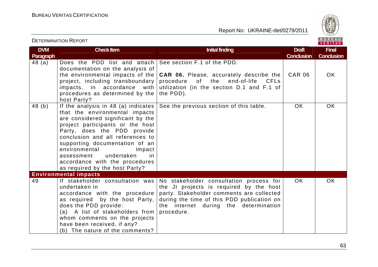Report No: UKRAINE-det/0279/2011



VERITAS **DVM Check Item Draft Check Item Initial finding Check Item Initial finding Draft Act Initial finding Draft Act Initial finding Draft Final Paragraph Conclusion Conclusion** 48 (a) | Does the PDD list and attach | See-section F.1 of the PDD. documentation on the analysis of CAR 06 OK the environmental impacts of the **CAR 06.** Please, accurately describe the project, including transboundary procedure of the end-of-life CFLs impacts, in accordance with utilization (in the section D.1 and F.1 of procedures as determined by the the PDD). host Party? See the previous section of this table. <br>  $\overline{OK}$  OK OK  $48$  (b)  $\parallel$  If the analysis in 48 (a) indicates that the environmental impacts are considered significant by the project participants or the host Party, does the PDD provide conclusion and all references to supporting documentation of an environmental impact assessment undertaken in accordance with the procedures as required by the host Party? **Environmental impacts**  49 If stakeholder consultation was No stakeholder consultation process for OK OK the JI projects is required by the host undertaken in accordance with the procedure party. Stakeholder comments are collected as required by the host Party, during the time of this PDD publication on does the PDD provide: the internet during the determination (a) A list of stakeholders from procedure. whom comments on the projects have been received, if any? (b) The nature of the comments?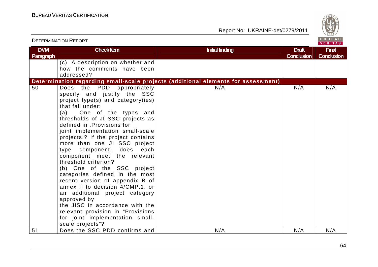

| <b>DETERMINATION REPORT</b> |                                                                                                                                                                                                                                                                                                                                                                                                                                                                                                                                                                                                                                                                                                                                       | BUREAU<br><b>VERITAS</b>                                                          |                                   |                                   |
|-----------------------------|---------------------------------------------------------------------------------------------------------------------------------------------------------------------------------------------------------------------------------------------------------------------------------------------------------------------------------------------------------------------------------------------------------------------------------------------------------------------------------------------------------------------------------------------------------------------------------------------------------------------------------------------------------------------------------------------------------------------------------------|-----------------------------------------------------------------------------------|-----------------------------------|-----------------------------------|
| <b>DVM</b><br>Paragraph     | <b>Check Item</b>                                                                                                                                                                                                                                                                                                                                                                                                                                                                                                                                                                                                                                                                                                                     | <b>Initial finding</b>                                                            | <b>Draft</b><br><b>Conclusion</b> | <b>Final</b><br><b>Conclusion</b> |
|                             | (c) A description on whether and<br>how the comments have been<br>addressed?                                                                                                                                                                                                                                                                                                                                                                                                                                                                                                                                                                                                                                                          |                                                                                   |                                   |                                   |
|                             |                                                                                                                                                                                                                                                                                                                                                                                                                                                                                                                                                                                                                                                                                                                                       | Determination regarding small-scale projects (additional elements for assessment) |                                   |                                   |
| 50                          | Does the PDD appropriately<br>specify and justify the SSC<br>project type(s) and category(ies)<br>that fall under:<br>(a) One of the types and<br>thresholds of JI SSC projects as<br>defined in .Provisions for<br>joint implementation small-scale<br>projects.? If the project contains<br>more than one JI SSC project<br>type component, does each<br>component meet the relevant<br>threshold criterion?<br>(b) One of the SSC project<br>categories defined in the most<br>recent version of appendix B of<br>annex II to decision 4/CMP.1, or<br>an additional project category<br>approved by<br>the JISC in accordance with the<br>relevant provision in "Provisions<br>for joint implementation small-<br>scale projects"? | N/A                                                                               | N/A                               | N/A                               |
| 51                          | Does the SSC PDD confirms and                                                                                                                                                                                                                                                                                                                                                                                                                                                                                                                                                                                                                                                                                                         | N/A                                                                               | N/A                               | N/A                               |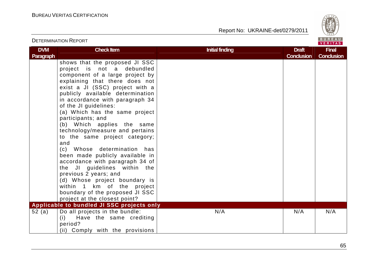

|                         | <b>DETERMINATION REPORT</b>                                                                                                                                                                                                                                                                                                                                                                                                                                                                                                                                                                                                                                                                                                           |                        |                                   | BUREAU<br><b>VERITAS</b>          |
|-------------------------|---------------------------------------------------------------------------------------------------------------------------------------------------------------------------------------------------------------------------------------------------------------------------------------------------------------------------------------------------------------------------------------------------------------------------------------------------------------------------------------------------------------------------------------------------------------------------------------------------------------------------------------------------------------------------------------------------------------------------------------|------------------------|-----------------------------------|-----------------------------------|
| <b>DVM</b><br>Paragraph | <b>Check Item</b>                                                                                                                                                                                                                                                                                                                                                                                                                                                                                                                                                                                                                                                                                                                     | <b>Initial finding</b> | <b>Draft</b><br><b>Conclusion</b> | <b>Final</b><br><b>Conclusion</b> |
|                         | shows that the proposed JI SSC<br>project is not a debundled<br>component of a large project by<br>explaining that there does not<br>exist a JI (SSC) project with a<br>publicly available determination<br>in accordance with paragraph 34<br>of the JI guidelines:<br>(a) Which has the same project<br>participants; and<br>(b) Which applies the same<br>technology/measure and pertains<br>to the same project category;<br>and<br>(c) Whose determination has<br>been made publicly available in<br>accordance with paragraph 34 of<br>the JI guidelines within the<br>previous 2 years; and<br>(d) Whose project boundary is<br>within 1 km of the project<br>boundary of the proposed JI SSC<br>project at the closest point? |                        |                                   |                                   |
| 52(a)                   | Applicable to bundled JI SSC projects only<br>Do all projects in the bundle:<br>Have the same crediting<br>(i)<br>period?<br>(ii) Comply with the provisions                                                                                                                                                                                                                                                                                                                                                                                                                                                                                                                                                                          | N/A                    | N/A                               | N/A                               |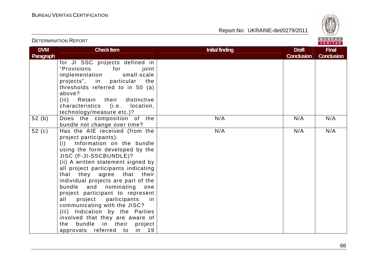Report No: UKRAINE-det/0279/2011



#### VERITAS **DVM Check Item Draft Check Item Initial finding Check Item Initial finding Draft Act Initial finding Draft Act Initial finding Draft Final Paragraph Conclusion Conclusion** for JI SSC projects defined in "Provisions for joint implementation small-scale projects", in particular the thresholds referred to in 50 (a) above? (iii) Retain their distinctive characteristics (i.e. location, technology/measure etc.)? 52 (b) Does the composition of the N/A N/A N/A N/A bundle not change over time? 52 (c) Has the AIE received (from the N/A N/A N/A N/A project participants): (i) Information on the bundle using the form developed by the JISC (F-JI-SSCBUNDLE)? (ii) A written statement signed by all project participants indicating that they agree that their individual projects are part of the bundle and nominating one project participant to represent all project participants in communicating with the JISC? (iii) Indication by the Parties involved that they are aware of the bundle in their project approvals referred to in 19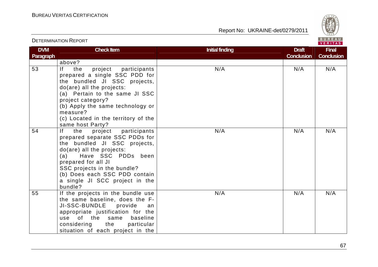

# DETERMINATION REPORT

| <b>DVM</b> | <b>Check Item</b>                                                                                                                                                                                                                                                                                    | <b>Initial finding</b> | <b>Draft</b>      | <b>Final</b>      |
|------------|------------------------------------------------------------------------------------------------------------------------------------------------------------------------------------------------------------------------------------------------------------------------------------------------------|------------------------|-------------------|-------------------|
| Paragraph  |                                                                                                                                                                                                                                                                                                      |                        | <b>Conclusion</b> | <b>Conclusion</b> |
|            | above?                                                                                                                                                                                                                                                                                               |                        |                   |                   |
| 53         | If<br>project<br>participants<br>the<br>prepared a single SSC PDD for<br>the bundled JI SSC projects,<br>do(are) all the projects:<br>(a) Pertain to the same JI SSC<br>project category?<br>(b) Apply the same technology or<br>measure?<br>(c) Located in the territory of the<br>same host Party? | N/A                    | N/A               | N/A               |
| 54         | If the<br>project participants<br>prepared separate SSC PDDs for<br>the bundled JI SSC projects,<br>do(are) all the projects:<br>Have SSC PDDs been<br>(a)<br>prepared for all JI<br>SSC projects in the bundle?<br>(b) Does each SSC PDD contain<br>a single JI SCC project in the<br>bundle?       | N/A                    | N/A               | N/A               |
| 55         | If the projects in the bundle use<br>the same baseline, does the F-<br>JI-SSC-BUNDLE provide<br>an<br>appropriate justification for the<br>of the same<br>baseline<br>use<br>considering the<br>particular<br>situation of each project in the                                                       | N/A                    | N/A               | N/A               |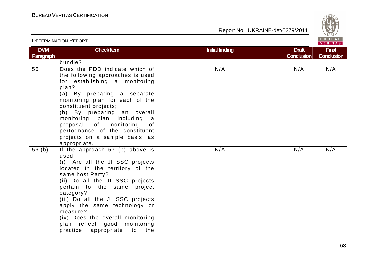

# DETERMINATION REPORT

| <b>DVM</b> | <b>Check Item</b>                        | <b>Initial finding</b> | <b>Draft</b>      | <b>Final</b>      |
|------------|------------------------------------------|------------------------|-------------------|-------------------|
| Paragraph  |                                          |                        | <b>Conclusion</b> | <b>Conclusion</b> |
|            | bundle?                                  |                        |                   |                   |
| 56         | Does the PDD indicate which of           | N/A                    | N/A               | N/A               |
|            | the following approaches is used         |                        |                   |                   |
|            | for establishing a monitoring            |                        |                   |                   |
|            | plan?                                    |                        |                   |                   |
|            | (a) By preparing a separate              |                        |                   |                   |
|            | monitoring plan for each of the          |                        |                   |                   |
|            | constituent projects;                    |                        |                   |                   |
|            | (b) By preparing an overall              |                        |                   |                   |
|            | monitoring plan including<br>a a         |                        |                   |                   |
|            | proposal of monitoring<br>of             |                        |                   |                   |
|            | performance of the constituent           |                        |                   |                   |
|            | projects on a sample basis, as           |                        |                   |                   |
|            | appropriate.                             |                        |                   |                   |
| 56(b)      | If the approach 57 (b) above is          | N/A                    | N/A               | N/A               |
|            | used,                                    |                        |                   |                   |
|            | (i) Are all the JI SSC projects          |                        |                   |                   |
|            | located in the territory of the          |                        |                   |                   |
|            | same host Party?                         |                        |                   |                   |
|            | (ii) Do all the JI SSC projects          |                        |                   |                   |
|            | pertain to the same project<br>category? |                        |                   |                   |
|            | (iii) Do all the JI SSC projects         |                        |                   |                   |
|            | apply the same technology or             |                        |                   |                   |
|            | measure?                                 |                        |                   |                   |
|            | (iv) Does the overall monitoring         |                        |                   |                   |
|            | plan reflect good monitoring             |                        |                   |                   |
|            |                                          |                        |                   |                   |
|            | practice appropriate to<br>the           |                        |                   |                   |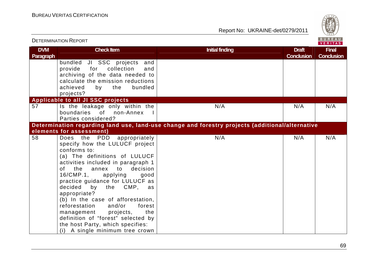

|                         | <b>DETERMINATION REPORT</b>                                                                                                                                                                                                                                                                                                                                                                                                                                                                                                                      |                                                                                                 |                                   | BUREAU<br>VERITAS                 |
|-------------------------|--------------------------------------------------------------------------------------------------------------------------------------------------------------------------------------------------------------------------------------------------------------------------------------------------------------------------------------------------------------------------------------------------------------------------------------------------------------------------------------------------------------------------------------------------|-------------------------------------------------------------------------------------------------|-----------------------------------|-----------------------------------|
| <b>DVM</b><br>Paragraph | <b>Check Item</b>                                                                                                                                                                                                                                                                                                                                                                                                                                                                                                                                | <b>Initial finding</b>                                                                          | <b>Draft</b><br><b>Conclusion</b> | <b>Final</b><br><b>Conclusion</b> |
|                         | bundled JI SSC projects and<br>collection<br>provide for<br>and<br>archiving of the data needed to<br>calculate the emission reductions<br>achieved<br>bundled<br>the<br>by<br>projects?                                                                                                                                                                                                                                                                                                                                                         |                                                                                                 |                                   |                                   |
|                         | Applicable to all JI SSC projects                                                                                                                                                                                                                                                                                                                                                                                                                                                                                                                |                                                                                                 |                                   |                                   |
| 57                      | Is the leakage only within the<br>boundaries of non-Annex I<br>Parties considered?                                                                                                                                                                                                                                                                                                                                                                                                                                                               | N/A                                                                                             | N/A                               | N/A                               |
|                         |                                                                                                                                                                                                                                                                                                                                                                                                                                                                                                                                                  | Determination regarding land use, land-use change and forestry projects (additional/alternative |                                   |                                   |
|                         | elements for assessment)                                                                                                                                                                                                                                                                                                                                                                                                                                                                                                                         |                                                                                                 |                                   |                                   |
| 58                      | the<br>PDD<br>Does<br>appropriately<br>specify how the LULUCF project<br>conforms to:<br>(a) The definitions of LULUCF<br>activities included in paragraph 1<br>of l<br>decision<br>the<br>annex<br>to<br>16/CMP.1,<br>applying<br>good<br>practice guidance for LULUCF as<br>decided<br>by the CMP, as<br>appropriate?<br>(b) In the case of afforestation,<br>reforestation<br>and/or<br>forest<br>management<br>projects,<br>the<br>definition of "forest" selected by<br>the host Party, which specifies:<br>(i) A single minimum tree crown | N/A                                                                                             | N/A                               | N/A                               |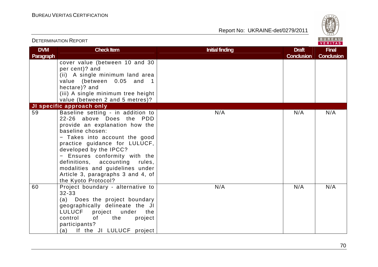

| <b>DETERMINATION REPORT</b> |                                                                                                                                                                                                                                                                                                                                                                                   | BUREAU<br>VERITAS      |                                   |                                   |
|-----------------------------|-----------------------------------------------------------------------------------------------------------------------------------------------------------------------------------------------------------------------------------------------------------------------------------------------------------------------------------------------------------------------------------|------------------------|-----------------------------------|-----------------------------------|
| <b>DVM</b><br>Paragraph     | <b>Check Item</b>                                                                                                                                                                                                                                                                                                                                                                 | <b>Initial finding</b> | <b>Draft</b><br><b>Conclusion</b> | <b>Final</b><br><b>Conclusion</b> |
|                             | cover value (between 10 and 30<br>per cent)? and<br>(ii) A single minimum land area<br>value (between 0.05 and 1<br>hectare)? and<br>(iii) A single minimum tree height<br>value (between 2 and 5 metres)?                                                                                                                                                                        |                        |                                   |                                   |
|                             | JI specific approach only                                                                                                                                                                                                                                                                                                                                                         |                        |                                   |                                   |
| 59                          | Baseline setting - in addition to<br>22-26 above Does the PDD<br>provide an explanation how the<br>baseline chosen:<br>- Takes into account the good<br>practice guidance for LULUCF,<br>developed by the IPCC?<br>- Ensures conformity with the<br>definitions, accounting rules,<br>modalities and guidelines under<br>Article 3, paragraphs 3 and 4, of<br>the Kyoto Protocol? | N/A                    | N/A                               | N/A                               |
| 60                          | Project boundary - alternative to<br>$32 - 33$<br>(a) Does the project boundary<br>geographically delineate the JI<br>LULUCF project under the<br>control<br>of<br>the<br>project<br>participants?<br>(a) If the JI LULUCF project                                                                                                                                                | N/A                    | N/A                               | N/A                               |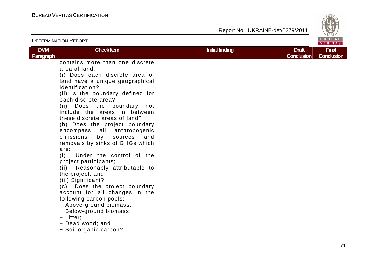

|                  |                                                                 |                        |                   | <b>VERITAS</b>    |
|------------------|-----------------------------------------------------------------|------------------------|-------------------|-------------------|
| <b>DVM</b>       | <b>Check Item</b>                                               | <b>Initial finding</b> | <b>Draft</b>      | <b>Final</b>      |
| <b>Paragraph</b> |                                                                 |                        | <b>Conclusion</b> | <b>Conclusion</b> |
|                  | contains more than one discrete                                 |                        |                   |                   |
|                  | area of land,                                                   |                        |                   |                   |
|                  | (i) Does each discrete area of                                  |                        |                   |                   |
|                  | land have a unique geographical                                 |                        |                   |                   |
|                  | identification?                                                 |                        |                   |                   |
|                  | (ii) Is the boundary defined for                                |                        |                   |                   |
|                  | each discrete area?                                             |                        |                   |                   |
|                  | (ii) Does the boundary not                                      |                        |                   |                   |
|                  | include the areas in between                                    |                        |                   |                   |
|                  | these discrete areas of land?                                   |                        |                   |                   |
|                  | (b) Does the project boundary                                   |                        |                   |                   |
|                  | encompass all anthropogenic                                     |                        |                   |                   |
|                  | emissions by sources<br>and                                     |                        |                   |                   |
|                  | removals by sinks of GHGs which                                 |                        |                   |                   |
|                  | are:                                                            |                        |                   |                   |
|                  | Under the control of the<br>(i)                                 |                        |                   |                   |
|                  | project participants;                                           |                        |                   |                   |
|                  | (ii) Reasonably attributable to                                 |                        |                   |                   |
|                  | the project; and                                                |                        |                   |                   |
|                  | (iii) Significant?                                              |                        |                   |                   |
|                  | (c) Does the project boundary<br>account for all changes in the |                        |                   |                   |
|                  | following carbon pools:                                         |                        |                   |                   |
|                  | - Above-ground biomass;                                         |                        |                   |                   |
|                  | - Below-ground biomass;                                         |                        |                   |                   |
|                  | - Litter;                                                       |                        |                   |                   |
|                  | - Dead wood; and                                                |                        |                   |                   |
|                  | - Soil organic carbon?                                          |                        |                   |                   |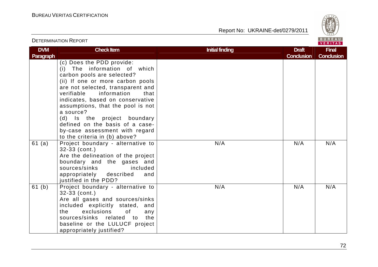DETERMINATION REPORT

Report No: UKRAINE-det/0279/2011



### VERITAS **DVM Check Item Draft Check Item Initial finding Check Item Initial finding Check Item Initial finding Draft Draft Final Paragraph Conclusion Conclusion** (c) Does the PDD provide: (i) The information of which carbon pools are selected? (ii) If one or more carbon pools are not selected, transparent and verifiable information that indicates, based on conservative assumptions, that the pool is not a source? (d) Is the project boundary defined on the basis of a caseby-case assessment with regard to the criteria in (b) above? 61 (a) Project boundary - alternative to N/A N/A N/A N/A 32-33 (cont.) Are the delineation of the project boundary and the gases and sources/sinks included appropriately described and justified in the PDD? 61 (b) Project boundary - alternative to N/A N/A N/A N/A 32-33 (cont.) Are all gases and sources/sinks included explicitly stated, and the exclusions of anv sources/sinks related to the baseline or the LULUCF project appropriately justified?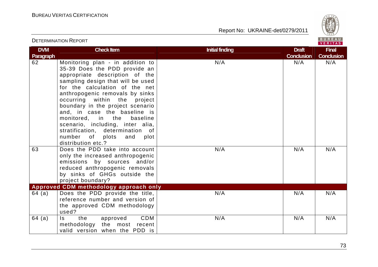

# DETERMINATION REPORT

| <b>DVM</b><br>Paragraph | <b>Check Item</b>                                                                                                                                                                                                                                                                                                                                                                                                                                                               | <b>Initial finding</b> | <b>Draft</b><br><b>Conclusion</b> | <b>Final</b><br><b>Conclusion</b> |
|-------------------------|---------------------------------------------------------------------------------------------------------------------------------------------------------------------------------------------------------------------------------------------------------------------------------------------------------------------------------------------------------------------------------------------------------------------------------------------------------------------------------|------------------------|-----------------------------------|-----------------------------------|
| 62                      | Monitoring plan - in addition to<br>35-39 Does the PDD provide an<br>appropriate description of the<br>sampling design that will be used<br>for the calculation of the net<br>anthropogenic removals by sinks<br>occurring within the project<br>boundary in the project scenario<br>and, in case the baseline is<br>monitored, in the<br>baseline<br>scenario, including, inter alia,<br>stratification, determination of<br>number of plots and<br>plot<br>distribution etc.? | N/A                    | N/A                               | N/A                               |
| 63                      | Does the PDD take into account<br>only the increased anthropogenic<br>emissions by sources and/or<br>reduced anthropogenic removals<br>by sinks of GHGs outside the<br>project boundary?                                                                                                                                                                                                                                                                                        | N/A                    | N/A                               | N/A                               |
|                         | Approved CDM methodology approach only                                                                                                                                                                                                                                                                                                                                                                                                                                          |                        |                                   |                                   |
| 64 (a)                  | Does the PDD provide the title,<br>reference number and version of<br>the approved CDM methodology<br>used?                                                                                                                                                                                                                                                                                                                                                                     | N/A                    | N/A                               | N/A                               |
| 64 (a)                  | CDM<br>$\mathsf{ls}$<br>the<br>approved<br>methodology the most recent<br>valid version when the PDD is                                                                                                                                                                                                                                                                                                                                                                         | N/A                    | N/A                               | N/A                               |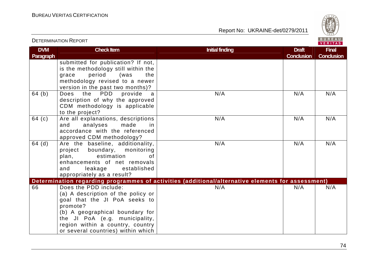DETERMINATION REPORT

Report No: UKRAINE-det/0279/2011



#### VERITAS **DVM Check Item Draft Check Item Initial finding Check Item Initial finding Draft Act Initial finding Draft Act Initial finding Draft Final Paragraph Conclusion Conclusion** submitted for publication? If not, is the methodology still within the grace period (was the methodology revised to a newer version in the past two months)? 64 (b) Does the PDD provide a N/A N/A N/A N/A description of why the approved CDM methodology is applicable to the project?  $64$  (c)  $\overline{\phantom{a}}$  Are all explanations, descriptions N/A N/A N/A N/A and analyses made in accordance with the referenced approved CDM methodology?  $64$  (d)  $\overline{\phantom{a}}$  Are the baseline, additionality, N/A N/A N/A N/A project boundary, monitoring plan, estimation  $\Omega$  enhancements of net removals and leakage established appropriately as a result? **Determination regarding programmes of activities (additional/alternative elements for assessment)** 66 Does the PDD include:  $N/A$ N/A N/A N/A N/A (a) A description of the policy or goal that the JI PoA seeks to promote? (b) A geographical boundary for the JI PoA (e.g. municipality, region within a country, country or several countries) within which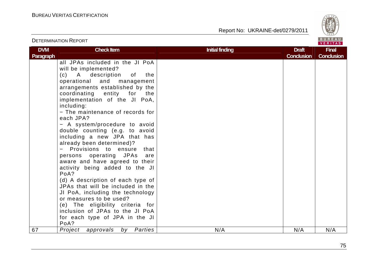

|                         |                                                                                                                                                                                                                                                                                                                                                                                                                                                                                                                                                                                                                                                                                                                                                                                                                                                                  |                        |                                   | <u>VERIIAS</u>                    |
|-------------------------|------------------------------------------------------------------------------------------------------------------------------------------------------------------------------------------------------------------------------------------------------------------------------------------------------------------------------------------------------------------------------------------------------------------------------------------------------------------------------------------------------------------------------------------------------------------------------------------------------------------------------------------------------------------------------------------------------------------------------------------------------------------------------------------------------------------------------------------------------------------|------------------------|-----------------------------------|-----------------------------------|
| <b>DVM</b><br>Paragraph | <b>Check Item</b>                                                                                                                                                                                                                                                                                                                                                                                                                                                                                                                                                                                                                                                                                                                                                                                                                                                | <b>Initial finding</b> | <b>Draft</b><br><b>Conclusion</b> | <b>Final</b><br><b>Conclusion</b> |
| 67                      | all JPAs included in the JI PoA<br>will be implemented?<br>(c) A description of the<br>operational and management<br>arrangements established by the<br>coordinating entity for<br>the<br>implementation of the JI PoA,<br>including:<br>- The maintenance of records for<br>each JPA?<br>- A system/procedure to avoid<br>double counting (e.g. to avoid<br>including a new JPA that has<br>already been determined)?<br>Provisions to ensure<br>that<br>persons operating JPAs<br>are<br>aware and have agreed to their<br>activity being added to the JI<br>PoA?<br>(d) A description of each type of<br>JPAs that will be included in the<br>JI PoA, including the technology<br>or measures to be used?<br>(e) The eligibility criteria for<br>inclusion of JPAs to the JI PoA<br>for each type of JPA in the JI<br>PoA?<br>Project approvals<br>by Parties | N/A                    | N/A                               | N/A                               |
|                         |                                                                                                                                                                                                                                                                                                                                                                                                                                                                                                                                                                                                                                                                                                                                                                                                                                                                  |                        |                                   |                                   |

## DETERMINATION REPORT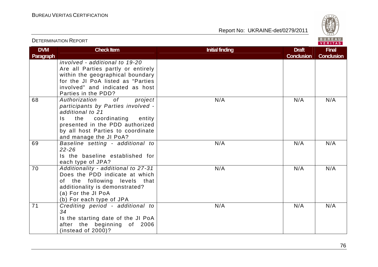DETERMINATION REPORT

Report No: UKRAINE-det/0279/2011



**DVM Paragraph Check Item Draft Check Item Initial finding Check Item Draft Accord Property Check Item Draft Accord Property ConclusionFinal Conclusion** involved - additional to 19-20 Are all Parties partly or entirely within the geographical boundary for the JI PoA listed as "Parties involved" and indicated as host Parties in the PDD?  $\overline{of}$ 68 Authorization of project participants by Parties involved additional to 21 Is the coordinating entity presented in the PDD authorized by all host Parties to coordinate and manage the JI PoA? 69 Baseline setting - additional to N/A N/A N/A N/A 22-26 Is the baseline established for each type of JPA? 70 Additionality - additional to 27-31 N/A N/A N/A N/A Does the PDD indicate at which of the following levels that additionality is demonstrated? (a) For the JI PoA (b) For each type of JPA 71 Crediting period - additional to N/A N/A N/A N/A 34 Is the starting date of the JI PoA after the beginning of 2006 (instead of 2000)? N/A N/A N/A N/A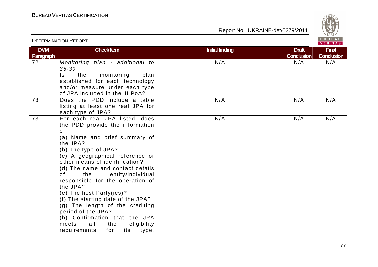

|                                | <b>DETERMINATION REPORT</b>                                                                                                                                                                                                                                                                                                                                                                                                                                                                                                                                                      |                        |                                   | BUREAU<br><b>VERITAS</b>          |
|--------------------------------|----------------------------------------------------------------------------------------------------------------------------------------------------------------------------------------------------------------------------------------------------------------------------------------------------------------------------------------------------------------------------------------------------------------------------------------------------------------------------------------------------------------------------------------------------------------------------------|------------------------|-----------------------------------|-----------------------------------|
| <b>DVM</b><br><b>Paragraph</b> | <b>Check Item</b>                                                                                                                                                                                                                                                                                                                                                                                                                                                                                                                                                                | <b>Initial finding</b> | <b>Draft</b><br><b>Conclusion</b> | <b>Final</b><br><b>Conclusion</b> |
| 72                             | Monitoring plan - additional to<br>$35 - 39$<br>monitoring<br>the<br>plan<br>Is.<br>established for each technology<br>and/or measure under each type<br>of JPA included in the JI PoA?                                                                                                                                                                                                                                                                                                                                                                                          | N/A                    | N/A                               | N/A                               |
| 73                             | Does the PDD include a table<br>listing at least one real JPA for<br>each type of JPA?                                                                                                                                                                                                                                                                                                                                                                                                                                                                                           | N/A                    | N/A                               | N/A                               |
| 73                             | For each real JPA listed, does<br>the PDD provide the information<br>of:<br>(a) Name and brief summary of<br>the JPA?<br>(b) The type of JPA?<br>(c) A geographical reference or<br>other means of identification?<br>(d) The name and contact details<br>entity/individual<br>of<br>the<br>responsible for the operation of<br>the JPA?<br>(e) The host Party(ies)?<br>(f) The starting date of the JPA?<br>(g) The length of the crediting<br>period of the JPA?<br>(h) Confirmation that the JPA<br>all<br>meets<br>the<br>eligibility<br>requirements<br>for<br>its<br>type, | N/A                    | N/A                               | N/A                               |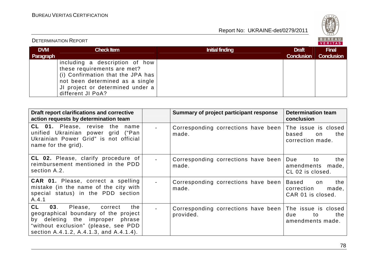

#### BUREAU<br><mark>VERITAS</mark> DETERMINATION REPORT**Check Item Draft Check Item Initial finding Check Item Draft DVM Final Paragraph Conclusion Conclusion** including a description of how these requirements are met? (i) Confirmation that the JPA has not been determined as a single JI project or determined under a different JI PoA?

| Draft report clarifications and corrective<br>action requests by determination team                                                                                                                         | Summary of project participant response          | <b>Determination team</b><br>conclusion                               |
|-------------------------------------------------------------------------------------------------------------------------------------------------------------------------------------------------------------|--------------------------------------------------|-----------------------------------------------------------------------|
| CL 01. Please, revise the name<br>unified Ukrainian power grid ("Pan<br>Ukrainian Power Grid" is not official<br>name for the grid).                                                                        | Corresponding corrections have been<br>made.     | The issue is closed<br>based<br>the<br>on<br>correction made.         |
| <b>CL 02.</b> Please, clarify procedure of<br>reimbursement mentioned in the PDD<br>section A.2.                                                                                                            | Corresponding corrections have been<br>made.     | Due<br>the<br>to<br>amendments<br>made,<br>CL 02 is closed.           |
| <b>CAR 01.</b> Please, correct a spelling<br>mistake (in the name of the city with<br>special status) in the PDD section<br>A.4.1                                                                           | Corresponding corrections have been<br>made.     | <b>Based</b><br>the<br>on<br>correction<br>made,<br>CAR 01 is closed. |
| <b>CL</b><br>03.<br>Please,<br>the<br>correct<br>geographical boundary of the project<br>by deleting the improper phrase<br>"without exclusion" (please, see PDD<br>section A.4.1.2, A.4.1.3, and A.4.1.4). | Corresponding corrections have been<br>provided. | The issue is closed<br>due<br>the<br>to<br>amendments made.           |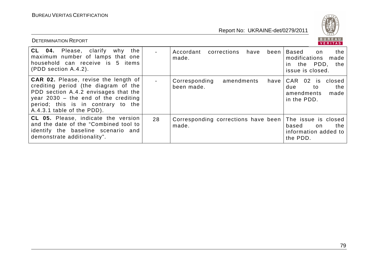

| <b>DETERMINATION REPORT</b>                                                                                                                                                                                                               |    |                                                     | BUREAU<br><b>VERITAS</b>                                                                            |
|-------------------------------------------------------------------------------------------------------------------------------------------------------------------------------------------------------------------------------------------|----|-----------------------------------------------------|-----------------------------------------------------------------------------------------------------|
| <b>CL 04.</b> Please, clarify why<br>the<br>maximum number of lamps that one<br>household can receive is 5 items<br>$(PDD section A.4.2)$ .                                                                                               |    | Accordant<br>corrections<br>have<br>been l<br>made. | Based<br>the<br>on<br>modifications<br>made<br>the PDD,<br>the<br>$\mathsf{In}$<br>issue is closed. |
| <b>CAR 02.</b> Please, revise the length of<br>crediting period (the diagram of the<br>PDD section A.4.2 envisages that the<br>year $2030 -$ the end of the crediting<br>period; this is in contrary to the<br>A.4.3.1 table of the PDD). |    | Corresponding<br>amendments<br>havel<br>been made.  | CAR 02 is closed<br>the<br>due<br>to<br>amendments<br>made<br>in the PDD.                           |
| CL 05. Please, indicate the version<br>and the date of the "Combined tool to<br>identify the baseline scenario and<br>demonstrate additionality".                                                                                         | 28 | Corresponding corrections have been<br>made.        | The issue is closed<br>the<br>based<br>on.<br>information added to<br>the PDD.                      |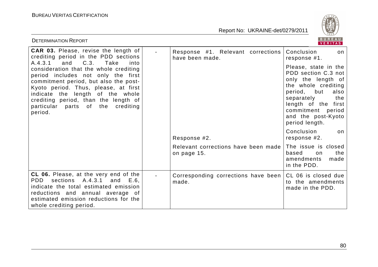

| <b>DETERMINATION REPORT</b>                                                                                                                                                                                                                                                                                                               |                                                      | BUREAU<br><b>VERITAS</b>                                                                                                                                                                                                    |
|-------------------------------------------------------------------------------------------------------------------------------------------------------------------------------------------------------------------------------------------------------------------------------------------------------------------------------------------|------------------------------------------------------|-----------------------------------------------------------------------------------------------------------------------------------------------------------------------------------------------------------------------------|
| CAR 03. Please, revise the length of<br>crediting period in the PDD sections                                                                                                                                                                                                                                                              | Response #1. Relevant corrections<br>have been made. | Conclusion<br>on<br>response #1.                                                                                                                                                                                            |
| C.3.<br>A.4.3.1<br>and<br>Take<br>into<br>consideration that the whole crediting<br>period includes not only the first<br>commitment period, but also the post-<br>Kyoto period. Thus, please, at first<br>indicate the length of the whole<br>crediting period, than the length of<br>crediting<br>particular<br>parts of the<br>period. |                                                      | Please, state in the<br>PDD section C.3 not<br>only the length of<br>the whole crediting<br>but<br>period,<br>also<br>separately<br>the<br>length of the first<br>commitment period<br>and the post-Kyoto<br>period length. |
|                                                                                                                                                                                                                                                                                                                                           | Response #2.                                         | Conclusion<br>on.<br>response #2.                                                                                                                                                                                           |
|                                                                                                                                                                                                                                                                                                                                           | Relevant corrections have been made<br>on page 15.   | The issue is closed<br>based<br>the<br>on<br>amendments<br>made<br>in the PDD.                                                                                                                                              |
| <b>CL 06.</b> Please, at the very end of the<br>A.4.3.1<br>PDD.<br>sections<br>E.6.<br>and<br>indicate the total estimated emission<br>reductions and annual average of<br>estimated emission reductions for the<br>whole crediting period.                                                                                               | Corresponding corrections have been<br>made.         | CL 06 is closed due<br>to the amendments<br>made in the PDD.                                                                                                                                                                |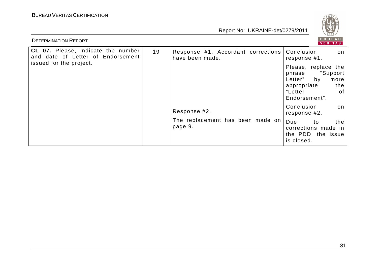

| <b>DETERMINATION REPORT</b>                                             |    |                                                       |                                                                                                                            |  |
|-------------------------------------------------------------------------|----|-------------------------------------------------------|----------------------------------------------------------------------------------------------------------------------------|--|
| CL 07. Please, indicate the number<br>and date of Letter of Endorsement | 19 | Response #1. Accordant corrections<br>have been made. | Conclusion<br>on<br>response #1.                                                                                           |  |
| issued for the project.                                                 |    |                                                       | Please, replace the<br>"Support<br>phrase<br>Letter"<br>by<br>more<br>the<br>appropriate<br>"Letter<br>0f<br>Endorsement". |  |
|                                                                         |    | Response #2.                                          | Conclusion<br>on<br>response #2.                                                                                           |  |
|                                                                         |    | The replacement has been made on<br>page 9.           | Due<br>the<br>to<br>corrections made in<br>the PDD, the issue<br>is closed.                                                |  |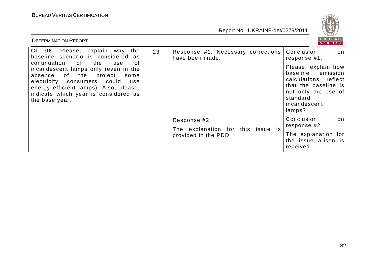

| <b>DETERMINATION REPORT</b>                                                                                                                                                                                                                                   |    |                                                           | BUREAU<br><b>VERITAS</b>                                                                                                                                 |                                  |
|---------------------------------------------------------------------------------------------------------------------------------------------------------------------------------------------------------------------------------------------------------------|----|-----------------------------------------------------------|----------------------------------------------------------------------------------------------------------------------------------------------------------|----------------------------------|
| <b>CL 08.</b> Please, explain why the<br>baseline scenario is considered<br>as                                                                                                                                                                                | 23 | Response #1. Necessary corrections<br>have been made.     | Conclusion<br>on<br>response #1.                                                                                                                         |                                  |
| continuation<br>the<br>0f<br>of<br>use<br>incandescent lamps only (even in the<br>absence of the<br>project<br>some<br>electricity consumers could<br>use<br>energy efficient lamps). Also, please,<br>indicate which year is considered as<br>the base year. |    |                                                           | Please, explain how<br>baseline<br>emission<br>calculations reflect<br>that the baseline is<br>not only the use of<br>standard<br>incandescent<br>lamps? |                                  |
|                                                                                                                                                                                                                                                               |    |                                                           | Response #2.                                                                                                                                             | Conclusion<br>on<br>response #2. |
|                                                                                                                                                                                                                                                               |    | The explanation for this issue is<br>provided in the PDD. | The explanation for<br>the issue arisen is<br>received.                                                                                                  |                                  |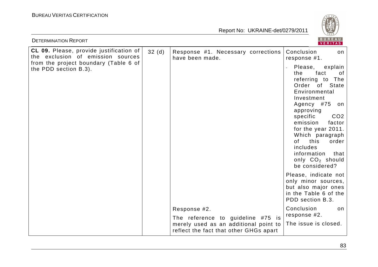

| <b>DETERMINATION REPORT</b>                                                  |                   |                                                                                                                      | <b>BUREAU</b><br>VERITAS                                                                                                                                                                                                                                                                                                                                              |
|------------------------------------------------------------------------------|-------------------|----------------------------------------------------------------------------------------------------------------------|-----------------------------------------------------------------------------------------------------------------------------------------------------------------------------------------------------------------------------------------------------------------------------------------------------------------------------------------------------------------------|
| CL 09. Please, provide justification of<br>the exclusion of emission sources | 32 <sub>(d)</sub> | Response #1. Necessary corrections<br>have been made.                                                                | Conclusion<br>on<br>response #1.                                                                                                                                                                                                                                                                                                                                      |
| from the project boundary (Table 6 of<br>the PDD section B.3).               |                   |                                                                                                                      | Please, explain<br>fact<br>the<br>of<br>referring to<br>The<br><b>State</b><br>Order<br>0f<br>Environmental<br>Investment<br>Agency #75<br>on<br>approving<br>specific<br>CO <sub>2</sub><br>emission<br>factor<br>for the year 2011.<br>Which paragraph<br>0f<br>this<br>order  <br>includes<br>information<br>that<br>only CO <sub>2</sub> should<br>be considered? |
|                                                                              |                   |                                                                                                                      | Please, indicate not<br>only minor sources,<br>but also major ones<br>in the Table 6 of the<br>PDD section B.3.                                                                                                                                                                                                                                                       |
|                                                                              |                   | Response #2.                                                                                                         | Conclusion<br>on<br>response #2.                                                                                                                                                                                                                                                                                                                                      |
|                                                                              |                   | The reference to guideline #75 is<br>merely used as an additional point to<br>reflect the fact that other GHGs apart | The issue is closed.                                                                                                                                                                                                                                                                                                                                                  |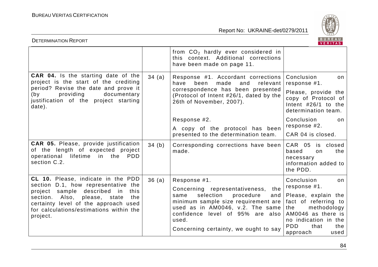

| <b>BUREAU</b><br><b>DETERMINATION REPORT</b><br><b>VERITAS</b>                                                                                                                                                    |       |                                                                                                                                                                                                                                                 |                                                                                                                                                                                  |  |
|-------------------------------------------------------------------------------------------------------------------------------------------------------------------------------------------------------------------|-------|-------------------------------------------------------------------------------------------------------------------------------------------------------------------------------------------------------------------------------------------------|----------------------------------------------------------------------------------------------------------------------------------------------------------------------------------|--|
|                                                                                                                                                                                                                   |       | from $CO2$ hardly ever considered in<br>this context. Additional corrections<br>have been made on page 11.                                                                                                                                      |                                                                                                                                                                                  |  |
| <b>CAR 04.</b> Is the starting date of the<br>project is the start of the crediting<br>period? Revise the date and prove it<br>providing<br>documentary<br>(by<br>justification of the project starting<br>date). | 34(a) | Response #1. Accordant corrections<br>have<br>been<br>made<br>and<br>relevant<br>correspondence has been presented<br>(Protocol of Intent #26/1, dated by the<br>26th of November, 2007).                                                       | Conclusion<br>on<br>response #1.                                                                                                                                                 |  |
|                                                                                                                                                                                                                   |       |                                                                                                                                                                                                                                                 | Please, provide the<br>copy of Protocol of<br>Intent $#26/1$ to the<br>determination team.                                                                                       |  |
|                                                                                                                                                                                                                   |       | Response #2.                                                                                                                                                                                                                                    | Conclusion<br>on                                                                                                                                                                 |  |
|                                                                                                                                                                                                                   |       | A copy of the protocol has been<br>presented to the determination team.                                                                                                                                                                         | response #2.<br>CAR 04 is closed.                                                                                                                                                |  |
| <b>CAR 05.</b> Please, provide justification<br>of the length of expected project<br>operational lifetime in the<br><b>PDD</b><br>section C.2.                                                                    | 34(b) | Corresponding corrections have been<br>made.                                                                                                                                                                                                    | CAR 05 is closed<br>the<br>based<br>on<br>necessary<br>information added to<br>the PDD.                                                                                          |  |
| CL 10. Please, indicate in the PDD<br>section D.1, how representative the                                                                                                                                         | 36(a) | Response #1.                                                                                                                                                                                                                                    | Conclusion<br>on                                                                                                                                                                 |  |
| sample described<br>in<br>project<br>this<br>section. Also,<br>please,<br>state<br>the<br>certainty level of the approach used<br>for calculations/estimations within the<br>project.                             |       | Concerning representativeness,<br>the<br>selection<br>procedure<br>same<br>and<br>minimum sample size requirement are<br>used as in AM0046, v.2. The same<br>confidence level of 95% are also<br>used.<br>Concerning certainty, we ought to say | response #1.<br>Please, explain the<br>fact of referring to<br>methodology<br>the<br>AM0046 as there is<br>no indication in the<br><b>PDD</b><br>that<br>the<br>approach<br>used |  |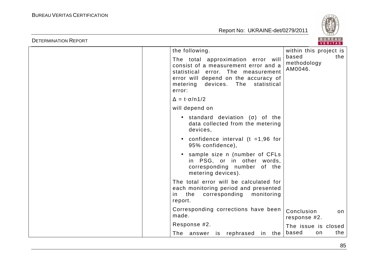

| <b>DETERMINATION REPORT</b> |                                                                                                                                                                                                               | BUREAU<br>VERITAS                      |
|-----------------------------|---------------------------------------------------------------------------------------------------------------------------------------------------------------------------------------------------------------|----------------------------------------|
|                             | the following.                                                                                                                                                                                                | within this project is                 |
|                             | The total approximation error will<br>consist of a measurement error and a<br>statistical error. The measurement<br>error will depend on the accuracy of<br>metering devices.<br>The<br>statistical<br>error: | based<br>the<br>methodology<br>AM0046. |
|                             | $\Delta = t \cdot \sigma / n 1/2$                                                                                                                                                                             |                                        |
|                             | will depend on                                                                                                                                                                                                |                                        |
|                             | • standard deviation $(\sigma)$ of the<br>data collected from the metering<br>devices,                                                                                                                        |                                        |
|                             | confidence interval ( $t = 1,96$ for<br>$\bullet$<br>95% confidence),                                                                                                                                         |                                        |
|                             | sample size n (number of CFLs<br>in PSG, or in other words,<br>corresponding number of the<br>metering devices).                                                                                              |                                        |
|                             | The total error will be calculated for<br>each monitoring period and presented<br>the<br>corresponding<br>monitoring<br>in.<br>report.                                                                        |                                        |
|                             | Corresponding corrections have been<br>made.                                                                                                                                                                  | Conclusion<br>on<br>response #2.       |
|                             | Response #2.                                                                                                                                                                                                  | The issue is closed                    |
|                             | The answer is rephrased<br>in the                                                                                                                                                                             | based<br>the<br>on                     |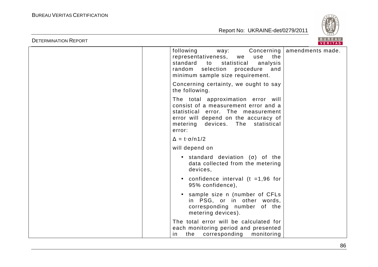

| <b>DETERMINATION REPORT</b> |                                                                                                                                                                                                            | BUREAU<br><b>VERITAS</b>      |
|-----------------------------|------------------------------------------------------------------------------------------------------------------------------------------------------------------------------------------------------------|-------------------------------|
|                             | following<br>way:<br>the<br>representativeness,<br>use<br>we<br>standard<br>statistical<br>analysis<br>to<br>random selection<br>and<br>procedure<br>minimum sample size requirement.                      | Concerning   amendments made. |
|                             | Concerning certainty, we ought to say<br>the following.                                                                                                                                                    |                               |
|                             | The total approximation error will<br>consist of a measurement error and a<br>statistical error. The measurement<br>error will depend on the accuracy of<br>devices. The statistical<br>metering<br>error: |                               |
|                             | $\Delta = t \cdot \sigma / n \frac{1}{2}$                                                                                                                                                                  |                               |
|                             | will depend on                                                                                                                                                                                             |                               |
|                             | $\bullet$ standard deviation ( $\sigma$ ) of the<br>data collected from the metering<br>devices,                                                                                                           |                               |
|                             | • confidence interval ( $t = 1,96$ for<br>95% confidence),                                                                                                                                                 |                               |
|                             | • sample size n (number of CFLs<br>in PSG, or in other words,<br>corresponding number of the<br>metering devices).                                                                                         |                               |
|                             | The total error will be calculated for<br>each monitoring period and presented<br>the<br>corresponding<br>monitoring<br>in.                                                                                |                               |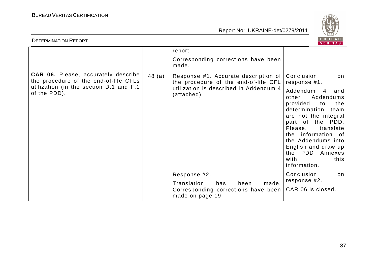

| <b>DETERMINATION REPORT</b>                                                                                                    |        |                                                                                                                        | BUREAU<br>VERITAS                                                                                                                                                                                                                                                 |
|--------------------------------------------------------------------------------------------------------------------------------|--------|------------------------------------------------------------------------------------------------------------------------|-------------------------------------------------------------------------------------------------------------------------------------------------------------------------------------------------------------------------------------------------------------------|
|                                                                                                                                |        | report.                                                                                                                |                                                                                                                                                                                                                                                                   |
|                                                                                                                                |        | Corresponding corrections have been<br>made.                                                                           |                                                                                                                                                                                                                                                                   |
| <b>CAR 06.</b> Please, accurately describe<br>the procedure of the end-of-life CFLs<br>utilization (in the section D.1 and F.1 | 48 (a) | Response #1. Accurate description of<br>the procedure of the end-of-life CFL<br>utilization is described in Addendum 4 | Conclusion<br>on.<br>response #1.<br>Addendum<br>4<br>and                                                                                                                                                                                                         |
| of the PDD).                                                                                                                   |        | (attached).                                                                                                            | other<br>Addendums<br>provided<br>the<br>to<br>determination<br>team<br>are not the integral<br>part of the PDD.<br>Please,<br>translate<br>the information of<br>the Addendums into<br>English and draw up<br>the PDD<br>Annexes<br>with<br>this<br>information. |
|                                                                                                                                |        | Response #2.                                                                                                           | Conclusion<br>on.<br>response #2.                                                                                                                                                                                                                                 |
|                                                                                                                                |        | Translation<br>has<br>been<br>made.<br>Corresponding corrections have been<br>made on page 19.                         | CAR 06 is closed.                                                                                                                                                                                                                                                 |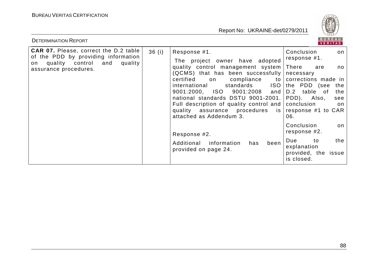

| <b>DETERMINATION REPORT</b>                                                                                                                          |       |                                                                                                                                                                                                                                                                                                                                                                                            | BUREAU<br>VERITAS                                                                               |                                |
|------------------------------------------------------------------------------------------------------------------------------------------------------|-------|--------------------------------------------------------------------------------------------------------------------------------------------------------------------------------------------------------------------------------------------------------------------------------------------------------------------------------------------------------------------------------------------|-------------------------------------------------------------------------------------------------|--------------------------------|
| <b>CAR 07.</b> Please, correct the D.2 table<br>of the PDD by providing information<br>quality control and<br>quality<br>on<br>assurance procedures. | 36(i) | Response #1.<br>The project owner have adopted                                                                                                                                                                                                                                                                                                                                             | Conclusion<br>response #1.                                                                      | on                             |
|                                                                                                                                                      |       | quality control management system<br>(QCMS) that has been successfully   necessary<br>certified<br>compliance<br>to  <br>on<br><b>ISO</b><br>international<br>standards<br>9001:2000, ISO<br>9001:2008<br>and<br>national standards DSTU 9001-2001.<br>Full description of quality control and conclusion<br>quality assurance procedures is response #1 to CAR<br>attached as Addendum 3. | There<br>are<br>corrections made in<br>the PDD (see<br>table of<br>D.2<br>PDD).<br>Also,<br>06. | no.<br>the<br>the<br>see<br>on |
|                                                                                                                                                      |       | Response #2.                                                                                                                                                                                                                                                                                                                                                                               | Conclusion<br>response #2.                                                                      | on                             |
|                                                                                                                                                      |       | Additional<br>information<br>been<br>has<br>provided on page 24.                                                                                                                                                                                                                                                                                                                           | Due<br>to<br>explanation<br>provided, the issue<br>is closed.                                   | the                            |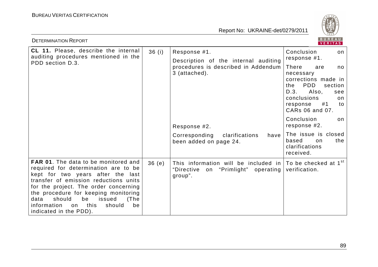

| BUREAU<br><b>DETERMINATION REPORT</b><br><b>VERITAS</b>                                                                                                                                                                                                                                                                                                             |       |                                                                                                                                    |                                                                                                                                                                                |
|---------------------------------------------------------------------------------------------------------------------------------------------------------------------------------------------------------------------------------------------------------------------------------------------------------------------------------------------------------------------|-------|------------------------------------------------------------------------------------------------------------------------------------|--------------------------------------------------------------------------------------------------------------------------------------------------------------------------------|
| CL 11. Please, describe the internal<br>auditing procedures mentioned in the<br>PDD section D.3.                                                                                                                                                                                                                                                                    | 36(i) | Response #1.<br>Description of the internal auditing<br>procedures is described in Addendum<br>3 (attached).                       | Conclusion<br>on<br>response #1.                                                                                                                                               |
|                                                                                                                                                                                                                                                                                                                                                                     |       |                                                                                                                                    | There<br>are<br>no<br>necessary<br>corrections made in<br><b>PDD</b><br>section<br>the<br>D.3.<br>Also,<br>see<br>conclusions<br>on<br>#1<br>response<br>to<br>CARs 06 and 07. |
|                                                                                                                                                                                                                                                                                                                                                                     |       | Response #2.                                                                                                                       | Conclusion<br>on<br>response #2.                                                                                                                                               |
|                                                                                                                                                                                                                                                                                                                                                                     |       | Corresponding<br>clarifications<br>have  <br>been added on page 24.                                                                | The issue is closed<br>based<br>the<br>on<br>clarifications<br>received.                                                                                                       |
| <b>FAR 01.</b> The data to be monitored and<br>required for determination are to be<br>kept for two years after the last<br>transfer of emission reductions units<br>for the project. The order concerning<br>the procedure for keeping monitoring<br>should<br>be<br>issued<br>data<br>(The<br>information<br>this<br>should<br>be<br>on<br>indicated in the PDD). | 36(e) | This information will be included in $\sqrt{ }$ To be checked at 1 <sup>st</sup><br>"Directive on "Primlight" operating<br>group". | verification.                                                                                                                                                                  |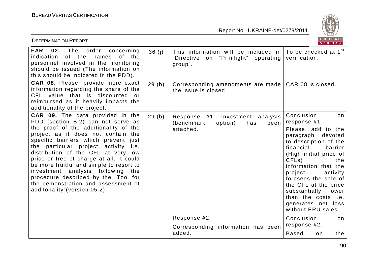

| <b>DETERMINATION REPORT</b>                                                                                                                                                                                                                                                                                                                                                                                                                                                                                                               |       |                                                                                                                                    | BUREAU<br>VERITAS                                                                                                                                                                                                                                                                                                                                                            |
|-------------------------------------------------------------------------------------------------------------------------------------------------------------------------------------------------------------------------------------------------------------------------------------------------------------------------------------------------------------------------------------------------------------------------------------------------------------------------------------------------------------------------------------------|-------|------------------------------------------------------------------------------------------------------------------------------------|------------------------------------------------------------------------------------------------------------------------------------------------------------------------------------------------------------------------------------------------------------------------------------------------------------------------------------------------------------------------------|
| 02.<br>The<br><b>FAR</b><br>order<br>concerning<br>indication<br>of the<br>of the<br>names<br>personnel involved in the monitoring<br>should be issued (The information on<br>this should be indicated in the PDD).                                                                                                                                                                                                                                                                                                                       | 36(j) | This information will be included in $\vert$ To be checked at 1 <sup>st</sup><br>on "Primlight" operating<br>"Directive<br>group". | verification.                                                                                                                                                                                                                                                                                                                                                                |
| <b>CAR 08.</b> Please, provide more exact<br>information regarding the share of the<br>CFL value that is discounted or<br>reimbursed as it heavily impacts the<br>additionality of the project.                                                                                                                                                                                                                                                                                                                                           | 29(b) | Corresponding amendments are made   CAR 08 is closed.<br>the issue is closed.                                                      |                                                                                                                                                                                                                                                                                                                                                                              |
| <b>CAR 09.</b> The data provided in the<br>PDD (section B.2) can not serve as<br>the proof of the additionality of the<br>project as it does not contain the<br>specific barriers which prevent just<br>the particular project activity <i>i.e.</i><br>distribution of the CFL at very low<br>price or free of charge at all. It could<br>be more fruitful and simple to resort to<br>investment analysis following<br>the<br>procedure described by the "Tool for<br>the demonstration and assessment of<br>additonality"(version 05.2). | 29(b) | Response #1. Investment analysis<br>(benchmark)<br>option)<br>has<br>been<br>attached.                                             | Conclusion<br>on<br>response #1.<br>Please, add to the<br>paragraph<br>devoted<br>to description of the<br>financial<br>barrier<br>(High initial price of<br>CFLs)<br>the<br>information that the<br>project<br>activity<br>foresees the sale of<br>the CFL at the price<br>substantially<br>lower<br>than the costs <i>i.e.</i><br>generates net loss<br>without ERU sales. |
|                                                                                                                                                                                                                                                                                                                                                                                                                                                                                                                                           |       | Response #2.<br>Corresponding information has been                                                                                 | Conclusion<br>on<br>response #2.                                                                                                                                                                                                                                                                                                                                             |
|                                                                                                                                                                                                                                                                                                                                                                                                                                                                                                                                           |       | added.                                                                                                                             | <b>Based</b><br>the<br>on                                                                                                                                                                                                                                                                                                                                                    |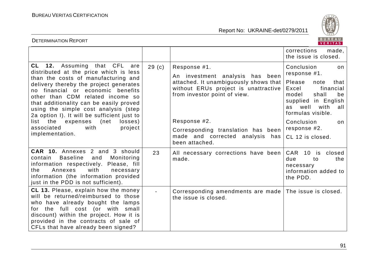

| BUREAU<br><b>DETERMINATION REPORT</b><br>VERITAS                                                                                                                                                                                                                                                                                                                                                                                                                      |                   |                                                                                                                                                                                                                                                                                |                                                                                                                                                                                                                                           |
|-----------------------------------------------------------------------------------------------------------------------------------------------------------------------------------------------------------------------------------------------------------------------------------------------------------------------------------------------------------------------------------------------------------------------------------------------------------------------|-------------------|--------------------------------------------------------------------------------------------------------------------------------------------------------------------------------------------------------------------------------------------------------------------------------|-------------------------------------------------------------------------------------------------------------------------------------------------------------------------------------------------------------------------------------------|
|                                                                                                                                                                                                                                                                                                                                                                                                                                                                       |                   |                                                                                                                                                                                                                                                                                | corrections<br>made,<br>the issue is closed.                                                                                                                                                                                              |
| <b>CL 12.</b> Assuming that CFL<br>are<br>distributed at the price which is less<br>than the costs of manufacturing and<br>delivery thereby the project generates<br>no financial or economic benefits<br>other than CDM related income so<br>that additionality can be easily proved<br>using the simple cost analysis (step<br>2a option I). It will be sufficient just to<br>list the expenses (net<br>losses)<br>associated<br>with<br>project<br>implementation. | 29 <sub>(c)</sub> | Response #1.<br>An investment analysis has been<br>attached. It unambiguously shows that<br>without ERUs project is unattractive<br>from investor point of view.<br>Response #2.<br>Corresponding translation has been<br>made and corrected analysis<br>has<br>been attached. | Conclusion<br>on<br>response #1.<br>Please<br>note<br>that<br>Excel<br>financial<br>model<br>shall<br>be<br>supplied in English<br>well<br>with<br>as<br>all<br>formulas visible.<br>Conclusion<br>on<br>response #2.<br>CL 12 is closed. |
| CAR 10. Annexes 2 and 3 should<br><b>Baseline</b><br>contain<br>and<br>Monitoring<br>information respectively. Please, fill<br>with<br>Annexes<br>the<br>necessary<br>information (the information provided<br>just in the PDD is not sufficient).                                                                                                                                                                                                                    | 23                | All necessary corrections have been<br>made.                                                                                                                                                                                                                                   | <b>CAR</b><br>10 <sup>°</sup><br>closed<br>is<br>the<br>due<br>to<br>necessary<br>information added to<br>the PDD.                                                                                                                        |
| CL 13. Please, explain how the money<br>will be returned/reimbursed to those<br>who have already bought the lamps<br>the full cost (or with small<br>for<br>discount) within the project. How it is<br>provided in the contracts of sale of<br>CFLs that have already been signed?                                                                                                                                                                                    |                   | Corresponding amendments are made The issue is closed.<br>the issue is closed.                                                                                                                                                                                                 |                                                                                                                                                                                                                                           |